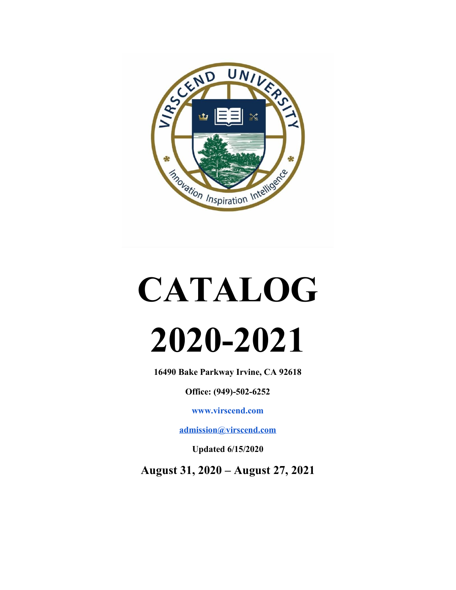

# **CATALOG 2020-2021**

**16490 Bake Parkway Irvine, CA 92618**

**Office: (949)-502-6252**

**[www.virscend.com](http://www.virscend.com/)**

**[admission@virscend.com](mailto:admission@virscend.com)**

**Updated 6/15/2020**

**August 31, 2020 – August 27, 2021**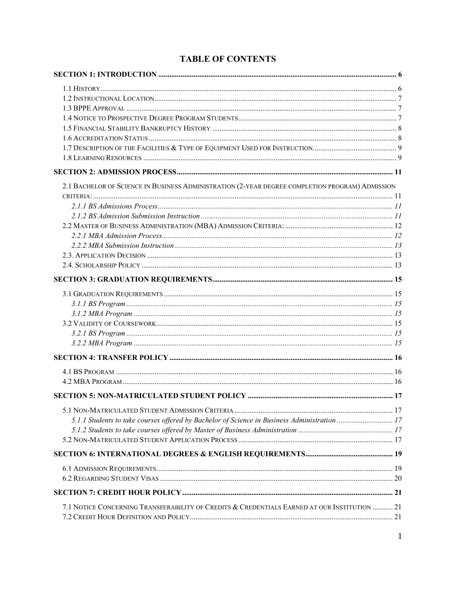| 2.1 BACHELOR OF SCIENCE IN BUSINESS ADMINISTRATION (2-YEAR DEGREE COMPLETION PROGRAM) ADMISSION |  |
|-------------------------------------------------------------------------------------------------|--|
|                                                                                                 |  |
|                                                                                                 |  |
|                                                                                                 |  |
|                                                                                                 |  |
|                                                                                                 |  |
|                                                                                                 |  |
|                                                                                                 |  |
|                                                                                                 |  |
|                                                                                                 |  |
|                                                                                                 |  |
|                                                                                                 |  |
|                                                                                                 |  |
|                                                                                                 |  |
|                                                                                                 |  |
|                                                                                                 |  |
|                                                                                                 |  |
|                                                                                                 |  |
|                                                                                                 |  |
|                                                                                                 |  |
|                                                                                                 |  |
| 5.1.1 Students to take courses offered by Bachelor of Science in Business Administration  17    |  |
|                                                                                                 |  |
|                                                                                                 |  |
|                                                                                                 |  |
|                                                                                                 |  |
|                                                                                                 |  |
|                                                                                                 |  |
|                                                                                                 |  |
| 7.1 NOTICE CONCERNING TRANSFERABILITY OF CREDITS & CREDENTIALS EARNED AT OUR INSTITUTION  21    |  |
|                                                                                                 |  |

#### **TABLE OF CONTENTS**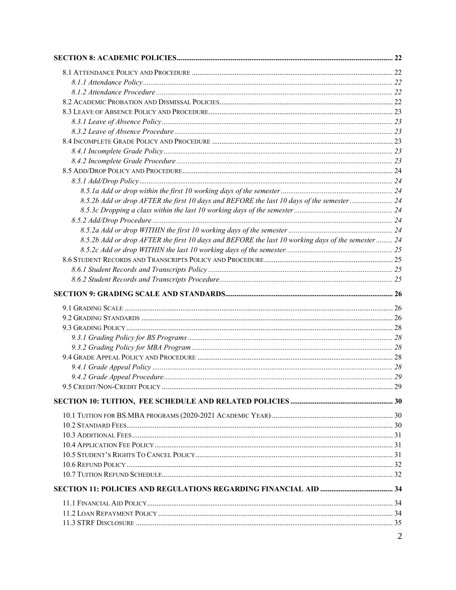| 8.5.2b Add or drop AFTER the first 10 days and BEFORE the last 10 days of the semester 24         |  |
|---------------------------------------------------------------------------------------------------|--|
|                                                                                                   |  |
|                                                                                                   |  |
|                                                                                                   |  |
| 8.5.2b Add or drop AFTER the first 10 days and BEFORE the last 10 working days of the semester 24 |  |
|                                                                                                   |  |
|                                                                                                   |  |
|                                                                                                   |  |
|                                                                                                   |  |
|                                                                                                   |  |
|                                                                                                   |  |
|                                                                                                   |  |
|                                                                                                   |  |
|                                                                                                   |  |
|                                                                                                   |  |
|                                                                                                   |  |
|                                                                                                   |  |
|                                                                                                   |  |
|                                                                                                   |  |
|                                                                                                   |  |
|                                                                                                   |  |
|                                                                                                   |  |
|                                                                                                   |  |
|                                                                                                   |  |
|                                                                                                   |  |
|                                                                                                   |  |
|                                                                                                   |  |
|                                                                                                   |  |
|                                                                                                   |  |
|                                                                                                   |  |
|                                                                                                   |  |
|                                                                                                   |  |
|                                                                                                   |  |
|                                                                                                   |  |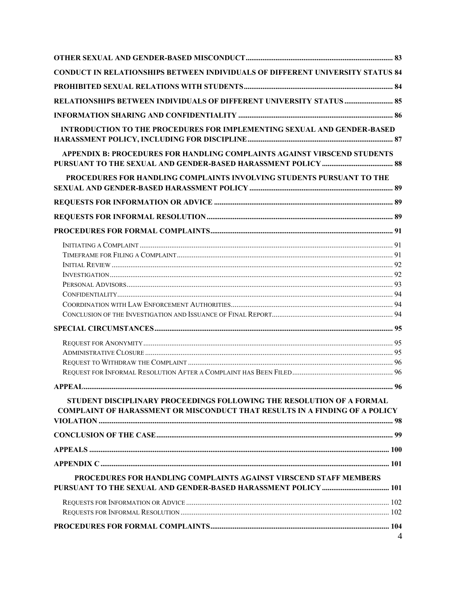| CONDUCT IN RELATIONSHIPS BETWEEN INDIVIDUALS OF DIFFERENT UNIVERSITY STATUS 84                                                                              |                |
|-------------------------------------------------------------------------------------------------------------------------------------------------------------|----------------|
|                                                                                                                                                             |                |
| RELATIONSHIPS BETWEEN INDIVIDUALS OF DIFFERENT UNIVERSITY STATUS  85                                                                                        |                |
|                                                                                                                                                             |                |
| <b>INTRODUCTION TO THE PROCEDURES FOR IMPLEMENTING SEXUAL AND GENDER-BASED</b>                                                                              |                |
|                                                                                                                                                             |                |
| APPENDIX B: PROCEDURES FOR HANDLING COMPLAINTS AGAINST VIRSCEND STUDENTS                                                                                    |                |
| PROCEDURES FOR HANDLING COMPLAINTS INVOLVING STUDENTS PURSUANT TO THE                                                                                       |                |
|                                                                                                                                                             |                |
|                                                                                                                                                             |                |
|                                                                                                                                                             |                |
|                                                                                                                                                             |                |
|                                                                                                                                                             |                |
|                                                                                                                                                             |                |
|                                                                                                                                                             |                |
|                                                                                                                                                             |                |
|                                                                                                                                                             |                |
|                                                                                                                                                             |                |
|                                                                                                                                                             |                |
|                                                                                                                                                             |                |
|                                                                                                                                                             |                |
|                                                                                                                                                             |                |
|                                                                                                                                                             |                |
|                                                                                                                                                             |                |
| STUDENT DISCIPLINARY PROCEEDINGS FOLLOWING THE RESOLUTION OF A FORMAL<br><b>COMPLAINT OF HARASSMENT OR MISCONDUCT THAT RESULTS IN A FINDING OF A POLICY</b> |                |
|                                                                                                                                                             |                |
|                                                                                                                                                             |                |
|                                                                                                                                                             |                |
| PROCEDURES FOR HANDLING COMPLAINTS AGAINST VIRSCEND STAFF MEMBERS                                                                                           |                |
|                                                                                                                                                             |                |
|                                                                                                                                                             |                |
|                                                                                                                                                             |                |
|                                                                                                                                                             | $\overline{4}$ |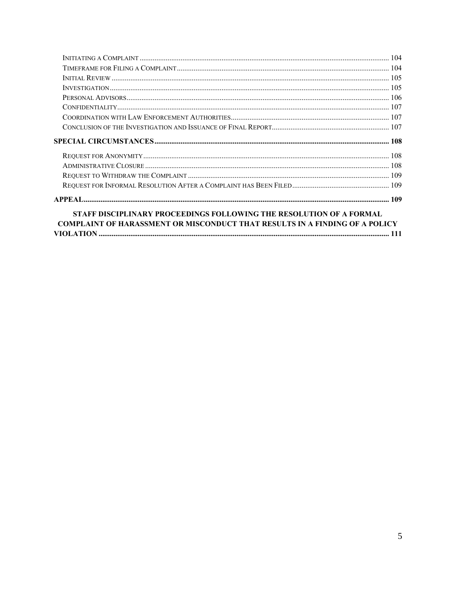| $INVESTIGATION 105$                                                                                                                                       |  |
|-----------------------------------------------------------------------------------------------------------------------------------------------------------|--|
|                                                                                                                                                           |  |
|                                                                                                                                                           |  |
|                                                                                                                                                           |  |
|                                                                                                                                                           |  |
|                                                                                                                                                           |  |
|                                                                                                                                                           |  |
|                                                                                                                                                           |  |
|                                                                                                                                                           |  |
|                                                                                                                                                           |  |
|                                                                                                                                                           |  |
| STAFF DISCIPLINARY PROCEEDINGS FOLLOWING THE RESOLUTION OF A FORMAL<br><b>COMPLAINT OF HARASSMENT OR MISCONDUCT THAT RESULTS IN A FINDING OF A POLICY</b> |  |
|                                                                                                                                                           |  |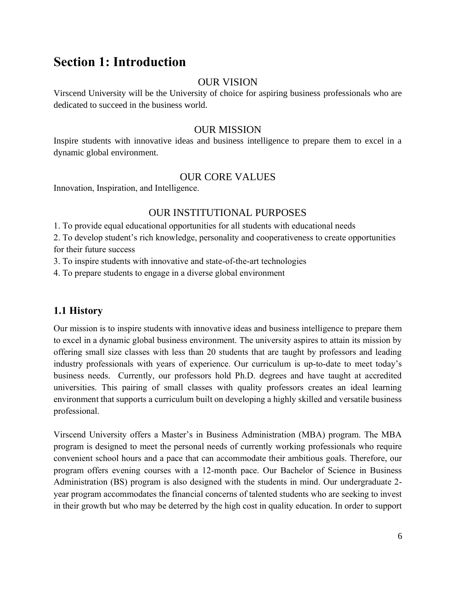# <span id="page-6-0"></span>**Section 1: Introduction**

#### OUR VISION

Virscend University will be the University of choice for aspiring business professionals who are dedicated to succeed in the business world.

#### OUR MISSION

Inspire students with innovative ideas and business intelligence to prepare them to excel in a dynamic global environment.

## OUR CORE VALUES

Innovation, Inspiration, and Intelligence.

## OUR INSTITUTIONAL PURPOSES

1. To provide equal educational opportunities for all students with educational needs

2. To develop student's rich knowledge, personality and cooperativeness to create opportunities for their future success

3. To inspire students with innovative and state-of-the-art technologies

4. To prepare students to engage in a diverse global environment

# <span id="page-6-1"></span>**1.1 History**

Our mission is to inspire students with innovative ideas and business intelligence to prepare them to excel in a dynamic global business environment. The university aspires to attain its mission by offering small size classes with less than 20 students that are taught by professors and leading industry professionals with years of experience. Our curriculum is up-to-date to meet today's business needs. Currently, our professors hold Ph.D. degrees and have taught at accredited universities. This pairing of small classes with quality professors creates an ideal learning environment that supports a curriculum built on developing a highly skilled and versatile business professional.

Virscend University offers a Master's in Business Administration (MBA) program. The MBA program is designed to meet the personal needs of currently working professionals who require convenient school hours and a pace that can accommodate their ambitious goals. Therefore, our program offers evening courses with a 12-month pace. Our Bachelor of Science in Business Administration (BS) program is also designed with the students in mind. Our undergraduate 2 year program accommodates the financial concerns of talented students who are seeking to invest in their growth but who may be deterred by the high cost in quality education. In order to support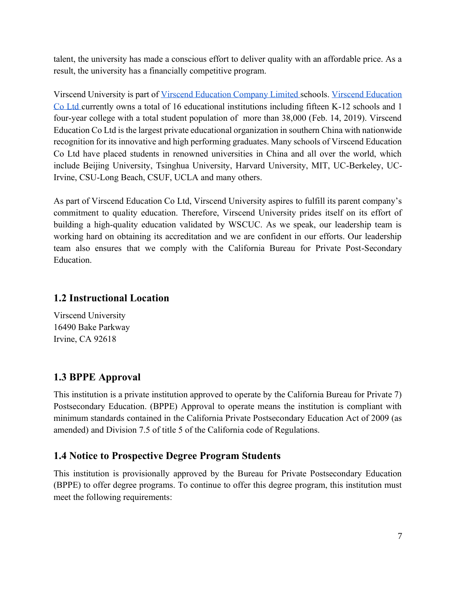talent, the university has made a conscious effort to deliver quality with an affordable price. As a result, the university has a financially competitive program.

Virscend University is part of [Virscend Education Company Limited s](http://www.virscendeducation.com/en/school/highschool.html&part=university)chools. [Virscend Education](http://www.virscendeducation.com/en/)  [Co Ltd c](http://www.virscendeducation.com/en/)urrently owns a total of 16 educational institutions including fifteen K-12 schools and 1 four-year college with a total student population of more than 38,000 (Feb. 14, 2019). Virscend Education Co Ltd is the largest private educational organization in southern China with nationwide recognition for its innovative and high performing graduates. Many schools of Virscend Education Co Ltd have placed students in renowned universities in China and all over the world, which include Beijing University, Tsinghua University, Harvard University, MIT, UC-Berkeley, UC-Irvine, CSU-Long Beach, CSUF, UCLA and many others.

As part of Virscend Education Co Ltd, Virscend University aspires to fulfill its parent company's commitment to quality education. Therefore, Virscend University prides itself on its effort of building a high-quality education validated by WSCUC. As we speak, our leadership team is working hard on obtaining its accreditation and we are confident in our efforts. Our leadership team also ensures that we comply with the California Bureau for Private Post-Secondary Education.

## <span id="page-7-0"></span>**1.2 Instructional Location**

Virscend University 16490 Bake Parkway Irvine, CA 92618

# <span id="page-7-1"></span>**1.3 BPPE Approval**

This institution is a private institution approved to operate by the California Bureau for Private 7) Postsecondary Education. (BPPE) Approval to operate means the institution is compliant with minimum standards contained in the California Private Postsecondary Education Act of 2009 (as amended) and Division 7.5 of title 5 of the California code of Regulations.

# <span id="page-7-2"></span>**1.4 Notice to Prospective Degree Program Students**

This institution is provisionally approved by the Bureau for Private Postsecondary Education (BPPE) to offer degree programs. To continue to offer this degree program, this institution must meet the following requirements: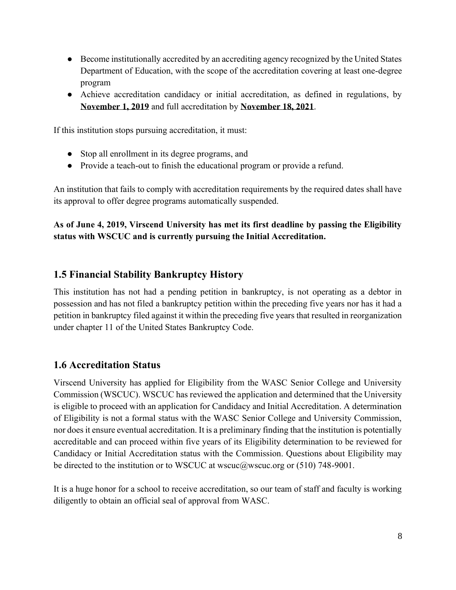- Become institutionally accredited by an accrediting agency recognized by the United States Department of Education, with the scope of the accreditation covering at least one-degree program
- Achieve accreditation candidacy or initial accreditation, as defined in regulations, by **November 1, 2019** and full accreditation by **November 18, 2021**.

If this institution stops pursuing accreditation, it must:

- Stop all enrollment in its degree programs, and
- Provide a teach-out to finish the educational program or provide a refund.

An institution that fails to comply with accreditation requirements by the required dates shall have its approval to offer degree programs automatically suspended.

#### **As of June 4, 2019, Virscend University has met its first deadline by passing the Eligibility status with WSCUC and is currently pursuing the Initial Accreditation.**

#### <span id="page-8-0"></span>**1.5 Financial Stability Bankruptcy History**

This institution has not had a pending petition in bankruptcy, is not operating as a debtor in possession and has not filed a bankruptcy petition within the preceding five years nor has it had a petition in bankruptcy filed against it within the preceding five years that resulted in reorganization under chapter 11 of the United States Bankruptcy Code.

#### <span id="page-8-1"></span>**1.6 Accreditation Status**

Virscend University has applied for Eligibility from the WASC Senior College and University Commission (WSCUC). WSCUC has reviewed the application and determined that the University is eligible to proceed with an application for Candidacy and Initial Accreditation. A determination of Eligibility is not a formal status with the WASC Senior College and University Commission, nor does it ensure eventual accreditation. It is a preliminary finding that the institution is potentially accreditable and can proceed within five years of its Eligibility determination to be reviewed for Candidacy or Initial Accreditation status with the Commission. Questions about Eligibility may be directed to the institution or to WSCUC at wscuc@wscuc.org or (510) 748-9001.

It is a huge honor for a school to receive accreditation, so our team of staff and faculty is working diligently to obtain an official seal of approval from WASC.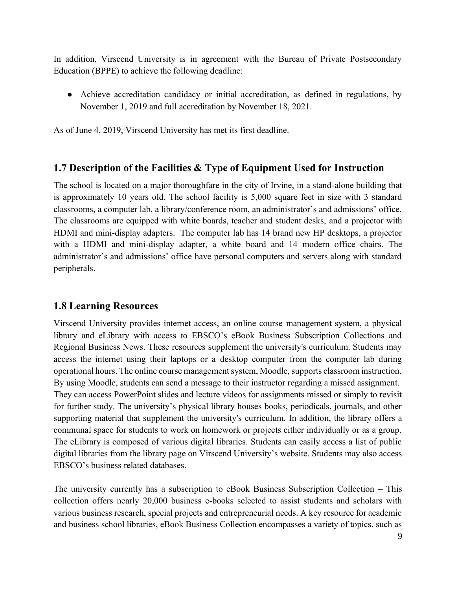In addition, Virscend University is in agreement with the Bureau of Private Postsecondary Education (BPPE) to achieve the following deadline:

● Achieve accreditation candidacy or initial accreditation, as defined in regulations, by November 1, 2019 and full accreditation by November 18, 2021.

As of June 4, 2019, Virscend University has met its first deadline.

#### <span id="page-9-0"></span>**1.7 Description of the Facilities & Type of Equipment Used for Instruction**

The school is located on a major thoroughfare in the city of Irvine, in a stand-alone building that is approximately 10 years old. The school facility is 5,000 square feet in size with 3 standard classrooms, a computer lab, a library/conference room, an administrator's and admissions' office. The classrooms are equipped with white boards, teacher and student desks, and a projector with HDMI and mini-display adapters. The computer lab has 14 brand new HP desktops, a projector with a HDMI and mini-display adapter, a white board and 14 modern office chairs. The administrator's and admissions' office have personal computers and servers along with standard peripherals.

#### <span id="page-9-1"></span>**1.8 Learning Resources**

Virscend University provides internet access, an online course management system, a physical library and eLibrary with access to EBSCO's eBook Business Subscription Collections and Regional Business News. These resources supplement the university's curriculum. Students may access the internet using their laptops or a desktop computer from the computer lab during operational hours. The online course management system, Moodle, supports classroom instruction. By using Moodle, students can send a message to their instructor regarding a missed assignment. They can access PowerPoint slides and lecture videos for assignments missed or simply to revisit for further study. The university's physical library houses books, periodicals, journals, and other supporting material that supplement the university's curriculum. In addition, the library offers a communal space for students to work on homework or projects either individually or as a group. The eLibrary is composed of various digital libraries. Students can easily access a list of public digital libraries from the library page on Virscend University's website. Students may also access EBSCO's business related databases.

The university currently has a subscription to eBook Business Subscription Collection – This collection offers nearly 20,000 business e-books selected to assist students and scholars with various business research, special projects and entrepreneurial needs. A key resource for academic and business school libraries, eBook Business Collection encompasses a variety of topics, such as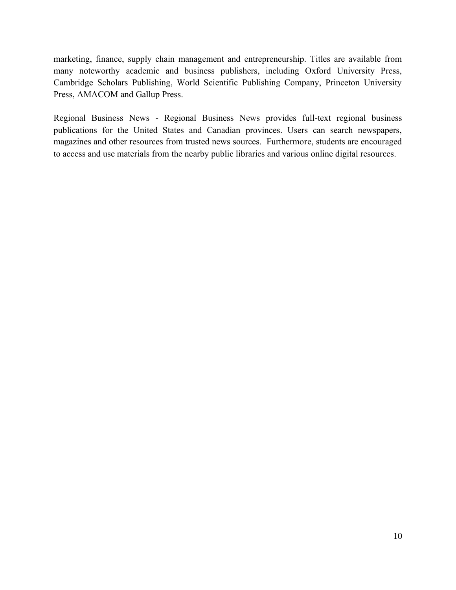marketing, finance, supply chain management and entrepreneurship. Titles are available from many noteworthy academic and business publishers, including Oxford University Press, Cambridge Scholars Publishing, World Scientific Publishing Company, Princeton University Press, AMACOM and Gallup Press.

Regional Business News - Regional Business News provides full-text regional business publications for the United States and Canadian provinces. Users can search newspapers, magazines and other resources from trusted news sources. Furthermore, students are encouraged to access and use materials from the nearby public libraries and various online digital resources.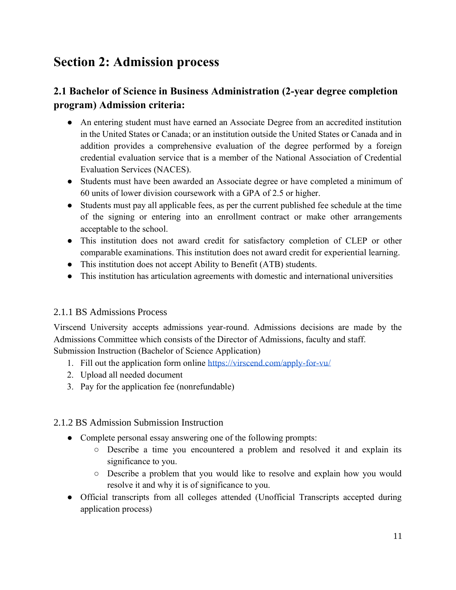# <span id="page-11-0"></span>**Section 2: Admission process**

# <span id="page-11-1"></span>**2.1 Bachelor of Science in Business Administration (2-year degree completion program) Admission criteria:**

- An entering student must have earned an Associate Degree from an accredited institution in the United States or Canada; or an institution outside the United States or Canada and in addition provides a comprehensive evaluation of the degree performed by a foreign credential evaluation service that is a member of the National Association of Credential Evaluation Services (NACES).
- Students must have been awarded an Associate degree or have completed a minimum of 60 units of lower division coursework with a GPA of 2.5 or higher.
- Students must pay all applicable fees, as per the current published fee schedule at the time of the signing or entering into an enrollment contract or make other arrangements acceptable to the school.
- This institution does not award credit for satisfactory completion of CLEP or other comparable examinations. This institution does not award credit for experiential learning.
- This institution does not accept Ability to Benefit (ATB) students.
- This institution has articulation agreements with domestic and international universities

#### <span id="page-11-2"></span>2.1.1 BS Admissions Process

Virscend University accepts admissions year-round. Admissions decisions are made by the Admissions Committee which consists of the Director of Admissions, faculty and staff. Submission Instruction (Bachelor of Science Application)

- 1. [Fill out the application form online](https://virscend.com/wp-content/uploads/2017/03/Undergraduate-Application-Form.pdf) <https://virscend.com/apply-for-vu/>
- 2. Upload all needed document
- 3. Pay for the application fee (nonrefundable)

#### <span id="page-11-3"></span>2.1.2 BS Admission Submission Instruction

- Complete personal essay answering one of the following prompts:
	- Describe a time you encountered a problem and resolved it and explain its significance to you.
	- Describe a problem that you would like to resolve and explain how you would resolve it and why it is of significance to you.
- Official transcripts from all colleges attended (Unofficial Transcripts accepted during application process)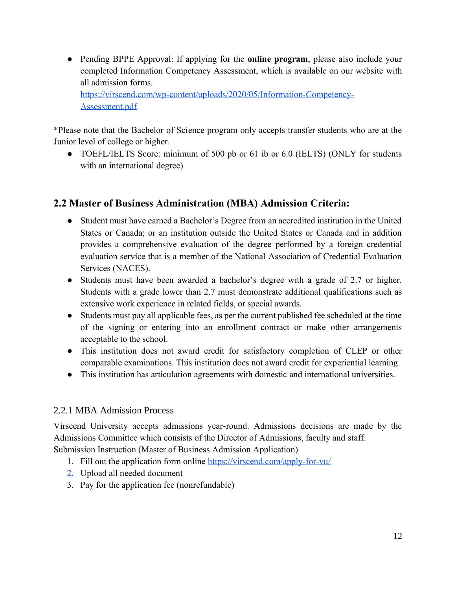● Pending BPPE Approval: If applying for the **online program**, please also include your completed Information Competency Assessment, which is available on our website with all admission forms.

[https://virscend.com/wp-content/uploads/2020/05/Information-Competency-](https://virscend.com/wp-content/uploads/2020/05/Information-Competency-Assessment.pdf)[Assessment.pdf](https://virscend.com/wp-content/uploads/2020/05/Information-Competency-Assessment.pdf)

\*Please note that the Bachelor of Science program only accepts transfer students who are at the Junior level of college or higher.

● TOEFL/IELTS Score: minimum of 500 pb or 61 ib or 6.0 (IELTS) (ONLY for students with an international degree)

# <span id="page-12-0"></span>**2.2 Master of Business Administration (MBA) Admission Criteria:**

- Student must have earned a Bachelor's Degree from an accredited institution in the United States or Canada; or an institution outside the United States or Canada and in addition provides a comprehensive evaluation of the degree performed by a foreign credential evaluation service that is a member of the National Association of Credential Evaluation Services (NACES).
- Students must have been awarded a bachelor's degree with a grade of 2.7 or higher. Students with a grade lower than 2.7 must demonstrate additional qualifications such as extensive work experience in related fields, or special awards.
- Students must pay all applicable fees, as per the current published fee scheduled at the time of the signing or entering into an enrollment contract or make other arrangements acceptable to the school.
- This institution does not award credit for satisfactory completion of CLEP or other comparable examinations. This institution does not award credit for experiential learning.
- This institution has articulation agreements with domestic and international universities.

#### <span id="page-12-1"></span>2.2.1 MBA Admission Process

Virscend University accepts admissions year-round. Admissions decisions are made by the Admissions Committee which consists of the Director of Admissions, faculty and staff. Submission Instruction (Master of Business Admission Application)

- 1. Fill out the application form online<https://virscend.com/apply-for-vu/>
- 2. [Upload all needed document](https://virscend.com/wp-content/uploads/2017/03/Undergraduate-Application-Form.pdf)
- 3. Pay for the application fee (nonrefundable)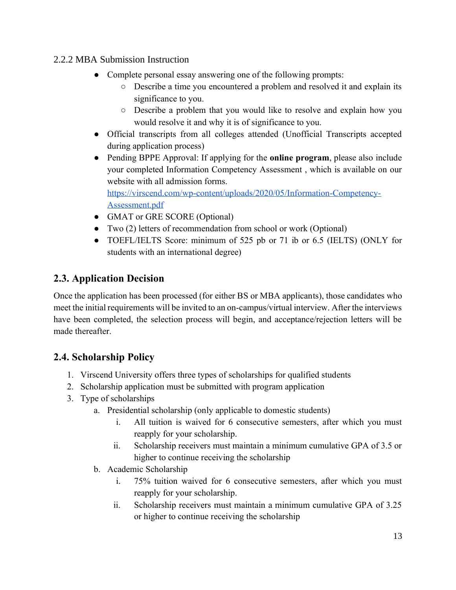#### <span id="page-13-0"></span>2.2.2 MBA Submission Instruction

- Complete personal essay answering one of the following prompts:
	- Describe a time you encountered a problem and resolved it and explain its significance to you.
	- Describe a problem that you would like to resolve and explain how you would resolve it and why it is of significance to you.
- Official transcripts from all colleges attended (Unofficial Transcripts accepted during application process)
- Pending BPPE Approval: If applying for the **online program**, please also include your completed Information Competency Assessment , which is available on our website with all admission forms. [https://virscend.com/wp-content/uploads/2020/05/Information-Competency-](https://virscend.com/wp-content/uploads/2020/05/Information-Competency-Assessment.pdf)[Assessment.pdf](https://virscend.com/wp-content/uploads/2020/05/Information-Competency-Assessment.pdf)
- GMAT or GRE SCORE (Optional)
- Two (2) letters of recommendation from school or work (Optional)
- TOEFL/IELTS Score: minimum of 525 pb or 71 ib or 6.5 (IELTS) (ONLY for students with an international degree)

# <span id="page-13-1"></span>**2.3. Application Decision**

Once the application has been processed (for either BS or MBA applicants), those candidates who meet the initial requirements will be invited to an on-campus/virtual interview. After the interviews have been completed, the selection process will begin, and acceptance/rejection letters will be made thereafter.

# <span id="page-13-2"></span>**2.4. Scholarship Policy**

- 1. Virscend University offers three types of scholarships for qualified students
- 2. Scholarship application must be submitted with program application
- 3. Type of scholarships
	- a. Presidential scholarship (only applicable to domestic students)
		- i. All tuition is waived for 6 consecutive semesters, after which you must reapply for your scholarship.
		- ii. Scholarship receivers must maintain a minimum cumulative GPA of 3.5 or higher to continue receiving the scholarship
	- b. Academic Scholarship
		- i. 75% tuition waived for 6 consecutive semesters, after which you must reapply for your scholarship.
		- ii. Scholarship receivers must maintain a minimum cumulative GPA of 3.25 or higher to continue receiving the scholarship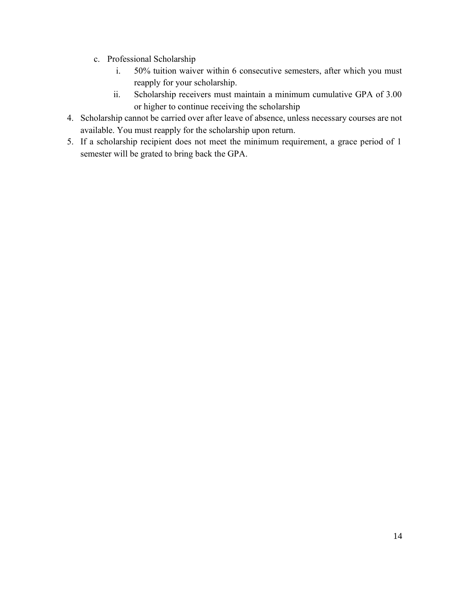- c. Professional Scholarship
	- i. 50% tuition waiver within 6 consecutive semesters, after which you must reapply for your scholarship.
	- ii. Scholarship receivers must maintain a minimum cumulative GPA of 3.00 or higher to continue receiving the scholarship
- 4. Scholarship cannot be carried over after leave of absence, unless necessary courses are not available. You must reapply for the scholarship upon return.
- 5. If a scholarship recipient does not meet the minimum requirement, a grace period of 1 semester will be grated to bring back the GPA.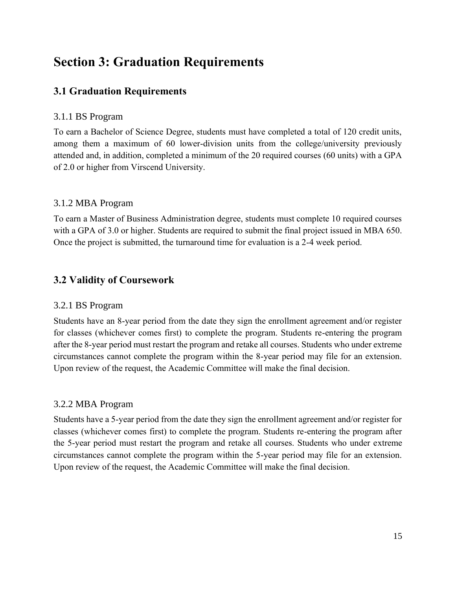# <span id="page-15-0"></span>**Section 3: Graduation Requirements**

# <span id="page-15-1"></span>**3.1 Graduation Requirements**

#### <span id="page-15-2"></span>3.1.1 BS Program

To earn a Bachelor of Science Degree, students must have completed a total of 120 credit units, among them a maximum of 60 lower-division units from the college/university previously attended and, in addition, completed a minimum of the 20 required courses (60 units) with a GPA of 2.0 or higher from Virscend University.

#### <span id="page-15-3"></span>3.1.2 MBA Program

To earn a Master of Business Administration degree, students must complete 10 required courses with a GPA of 3.0 or higher. Students are required to submit the final project issued in MBA 650. Once the project is submitted, the turnaround time for evaluation is a 2-4 week period.

# <span id="page-15-4"></span>**3.2 Validity of Coursework**

#### <span id="page-15-5"></span>3.2.1 BS Program

Students have an 8-year period from the date they sign the enrollment agreement and/or register for classes (whichever comes first) to complete the program. Students re-entering the program after the 8-year period must restart the program and retake all courses. Students who under extreme circumstances cannot complete the program within the 8-year period may file for an extension. Upon review of the request, the Academic Committee will make the final decision.

#### <span id="page-15-6"></span>3.2.2 MBA Program

Students have a 5-year period from the date they sign the enrollment agreement and/or register for classes (whichever comes first) to complete the program. Students re-entering the program after the 5-year period must restart the program and retake all courses. Students who under extreme circumstances cannot complete the program within the 5-year period may file for an extension. Upon review of the request, the Academic Committee will make the final decision.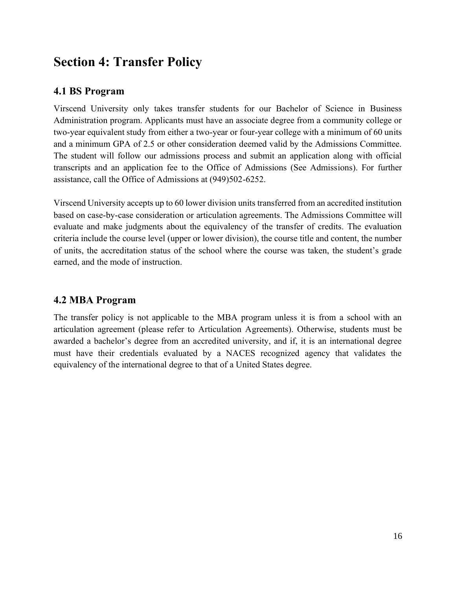# <span id="page-16-0"></span>**Section 4: Transfer Policy**

# <span id="page-16-1"></span>**4.1 BS Program**

Virscend University only takes transfer students for our Bachelor of Science in Business Administration program. Applicants must have an associate degree from a community college or two-year equivalent study from either a two-year or four-year college with a minimum of 60 units and a minimum GPA of 2.5 or other consideration deemed valid by the Admissions Committee. The student will follow our admissions process and submit an application along with official transcripts and an application fee to the Office of Admissions (See Admissions). For further assistance, call the Office of Admissions at (949)502-6252.

Virscend University accepts up to 60 lower division units transferred from an accredited institution based on case-by-case consideration or articulation agreements. The Admissions Committee will evaluate and make judgments about the equivalency of the transfer of credits. The evaluation criteria include the course level (upper or lower division), the course title and content, the number of units, the accreditation status of the school where the course was taken, the student's grade earned, and the mode of instruction.

# <span id="page-16-2"></span>**4.2 MBA Program**

The transfer policy is not applicable to the MBA program unless it is from a school with an articulation agreement (please refer to Articulation Agreements). Otherwise, students must be awarded a bachelor's degree from an accredited university, and if, it is an international degree must have their credentials evaluated by a NACES recognized agency that validates the equivalency of the international degree to that of a United States degree.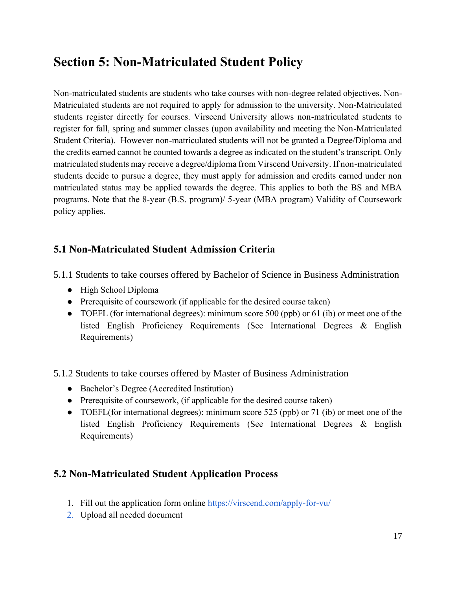# <span id="page-17-0"></span>**Section 5: Non-Matriculated Student Policy**

Non-matriculated students are students who take courses with non-degree related objectives. Non-Matriculated students are not required to apply for admission to the university. Non-Matriculated students register directly for courses. Virscend University allows non-matriculated students to register for fall, spring and summer classes (upon availability and meeting the Non-Matriculated Student Criteria). However non-matriculated students will not be granted a Degree/Diploma and the credits earned cannot be counted towards a degree as indicated on the student's transcript. Only matriculated students may receive a degree/diploma from Virscend University. If non-matriculated students decide to pursue a degree, they must apply for admission and credits earned under non matriculated status may be applied towards the degree. This applies to both the BS and MBA programs. Note that the 8-year (B.S. program)/ 5-year (MBA program) Validity of Coursework policy applies.

# <span id="page-17-1"></span>**5.1 Non-Matriculated Student Admission Criteria**

<span id="page-17-2"></span>5.1.1 Students to take courses offered by Bachelor of Science in Business Administration

- High School Diploma
- Prerequisite of coursework (if applicable for the desired course taken)
- TOEFL (for international degrees): minimum score 500 (ppb) or 61 (ib) or meet one of the listed English Proficiency Requirements (See International Degrees & English Requirements)
- <span id="page-17-3"></span>5.1.2 Students to take courses offered by Master of Business Administration
	- Bachelor's Degree (Accredited Institution)
	- Prerequisite of coursework, (if applicable for the desired course taken)
	- TOEFL(for international degrees): minimum score 525 (ppb) or 71 (ib) or meet one of the listed English Proficiency Requirements (See International Degrees & English Requirements)

# <span id="page-17-4"></span>**5.2 Non-Matriculated Student Application Process**

- 1. Fill out the application form online<https://virscend.com/apply-for-vu/>
- 2. [Upload all needed document](https://virscend.com/wp-content/uploads/2017/03/Undergraduate-Application-Form.pdf)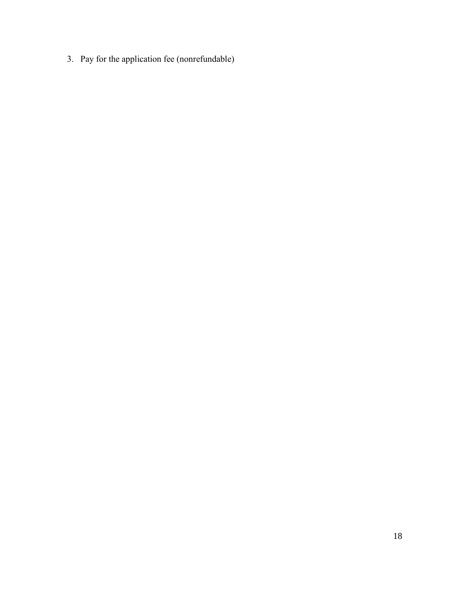3. Pay for the application fee (nonrefundable)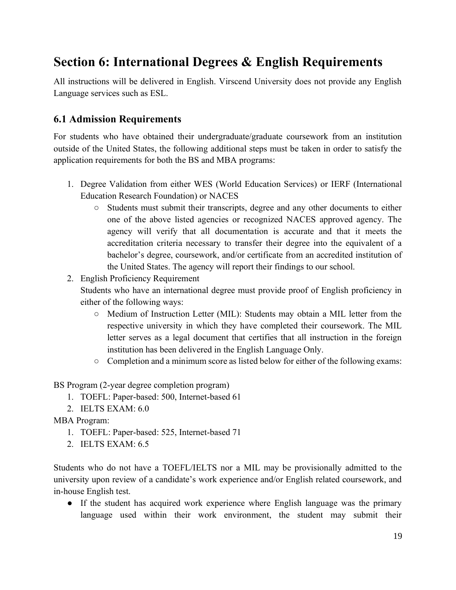# <span id="page-19-0"></span>**Section 6: International Degrees & English Requirements**

All instructions will be delivered in English. Virscend University does not provide any English Language services such as ESL.

## <span id="page-19-1"></span>**6.1 Admission Requirements**

For students who have obtained their undergraduate/graduate coursework from an institution outside of the United States, the following additional steps must be taken in order to satisfy the application requirements for both the BS and MBA programs:

- 1. Degree Validation from either WES (World Education Services) or IERF (International Education Research Foundation) or NACES
	- Students must submit their transcripts, degree and any other documents to either one of the above listed agencies or recognized NACES approved agency. The agency will verify that all documentation is accurate and that it meets the accreditation criteria necessary to transfer their degree into the equivalent of a bachelor's degree, coursework, and/or certificate from an accredited institution of the United States. The agency will report their findings to our school.
- 2. English Proficiency Requirement

Students who have an international degree must provide proof of English proficiency in either of the following ways:

- Medium of Instruction Letter (MIL): Students may obtain a MIL letter from the respective university in which they have completed their coursework. The MIL letter serves as a legal document that certifies that all instruction in the foreign institution has been delivered in the English Language Only.
- Completion and a minimum score as listed below for either of the following exams:

BS Program (2-year degree completion program)

- 1. TOEFL: Paper-based: 500, Internet-based 61
- 2. IELTS EXAM: 6.0

MBA Program:

- 1. TOEFL: Paper-based: 525, Internet-based 71
- 2. IELTS EXAM: 6.5

Students who do not have a TOEFL/IELTS nor a MIL may be provisionally admitted to the university upon review of a candidate's work experience and/or English related coursework, and in-house English test.

● If the student has acquired work experience where English language was the primary language used within their work environment, the student may submit their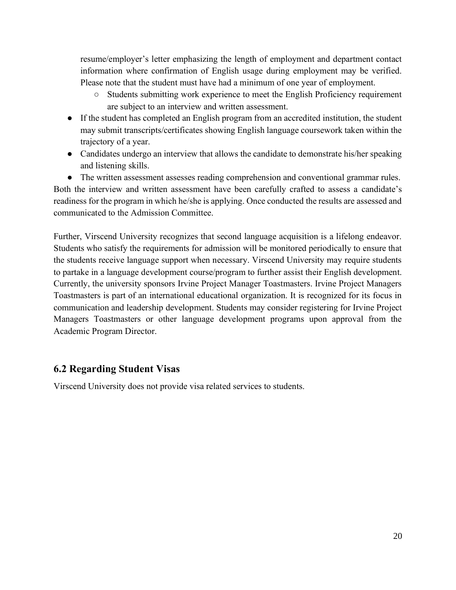resume/employer's letter emphasizing the length of employment and department contact information where confirmation of English usage during employment may be verified. Please note that the student must have had a minimum of one year of employment.

- Students submitting work experience to meet the English Proficiency requirement are subject to an interview and written assessment.
- If the student has completed an English program from an accredited institution, the student may submit transcripts/certificates showing English language coursework taken within the trajectory of a year.
- Candidates undergo an interview that allows the candidate to demonstrate his/her speaking and listening skills.
- The written assessment assesses reading comprehension and conventional grammar rules.

Both the interview and written assessment have been carefully crafted to assess a candidate's readiness for the program in which he/she is applying. Once conducted the results are assessed and communicated to the Admission Committee.

Further, Virscend University recognizes that second language acquisition is a lifelong endeavor. Students who satisfy the requirements for admission will be monitored periodically to ensure that the students receive language support when necessary. Virscend University may require students to partake in a language development course/program to further assist their English development. Currently, the university sponsors Irvine Project Manager Toastmasters. Irvine Project Managers Toastmasters is part of an international educational organization. It is recognized for its focus in communication and leadership development. Students may consider registering for Irvine Project Managers Toastmasters or other language development programs upon approval from the Academic Program Director.

## <span id="page-20-0"></span>**6.2 Regarding Student Visas**

Virscend University does not provide visa related services to students.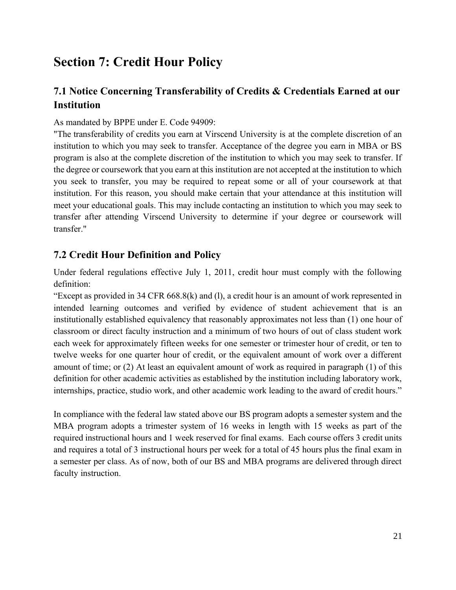# <span id="page-21-0"></span>**Section 7: Credit Hour Policy**

# <span id="page-21-1"></span>**7.1 Notice Concerning Transferability of Credits & Credentials Earned at our Institution**

#### As mandated by BPPE under E. Code 94909:

"The transferability of credits you earn at Virscend University is at the complete discretion of an institution to which you may seek to transfer. Acceptance of the degree you earn in MBA or BS program is also at the complete discretion of the institution to which you may seek to transfer. If the degree or coursework that you earn at this institution are not accepted at the institution to which you seek to transfer, you may be required to repeat some or all of your coursework at that institution. For this reason, you should make certain that your attendance at this institution will meet your educational goals. This may include contacting an institution to which you may seek to transfer after attending Virscend University to determine if your degree or coursework will transfer."

#### <span id="page-21-2"></span>**7.2 Credit Hour Definition and Policy**

Under federal regulations effective July 1, 2011, credit hour must comply with the following definition:

"Except as provided in 34 CFR 668.8(k) and (l), a credit hour is an amount of work represented in intended learning outcomes and verified by evidence of student achievement that is an institutionally established equivalency that reasonably approximates not less than (1) one hour of classroom or direct faculty instruction and a minimum of two hours of out of class student work each week for approximately fifteen weeks for one semester or trimester hour of credit, or ten to twelve weeks for one quarter hour of credit, or the equivalent amount of work over a different amount of time; or (2) At least an equivalent amount of work as required in paragraph (1) of this definition for other academic activities as established by the institution including laboratory work, internships, practice, studio work, and other academic work leading to the award of credit hours."

In compliance with the federal law stated above our BS program adopts a semester system and the MBA program adopts a trimester system of 16 weeks in length with 15 weeks as part of the required instructional hours and 1 week reserved for final exams. Each course offers 3 credit units and requires a total of 3 instructional hours per week for a total of 45 hours plus the final exam in a semester per class. As of now, both of our BS and MBA programs are delivered through direct faculty instruction.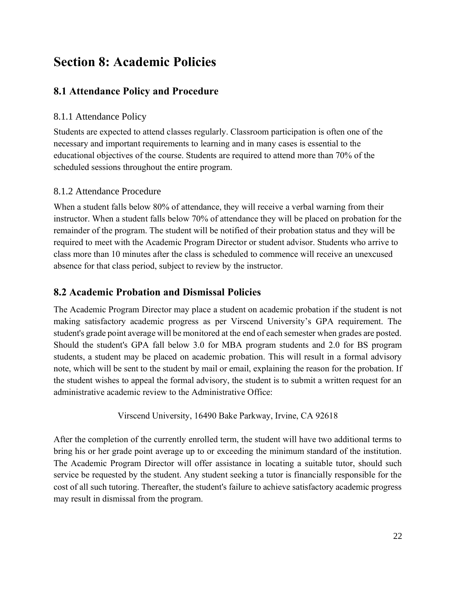# <span id="page-22-0"></span>**Section 8: Academic Policies**

# <span id="page-22-1"></span>**8.1 Attendance Policy and Procedure**

#### <span id="page-22-2"></span>8.1.1 Attendance Policy

Students are expected to attend classes regularly. Classroom participation is often one of the necessary and important requirements to learning and in many cases is essential to the educational objectives of the course. Students are required to attend more than 70% of the scheduled sessions throughout the entire program.

#### <span id="page-22-3"></span>8.1.2 Attendance Procedure

When a student falls below 80% of attendance, they will receive a verbal warning from their instructor. When a student falls below 70% of attendance they will be placed on probation for the remainder of the program. The student will be notified of their probation status and they will be required to meet with the Academic Program Director or student advisor. Students who arrive to class more than 10 minutes after the class is scheduled to commence will receive an unexcused absence for that class period, subject to review by the instructor.

## <span id="page-22-4"></span>**8.2 Academic Probation and Dismissal Policies**

The Academic Program Director may place a student on academic probation if the student is not making satisfactory academic progress as per Virscend University's GPA requirement. The student's grade point average will be monitored at the end of each semester when grades are posted. Should the student's GPA fall below 3.0 for MBA program students and 2.0 for BS program students, a student may be placed on academic probation. This will result in a formal advisory note, which will be sent to the student by mail or email, explaining the reason for the probation. If the student wishes to appeal the formal advisory, the student is to submit a written request for an administrative academic review to the Administrative Office:

Virscend University, 16490 Bake Parkway, Irvine, CA 9261[8](https://virscend.com/wp-content/uploads/2017/03/Undergraduate-Application-Form.pdf)

After the completion of the currently enrolled term, the student will have two additional terms to bring his or her grade point average up to or exceeding the minimum standard of the institution. The Academic Program Director will offer assistance in locating a suitable tutor, should such service be requested by the student. Any student seeking a tutor is financially responsible for the cost of all such tutoring. Thereafter, the student's failure to achieve satisfactory academic progress may result in dismissal from the program.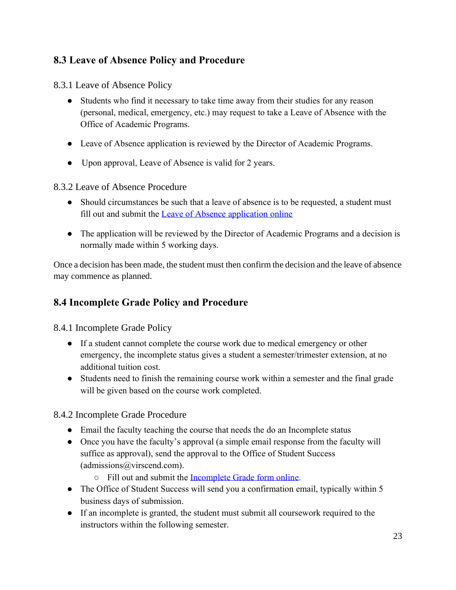# <span id="page-23-0"></span>**8.3 Leave of Absence Policy and Procedure**

<span id="page-23-1"></span>8.3.1 Leave of Absence Policy

- Students who find it necessary to take time away from their studies for any reason (personal, medical, emergency, etc.) may request to take a Leave of Absence with the Office of Academic Programs.
- Leave of Absence application is reviewed by the Director of Academic Programs.
- Upon approval, Leave of Absence is valid for 2 years.

<span id="page-23-2"></span>8.3.2 Leave of Absence Procedure

- Should circumstances be such that a leave of absence is to be requested, a student must fill out and submit the [Leave of Absence application online](https://virscend.com/student-forms/#1586981409446-a113050b-361e)
- The application will be reviewed by the Director of Academic Programs and a decision is normally made within 5 working days.

Once a decision has been made, the student must then confirm the decision and the leave of absence may commence as planned.

# <span id="page-23-3"></span>**8.4 Incomplete Grade Policy and Procedure**

<span id="page-23-4"></span>8.4.1 Incomplete Grade Policy

- If a student cannot complete the course work due to medical emergency or other emergency, the incomplete status gives a student a semester/trimester extension, at no additional tuition cost.
- Students need to finish the remaining course work within a semester and the final grade will be given based on the course work completed.

<span id="page-23-5"></span>8.4.2 Incomplete Grade Procedure

- Email the faculty teaching the course that needs the do an Incomplete status
- Once you have the faculty's approval (a simple email response from the faculty will suffice as approval), send the approval to the Office of Student Success (admissions@virscend.com).
	- Fill out and submit the [Incomplete Grade form online.](https://virscend.com/student-forms/#1587076127973-8238f1bf-b91f)
- The Office of Student Success will send you a confirmation email, typically within 5 business days of submission.
- If an incomplete is granted, the student must submit all coursework required to the instructors within the following semester.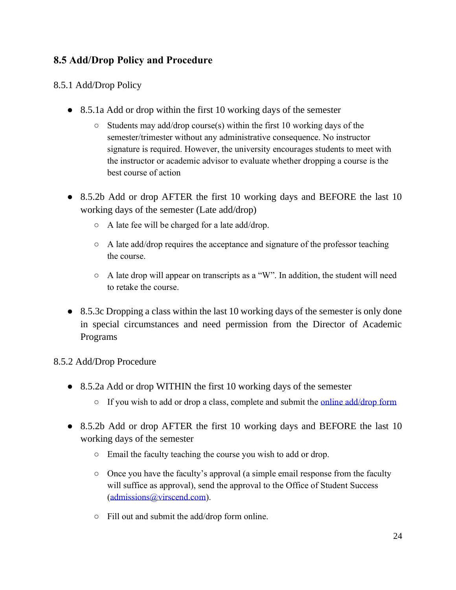# <span id="page-24-0"></span>**8.5 Add/Drop Policy and Procedure**

## <span id="page-24-2"></span><span id="page-24-1"></span>8.5.1 Add/Drop Policy

- 8.5.1a Add or drop within the first 10 working days of the semester
	- Students may add/drop course(s) within the first 10 working days of the semester/trimester without any administrative consequence. No instructor signature is required. However, the university encourages students to meet with the instructor or academic advisor to evaluate whether dropping a course is the best course of action
- <span id="page-24-3"></span>• 8.5.2b Add or drop AFTER the first 10 working days and BEFORE the last 10 working days of the semester (Late add/drop)
	- A late fee will be charged for a late add/drop.
	- A late add/drop requires the acceptance and signature of the professor teaching the course.
	- A late drop will appear on transcripts as a "W". In addition, the student will need to retake the course.
- <span id="page-24-4"></span>• 8.5.3c Dropping a class within the last 10 working days of the semester is only done in special circumstances and need permission from the Director of Academic Programs

#### <span id="page-24-6"></span><span id="page-24-5"></span>8.5.2 Add/Drop Procedure

- 8.5.2a Add or drop WITHIN the first 10 working days of the semester
	- If you wish to add or drop a class, complete and submit the <u>online add/drop form</u>
- <span id="page-24-7"></span>• 8.5.2b Add or drop AFTER the first 10 working days and BEFORE the last 10 working days of the semester
	- Email the faculty teaching the course you wish to add or drop.
	- Once you have the faculty's approval (a simple email response from the faculty will suffice as approval), send the approval to the Office of Student Success [\(admissions@virscend.com\)](mailto:admissions@virscend.com).
	- Fill out and submit the add/drop form online.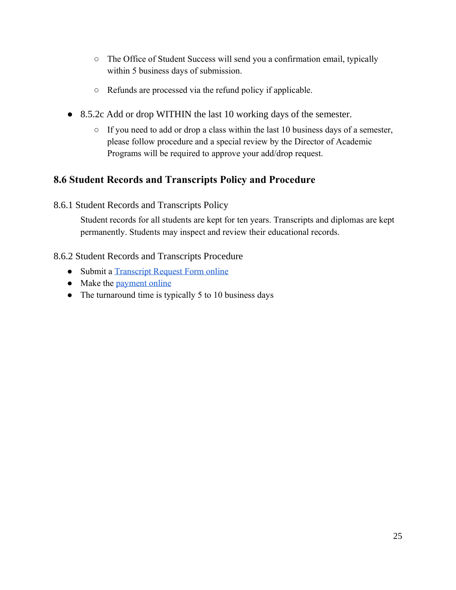- The Office of Student Success will send you a confirmation email, typically within 5 business days of submission.
- Refunds are processed via the refund policy if applicable.
- <span id="page-25-0"></span>• 8.5.2c Add or drop WITHIN the last 10 working days of the semester.
	- If you need to add or drop a class within the last 10 business days of a semester, please follow procedure and a special review by the Director of Academic Programs will be required to approve your add/drop request.

# <span id="page-25-1"></span>**8.6 Student Records and Transcripts Policy and Procedure**

<span id="page-25-2"></span>8.6.1 Student Records and Transcripts Policy

Student records for all students are kept for ten years. Transcripts and diplomas are kept permanently. Students may inspect and review their educational records.

# <span id="page-25-3"></span>8.6.2 Student Records and Transcripts Procedure

- Submit a [Transcript Request Form online](https://virscend.com/student-forms/#1589499081539-2dc17285-ecf0)
- Make the [payment online](https://virscend.com/student-forms/#1589499081539-2dc17285-ecf0)
- The turnaround time is typically 5 to 10 business days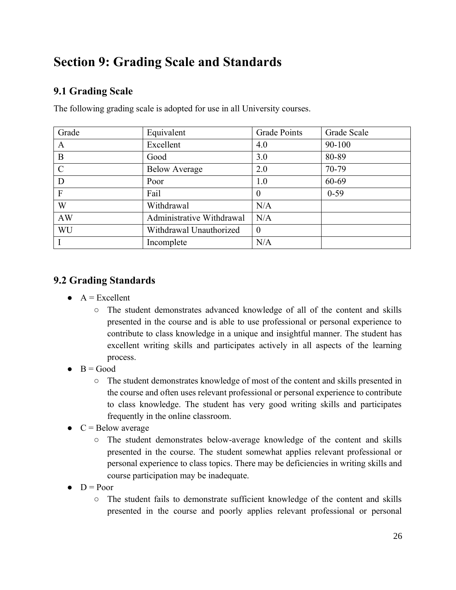# <span id="page-26-0"></span>**Section 9: Grading Scale and Standards**

# <span id="page-26-1"></span>**9.1 Grading Scale**

| Grade         | Equivalent                | <b>Grade Points</b> | Grade Scale |
|---------------|---------------------------|---------------------|-------------|
| $\mathbf{A}$  | Excellent                 | 4.0                 | 90-100      |
| B             | Good                      | 3.0                 | 80-89       |
| $\mathcal{C}$ | <b>Below Average</b>      | 2.0                 | 70-79       |
| D             | Poor                      | 1.0                 | 60-69       |
| $\mathbf{F}$  | Fail                      | $\theta$            | $0 - 59$    |
| W             | Withdrawal                | N/A                 |             |
| AW            | Administrative Withdrawal | N/A                 |             |
| WU            | Withdrawal Unauthorized   | $\theta$            |             |
|               | Incomplete                | N/A                 |             |

The following grading scale is adopted for use in all University courses.

# <span id="page-26-2"></span>**9.2 Grading Standards**

- $\bullet$  A = Excellent
	- The student demonstrates advanced knowledge of all of the content and skills presented in the course and is able to use professional or personal experience to contribute to class knowledge in a unique and insightful manner. The student has excellent writing skills and participates actively in all aspects of the learning process.
- $\bullet$  B = Good
	- The student demonstrates knowledge of most of the content and skills presented in the course and often uses relevant professional or personal experience to contribute to class knowledge. The student has very good writing skills and participates frequently in the online classroom.
- $\bullet$  C = Below average
	- The student demonstrates below-average knowledge of the content and skills presented in the course. The student somewhat applies relevant professional or personal experience to class topics. There may be deficiencies in writing skills and course participation may be inadequate.
- $\bullet$  D = Poor
	- The student fails to demonstrate sufficient knowledge of the content and skills presented in the course and poorly applies relevant professional or personal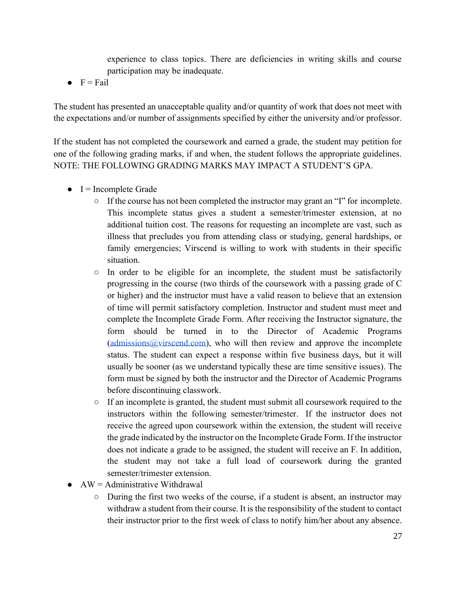experience to class topics. There are deficiencies in writing skills and course participation may be inadequate.

 $\bullet$  F = Fail

The student has presented an unacceptable quality and/or quantity of work that does not meet with the expectations and/or number of assignments specified by either the university and/or professor.

If the student has not completed the coursework and earned a grade, the student may petition for one of the following grading marks, if and when, the student follows the appropriate guidelines. NOTE: THE FOLLOWING GRADING MARKS MAY IMPACT A STUDENT'S GPA.

- $\bullet$  I = Incomplete Grade
	- $\circ$  If the course has not been completed the instructor may grant an "I" for incomplete. This incomplete status gives a student a semester/trimester extension, at no additional tuition cost. The reasons for requesting an incomplete are vast, such as illness that precludes you from attending class or studying, general hardships, or family emergencies; Virscend is willing to work with students in their specific situation.
	- $\circ$  In order to be eligible for an incomplete, the student must be satisfactorily progressing in the course (two thirds of the coursework with a passing grade of C or higher) and the instructor must have a valid reason to believe that an extension of time will permit satisfactory completion. Instructor and student must meet and complete the Incomplete Grade Form. After receiving the Instructor signature, the form should be turned in to the Director of Academic Programs [\(admissions@virscend.com\)](mailto:admissions@virscend.com), who will then review and approve the incomplete status. The student can expect a response within five business days, but it will usually be sooner (as we understand typically these are time sensitive issues). The form must be signed by both the instructor and the Director of Academic Programs before discontinuing classwork.
	- $\circ$  If an incomplete is granted, the student must submit all coursework required to the instructors within the following semester/trimester. If the instructor does not receive the agreed upon coursework within the extension, the student will receive the grade indicated by the instructor on the Incomplete Grade Form. If the instructor does not indicate a grade to be assigned, the student will receive an F. In addition, the student may not take a full load of coursework during the granted semester/trimester extension.
- $\bullet$  AW = Administrative Withdrawal
	- During the first two weeks of the course, if a student is absent, an instructor may withdraw a student from their course. It is the responsibility of the student to contact their instructor prior to the first week of class to notify him/her about any absence.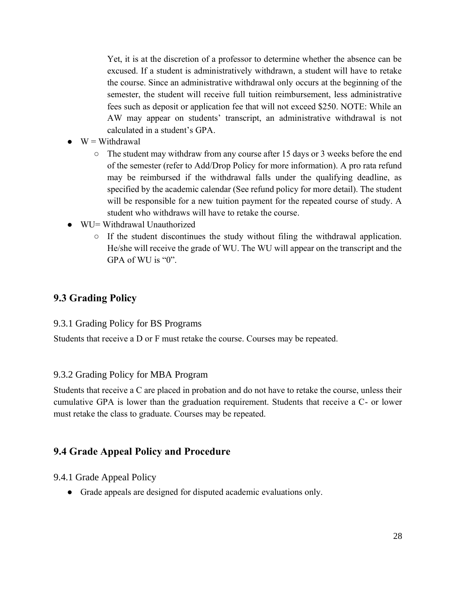Yet, it is at the discretion of a professor to determine whether the absence can be excused. If a student is administratively withdrawn, a student will have to retake the course. Since an administrative withdrawal only occurs at the beginning of the semester, the student will receive full tuition reimbursement, less administrative fees such as deposit or application fee that will not exceed \$250. NOTE: While an AW may appear on students' transcript, an administrative withdrawal is not calculated in a student's GPA.

- $\bullet$  W = Withdrawal
	- The student may withdraw from any course after 15 days or 3 weeks before the end of the semester (refer to Add/Drop Policy for more information). A pro rata refund may be reimbursed if the withdrawal falls under the qualifying deadline, as specified by the academic calendar (See refund policy for more detail). The student will be responsible for a new tuition payment for the repeated course of study. A student who withdraws will have to retake the course.
- $WU = Withdrawal Unauthorized$ 
	- If the student discontinues the study without filing the withdrawal application. He/she will receive the grade of WU. The WU will appear on the transcript and the GPA of WU is "0".

## <span id="page-28-0"></span>**9.3 Grading Policy**

#### <span id="page-28-1"></span>9.3.1 Grading Policy for BS Programs

Students that receive a D or F must retake the course. Courses may be repeated.

#### <span id="page-28-2"></span>9.3.2 Grading Policy for MBA Program

Students that receive a C are placed in probation and do not have to retake the course, unless their cumulative GPA is lower than the graduation requirement. Students that receive a C- or lower must retake the class to graduate. Courses may be repeated.

#### <span id="page-28-3"></span>**9.4 Grade Appeal Policy and Procedure**

<span id="page-28-4"></span>9.4.1 Grade Appeal Policy

● Grade appeals are designed for disputed academic evaluations only.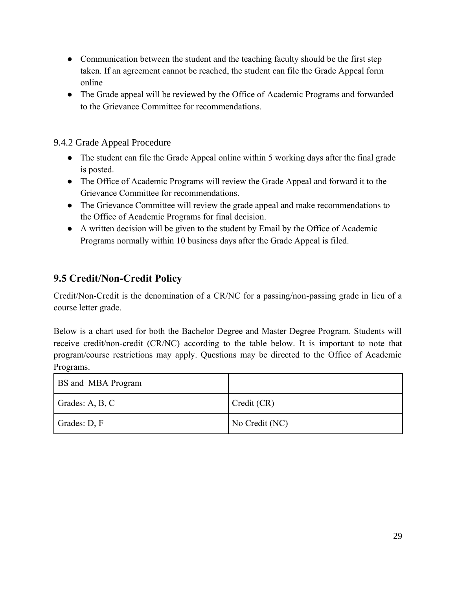- Communication between the student and the teaching faculty should be the first step taken. If an agreement cannot be reached, the student can file the Grade Appeal form online
- The Grade appeal will be reviewed by the Office of Academic Programs and forwarded to the Grievance Committee for recommendations.

#### <span id="page-29-0"></span>9.4.2 Grade Appeal Procedure

- The student can file the [Grade Appeal online](https://virscend.com/student-forms/#1586981439530-1a6ac39f-c1e0) within 5 working days after the final grade is posted.
- The Office of Academic Programs will review the Grade Appeal and forward it to the Grievance Committee for recommendations.
- The Grievance Committee will review the grade appeal and make recommendations to the Office of Academic Programs for final decision.
- A written decision will be given to the student by Email by the Office of Academic Programs normally within 10 business days after the Grade Appeal is filed.

# <span id="page-29-1"></span>**9.5 Credit/Non-Credit Policy**

Credit/Non-Credit is the denomination of a CR/NC for a passing/non-passing grade in lieu of a course letter grade.

Below is a chart used for both the Bachelor Degree and Master Degree Program. Students will receive credit/non-credit (CR/NC) according to the table below. It is important to note that program/course restrictions may apply. Questions may be directed to the Office of Academic Programs.

| <b>BS</b> and MBA Program |                |
|---------------------------|----------------|
| Grades: A, B, C           | Credit (CR)    |
| Grades: D, F              | No Credit (NC) |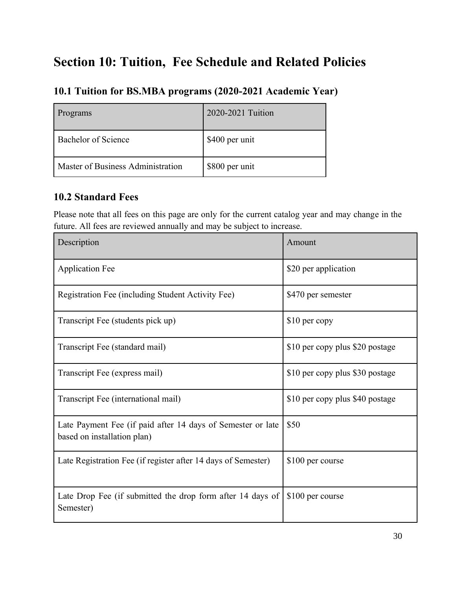# <span id="page-30-0"></span>**Section 10: Tuition, Fee Schedule and Related Policies**

# <span id="page-30-1"></span>**10.1 Tuition for BS.MBA programs (2020-2021 Academic Year)**

| Programs                          | 2020-2021 Tuition |
|-----------------------------------|-------------------|
| Bachelor of Science               | \$400 per unit    |
| Master of Business Administration | \$800 per unit    |

## <span id="page-30-2"></span>**10.2 Standard Fees**

Please note that all fees on this page are only for the current catalog year and may change in the future. All fees are reviewed annually and may be subject to increase.

| Description                                                                                | Amount                          |
|--------------------------------------------------------------------------------------------|---------------------------------|
| <b>Application Fee</b>                                                                     | \$20 per application            |
| Registration Fee (including Student Activity Fee)                                          | \$470 per semester              |
| Transcript Fee (students pick up)                                                          | \$10 per copy                   |
| Transcript Fee (standard mail)                                                             | \$10 per copy plus \$20 postage |
| Transcript Fee (express mail)                                                              | \$10 per copy plus \$30 postage |
| Transcript Fee (international mail)                                                        | \$10 per copy plus \$40 postage |
| Late Payment Fee (if paid after 14 days of Semester or late<br>based on installation plan) | \$50                            |
| Late Registration Fee (if register after 14 days of Semester)                              | \$100 per course                |
| Late Drop Fee (if submitted the drop form after 14 days of<br>Semester)                    | \$100 per course                |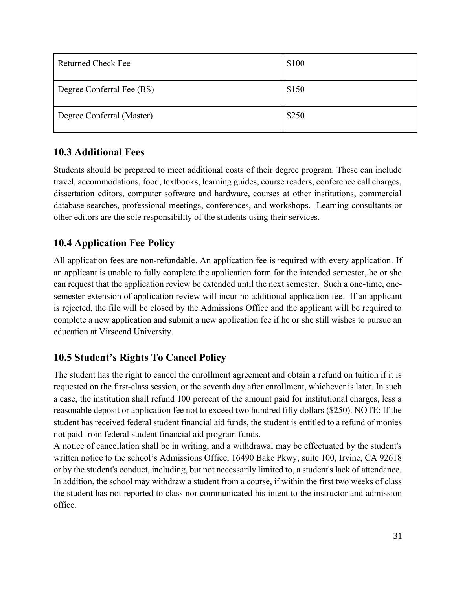| Returned Check Fee        | \$100 |
|---------------------------|-------|
| Degree Conferral Fee (BS) | \$150 |
| Degree Conferral (Master) | \$250 |

# <span id="page-31-0"></span>**10.3 Additional Fees**

Students should be prepared to meet additional costs of their degree program. These can include travel, accommodations, food, textbooks, learning guides, course readers, conference call charges, dissertation editors, computer software and hardware, courses at other institutions, commercial database searches, professional meetings, conferences, and workshops. Learning consultants or other editors are the sole responsibility of the students using their services.

# <span id="page-31-1"></span>**10.4 Application Fee Policy**

All application fees are non-refundable. An application fee is required with every application. If an applicant is unable to fully complete the application form for the intended semester, he or she can request that the application review be extended until the next semester. Such a one-time, onesemester extension of application review will incur no additional application fee. If an applicant is rejected, the file will be closed by the Admissions Office and the applicant will be required to complete a new application and submit a new application fee if he or she still wishes to pursue an education at Virscend University.

# <span id="page-31-2"></span>**10.5 Student's Rights To Cancel Policy**

The student has the right to cancel the enrollment agreement and obtain a refund on tuition if it is requested on the first-class session, or the seventh day after enrollment, whichever is later. In such a case, the institution shall refund 100 percent of the amount paid for institutional charges, less a reasonable deposit or application fee not to exceed two hundred fifty dollars (\$250). NOTE: If the student has received federal student financial aid funds, the student is entitled to a refund of monies not paid from federal student financial aid program funds.

A notice of cancellation shall be in writing, and a withdrawal may be effectuated by the student's written notice to the school's Admissions Office, 16490 Bake Pkwy, suite 100, Irvine, CA 92618 or by the student's conduct, including, but not necessarily limited to, a student's lack of attendance. In addition, the school may withdraw a student from a course, if within the first two weeks of class the student has not reported to class nor communicated his intent to the instructor and admission office.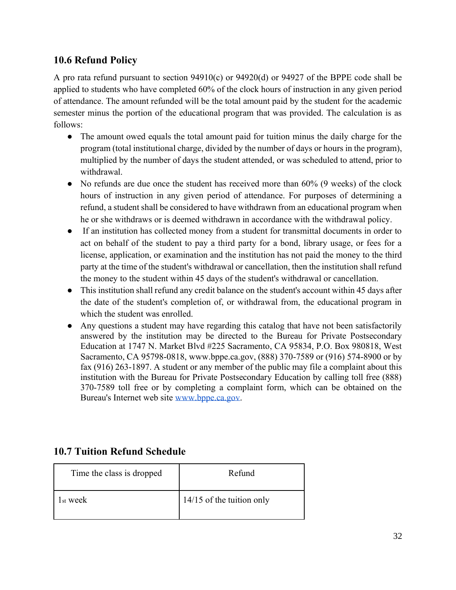# <span id="page-32-0"></span>**10.6 Refund Policy**

A pro rata refund pursuant to section 94910(c) or 94920(d) or 94927 of the BPPE code shall be applied to students who have completed 60% of the clock hours of instruction in any given period of attendance. The amount refunded will be the total amount paid by the student for the academic semester minus the portion of the educational program that was provided. The calculation is as follows:

- The amount owed equals the total amount paid for tuition minus the daily charge for the program (total institutional charge, divided by the number of days or hours in the program), multiplied by the number of days the student attended, or was scheduled to attend, prior to withdrawal.
- No refunds are due once the student has received more than 60% (9 weeks) of the clock hours of instruction in any given period of attendance. For purposes of determining a refund, a student shall be considered to have withdrawn from an educational program when he or she withdraws or is deemed withdrawn in accordance with the withdrawal policy.
- If an institution has collected money from a student for transmittal documents in order to act on behalf of the student to pay a third party for a bond, library usage, or fees for a license, application, or examination and the institution has not paid the money to the third party at the time of the student's withdrawal or cancellation, then the institution shall refund the money to the student within 45 days of the student's withdrawal or cancellation.
- This institution shall refund any credit balance on the student's account within 45 days after the date of the student's completion of, or withdrawal from, the educational program in which the student was enrolled.
- Any questions a student may have regarding this catalog that have not been satisfactorily answered by the institution may be directed to the Bureau for Private Postsecondary Education at 1747 N. Market Blvd #225 Sacramento, CA 95834, P.O. Box 980818, West Sacramento, CA 95798-0818, www.bppe.ca.gov, (888) 370-7589 or (916) 574-8900 or by fax (916) 263-1897. A student or any member of the public may file a complaint about this institution with the Bureau for Private Postsecondary Education by calling toll free (888) 370-7589 toll free or by completing a complaint form, which can be obtained on the Bureau's Internet web site [www.bppe.ca.gov](http://www.bppe.ca.gov/)[.](https://virscend.com/wp-content/uploads/2017/03/Undergraduate-Application-Form.pdf)

# <span id="page-32-1"></span>**10.7 Tuition Refund Schedule**

| Time the class is dropped | Refund                      |
|---------------------------|-----------------------------|
| 1 <sub>st</sub> week      | $14/15$ of the tuition only |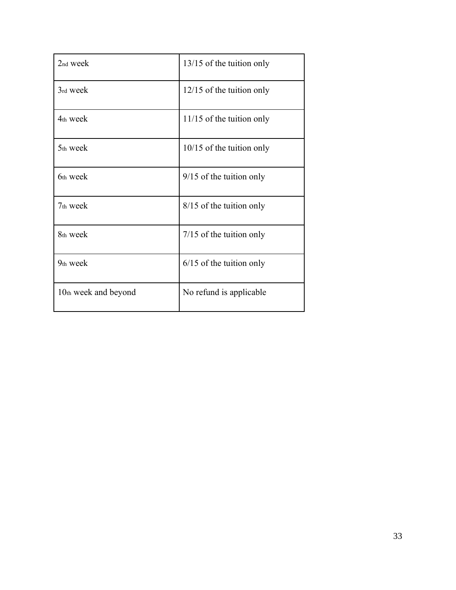| 2nd week             | 13/15 of the tuition only   |
|----------------------|-----------------------------|
| 3rd week             | $12/15$ of the tuition only |
| 4th week             | $11/15$ of the tuition only |
| 5th week             | $10/15$ of the tuition only |
| 6th week             | $9/15$ of the tuition only  |
| 7 <sub>th</sub> week | 8/15 of the tuition only    |
| 8th week             | $7/15$ of the tuition only  |
| 9 <sub>th</sub> week | $6/15$ of the tuition only  |
| 10th week and beyond | No refund is applicable     |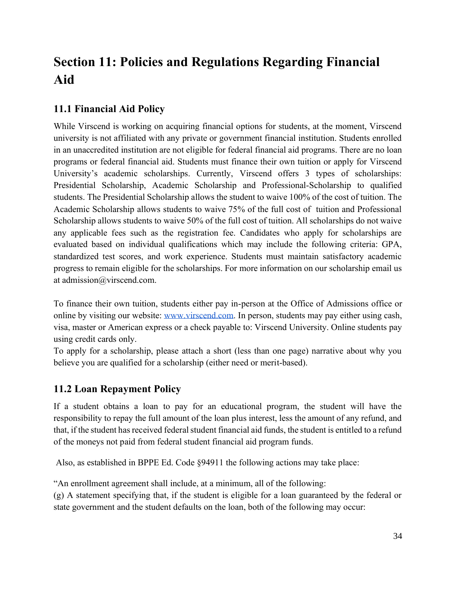# <span id="page-34-0"></span>**Section 11: Policies and Regulations Regarding Financial Aid**

# <span id="page-34-1"></span>**11.1 Financial Aid Policy**

While Virscend is working on acquiring financial options for students, at the moment, Virscend university is not affiliated with any private or government financial institution. Students enrolled in an unaccredited institution are not eligible for federal financial aid programs. There are no loan programs or federal financial aid. Students must finance their own tuition or apply for Virscend University's academic scholarships. Currently, Virscend offers 3 types of scholarships: Presidential Scholarship, Academic Scholarship and Professional-Scholarship to qualified students. The Presidential Scholarship allows the student to waive 100% of the cost of tuition. The Academic Scholarship allows students to waive 75% of the full cost of tuition and Professional Scholarship allows students to waive 50% of the full cost of tuition. All scholarships do not waive any applicable fees such as the registration fee. Candidates who apply for scholarships are evaluated based on individual qualifications which may include the following criteria: GPA, standardized test scores, and work experience. Students must maintain satisfactory academic progress to remain eligible for the scholarships. For more information on our scholarship email us at admission@virscend.com.

To finance their own tuition, students either pay in-person at the Office of Admissions office or online by visiting our website: [www.virscend.com.](http://www.virscend.com/) In person, students may pay either using cash, visa, master or American express or a check payable to: Virscend University. Online students pay using credit cards only.

To apply for a scholarship, please attach a short (less than one page) narrative about why you believe you are qualified for a scholarship (either need or merit-based).

# <span id="page-34-2"></span>**11.2 Loan Repayment Policy**

If a student obtains a loan to pay for an educational program, the student will have the responsibility to repay the full amount of the loan plus interest, less the amount of any refund, and that, if the student has received federal student financial aid funds, the student is entitled to a refund of the moneys not paid from federal student financial aid program funds.

Also, as established in BPPE Ed. Code §94911 the following actions may take place:

"An enrollment agreement shall include, at a minimum, all of the following:

(g) A statement specifying that, if the student is eligible for a loan guaranteed by the federal or state government and the student defaults on the loan, both of the following may occur: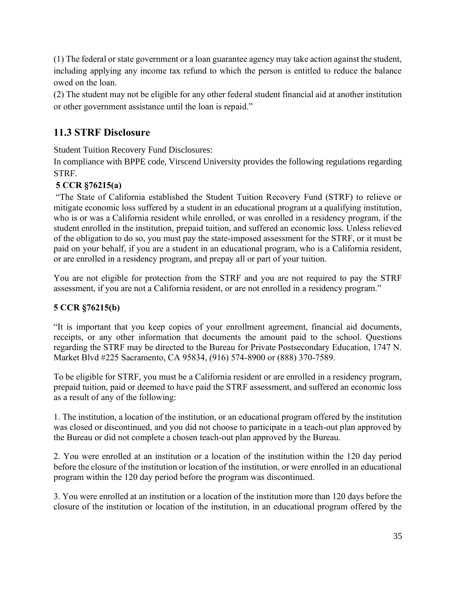(1) The federal or state government or a loan guarantee agency may take action against the student, including applying any income tax refund to which the person is entitled to reduce the balance owed on the loan.

(2) The student may not be eligible for any other federal student financial aid at another institution or other government assistance until the loan is repaid."

# <span id="page-35-0"></span>**11.3 STRF Disclosure**

Student Tuition Recovery Fund Disclosures:

In compliance with BPPE code, Virscend University provides the following regulations regarding STRF.

#### **5 CCR §76215(a)**

"The State of California established the Student Tuition Recovery Fund (STRF) to relieve or mitigate economic loss suffered by a student in an educational program at a qualifying institution, who is or was a California resident while enrolled, or was enrolled in a residency program, if the student enrolled in the institution, prepaid tuition, and suffered an economic loss. Unless relieved of the obligation to do so, you must pay the state-imposed assessment for the STRF, or it must be paid on your behalf, if you are a student in an educational program, who is a California resident, or are enrolled in a residency program, and prepay all or part of your tuition.

You are not eligible for protection from the STRF and you are not required to pay the STRF assessment, if you are not a California resident, or are not enrolled in a residency program."

#### **5 CCR §76215(b)**

"It is important that you keep copies of your enrollment agreement, financial aid documents, receipts, or any other information that documents the amount paid to the school. Questions regarding the STRF may be directed to the Bureau for Private Postsecondary Education, 1747 N. Market Blvd #225 Sacramento, CA 95834, (916) 574-8900 or (888) 370-7589.

To be eligible for STRF, you must be a California resident or are enrolled in a residency program, prepaid tuition, paid or deemed to have paid the STRF assessment, and suffered an economic loss as a result of any of the following:

1. The institution, a location of the institution, or an educational program offered by the institution was closed or discontinued, and you did not choose to participate in a teach-out plan approved by the Bureau or did not complete a chosen teach-out plan approved by the Bureau.

2. You were enrolled at an institution or a location of the institution within the 120 day period before the closure of the institution or location of the institution, or were enrolled in an educational program within the 120 day period before the program was discontinued.

3. You were enrolled at an institution or a location of the institution more than 120 days before the closure of the institution or location of the institution, in an educational program offered by the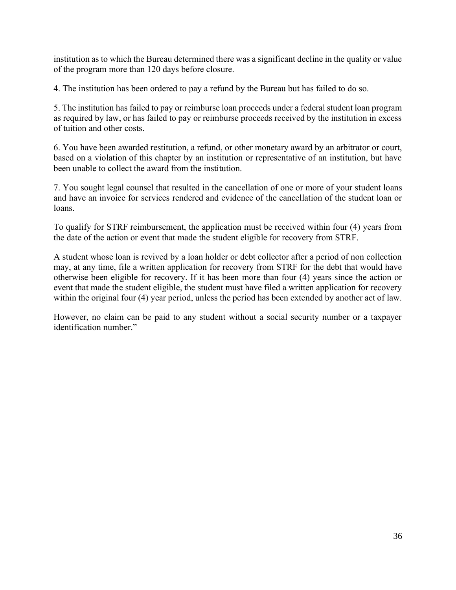institution as to which the Bureau determined there was a significant decline in the quality or value of the program more than 120 days before closure.

4. The institution has been ordered to pay a refund by the Bureau but has failed to do so.

5. The institution has failed to pay or reimburse loan proceeds under a federal student loan program as required by law, or has failed to pay or reimburse proceeds received by the institution in excess of tuition and other costs.

6. You have been awarded restitution, a refund, or other monetary award by an arbitrator or court, based on a violation of this chapter by an institution or representative of an institution, but have been unable to collect the award from the institution.

7. You sought legal counsel that resulted in the cancellation of one or more of your student loans and have an invoice for services rendered and evidence of the cancellation of the student loan or loans.

To qualify for STRF reimbursement, the application must be received within four (4) years from the date of the action or event that made the student eligible for recovery from STRF.

A student whose loan is revived by a loan holder or debt collector after a period of non collection may, at any time, file a written application for recovery from STRF for the debt that would have otherwise been eligible for recovery. If it has been more than four (4) years since the action or event that made the student eligible, the student must have filed a written application for recovery within the original four (4) year period, unless the period has been extended by another act of law.

However, no claim can be paid to any student without a social security number or a taxpayer identification number."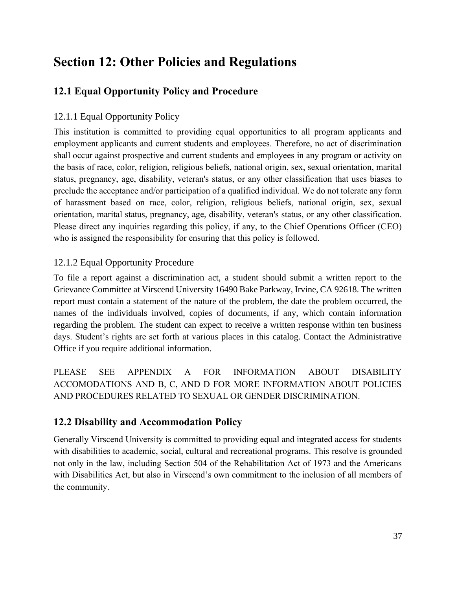## **Section 12: Other Policies and Regulations**

## **12.1 Equal Opportunity Policy and Procedure**

### 12.1.1 Equal Opportunity Policy

This institution is committed to providing equal opportunities to all program applicants and employment applicants and current students and employees. Therefore, no act of discrimination shall occur against prospective and current students and employees in any program or activity on the basis of race, color, religion, religious beliefs, national origin, sex, sexual orientation, marital status, pregnancy, age, disability, veteran's status, or any other classification that uses biases to preclude the acceptance and/or participation of a qualified individual. We do not tolerate any form of harassment based on race, color, religion, religious beliefs, national origin, sex, sexual orientation, marital status, pregnancy, age, disability, veteran's status, or any other classification. Please direct any inquiries regarding this policy, if any, to the Chief Operations Officer (CEO) who is assigned the responsibility for ensuring that this policy is followed.

#### 12.1.2 Equal Opportunity Procedure

To file a report against a discrimination act, a student should submit a written report to the Grievance Committee at Virscend University 16490 Bake Parkway, Irvine, CA 92618. The written report must contain a statement of the nature of the problem, the date the problem occurred, the names of the individuals involved, copies of documents, if any, which contain information regarding the problem. The student can expect to receive a written response within ten business days. Student's rights are set forth at various places in this catalog. Contact the Administrative Office if you require additional information.

PLEASE SEE APPENDIX A FOR INFORMATION ABOUT DISABILITY ACCOMODATIONS AND B, C, AND D FOR MORE INFORMATION ABOUT POLICIES AND PROCEDURES RELATED TO SEXUAL OR GENDER DISCRIMINATION.

## **12.2 Disability and Accommodation Policy**

Generally Virscend University is committed to providing equal and integrated access for students with disabilities to academic, social, cultural and recreational programs. This resolve is grounded not only in the law, including Section 504 of the Rehabilitation Act of 1973 and the Americans with Disabilities Act, but also in Virscend's own commitment to the inclusion of all members of the community.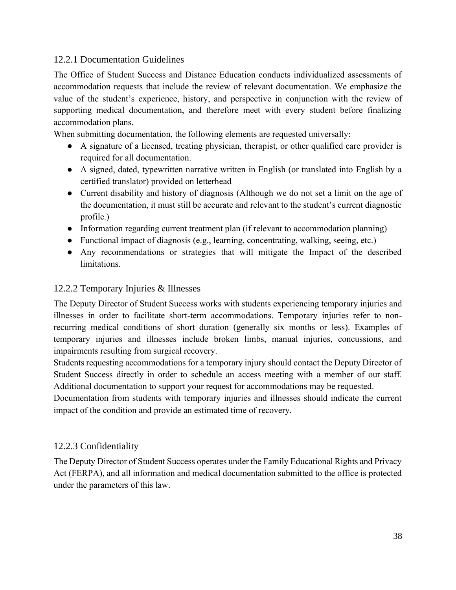#### 12.2.1 Documentation Guidelines

The Office of Student Success and Distance Education conducts individualized assessments of accommodation requests that include the review of relevant documentation. We emphasize the value of the student's experience, history, and perspective in conjunction with the review of supporting medical documentation, and therefore meet with every student before finalizing accommodation plans.

When submitting documentation, the following elements are requested universally:

- A signature of a licensed, treating physician, therapist, or other qualified care provider is required for all documentation.
- A signed, dated, typewritten narrative written in English (or translated into English by a certified translator) provided on letterhead
- Current disability and history of diagnosis (Although we do not set a limit on the age of the documentation, it must still be accurate and relevant to the student's current diagnostic profile.)
- Information regarding current treatment plan (if relevant to accommodation planning)
- Functional impact of diagnosis (e.g., learning, concentrating, walking, seeing, etc.)
- Any recommendations or strategies that will mitigate the Impact of the described limitations.

#### 12.2.2 Temporary Injuries & Illnesses

The Deputy Director of Student Success works with students experiencing temporary injuries and illnesses in order to facilitate short-term accommodations. Temporary injuries refer to nonrecurring medical conditions of short duration (generally six months or less). Examples of temporary injuries and illnesses include broken limbs, manual injuries, concussions, and impairments resulting from surgical recovery.

Students requesting accommodations for a temporary injury should contact the Deputy Director of Student Success directly in order to schedule an access meeting with a member of our staff. Additional documentation to support your request for accommodations may be requested.

Documentation from students with temporary injuries and illnesses should indicate the current impact of the condition and provide an estimated time of recovery.

#### 12.2.3 Confidentiality

The Deputy Director of Student Success operates under the Family Educational Rights and Privacy Act (FERPA), and all information and medical documentation submitted to the office is protected under the parameters of this law.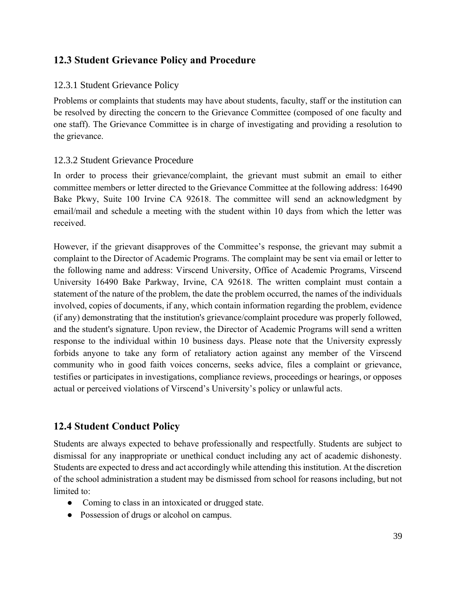## **12.3 Student Grievance Policy and Procedure**

#### 12.3.1 Student Grievance Policy

Problems or complaints that students may have about students, faculty, staff or the institution can be resolved by directing the concern to the Grievance Committee (composed of one faculty and one staff). The Grievance Committee is in charge of investigating and providing a resolution to the grievance.

#### 12.3.2 Student Grievance Procedure

In order to process their grievance/complaint, the grievant must submit an email to either committee members or letter directed to the Grievance Committee at the following address: 16490 Bake Pkwy, Suite 100 Irvine CA 92618. The committee will send an acknowledgment by email/mail and schedule a meeting with the student within 10 days from which the letter was received.

However, if the grievant disapproves of the Committee's response, the grievant may submit a complaint to the Director of Academic Programs. The complaint may be sent via email or letter to the following name and address: Virscend University, Office of Academic Programs, Virscend University 16490 Bake Parkway, Irvine, CA 92618. The written complaint must contain a statement of the nature of the problem, the date the problem occurred, the names of the individuals involved, copies of documents, if any, which contain information regarding the problem, evidence (if any) demonstrating that the institution's grievance/complaint procedure was properly followed, and the student's signature. Upon review, the Director of Academic Programs will send a written response to the individual within 10 business days. Please note that the University expressly forbids anyone to take any form of retaliatory action against any member of the Virscend community who in good faith voices concerns, seeks advice, files a complaint or grievance, testifies or participates in investigations, compliance reviews, proceedings or hearings, or opposes actual or perceived violations of Virscend's University's policy or unlawful acts.

### **12.4 Student Conduct Policy**

Students are always expected to behave professionally and respectfully. Students are subject to dismissal for any inappropriate or unethical conduct including any act of academic dishonesty. Students are expected to dress and act accordingly while attending this institution. At the discretion of the school administration a student may be dismissed from school for reasons including, but not limited to:

- Coming to class in an intoxicated or drugged state.
- Possession of drugs or alcohol on campus.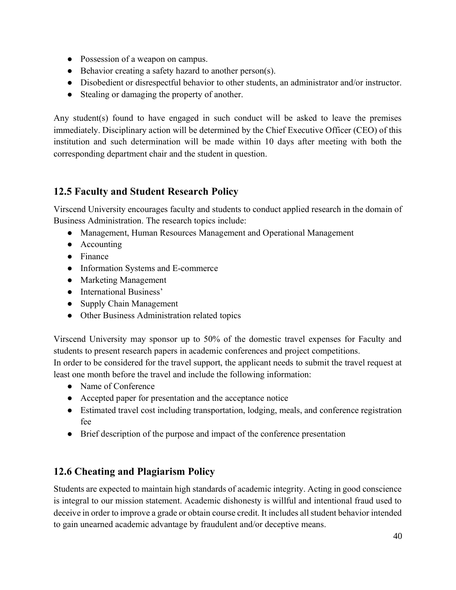- Possession of a weapon on campus.
- Behavior creating a safety hazard to another person(s).
- Disobedient or disrespectful behavior to other students, an administrator and/or instructor.
- Stealing or damaging the property of another.

Any student(s) found to have engaged in such conduct will be asked to leave the premises immediately. Disciplinary action will be determined by the Chief Executive Officer (CEO) of this institution and such determination will be made within 10 days after meeting with both the corresponding department chair and the student in question.

## **12.5 Faculty and Student Research Policy**

Virscend University encourages faculty and students to conduct applied research in the domain of Business Administration. The research topics include:

- Management, Human Resources Management and Operational Management
- Accounting
- Finance
- Information Systems and E-commerce
- Marketing Management
- International Business'
- Supply Chain Management
- Other Business Administration related topics

Virscend University may sponsor up to 50% of the domestic travel expenses for Faculty and students to present research papers in academic conferences and project competitions.

In order to be considered for the travel support, the applicant needs to submit the travel request at least one month before the travel and include the following information:

- Name of Conference
- Accepted paper for presentation and the acceptance notice
- Estimated travel cost including transportation, lodging, meals, and conference registration fee
- Brief description of the purpose and impact of the conference presentation

### **12.6 Cheating and Plagiarism Policy**

Students are expected to maintain high standards of academic integrity. Acting in good conscience is integral to our mission statement. Academic dishonesty is willful and intentional fraud used to deceive in order to improve a grade or obtain course credit. It includes all student behavior intended to gain unearned academic advantage by fraudulent and/or deceptive means.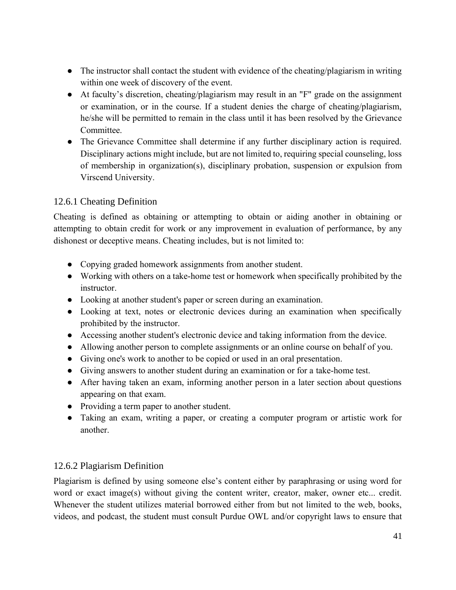- The instructor shall contact the student with evidence of the cheating/plagiarism in writing within one week of discovery of the event.
- At faculty's discretion, cheating/plagiarism may result in an "F" grade on the assignment or examination, or in the course. If a student denies the charge of cheating/plagiarism, he/she will be permitted to remain in the class until it has been resolved by the Grievance Committee.
- The Grievance Committee shall determine if any further disciplinary action is required. Disciplinary actions might include, but are not limited to, requiring special counseling, loss of membership in organization(s), disciplinary probation, suspension or expulsion from Virscend University.

#### 12.6.1 Cheating Definition

Cheating is defined as obtaining or attempting to obtain or aiding another in obtaining or attempting to obtain credit for work or any improvement in evaluation of performance, by any dishonest or deceptive means. Cheating includes, but is not limited to:

- Copying graded homework assignments from another student.
- Working with others on a take-home test or homework when specifically prohibited by the instructor.
- Looking at another student's paper or screen during an examination.
- Looking at text, notes or electronic devices during an examination when specifically prohibited by the instructor.
- Accessing another student's electronic device and taking information from the device.
- Allowing another person to complete assignments or an online course on behalf of you.
- Giving one's work to another to be copied or used in an oral presentation.
- Giving answers to another student during an examination or for a take-home test.
- After having taken an exam, informing another person in a later section about questions appearing on that exam.
- Providing a term paper to another student.
- Taking an exam, writing a paper, or creating a computer program or artistic work for another.

#### 12.6.2 Plagiarism Definition

Plagiarism is defined by using someone else's content either by paraphrasing or using word for word or exact image(s) without giving the content writer, creator, maker, owner etc... credit. Whenever the student utilizes material borrowed either from but not limited to the web, books, videos, and podcast, the student must consult Purdue OWL and/or copyright laws to ensure that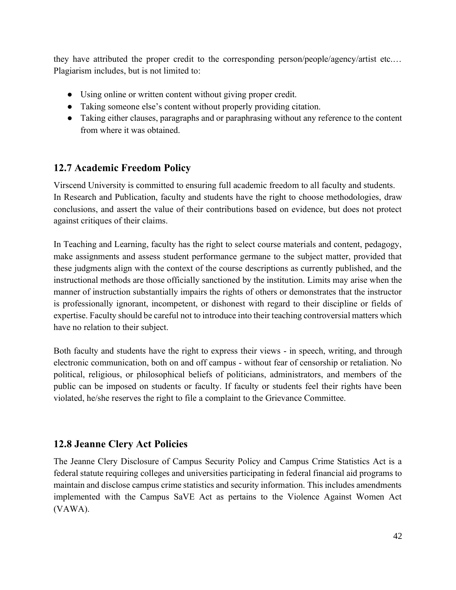they have attributed the proper credit to the corresponding person/people/agency/artist etc.… Plagiarism includes, but is not limited to:

- Using online or written content without giving proper credit.
- Taking someone else's content without properly providing citation.
- Taking either clauses, paragraphs and or paraphrasing without any reference to the content from where it was obtained.

### **12.7 Academic Freedom Policy**

Virscend University is committed to ensuring full academic freedom to all faculty and students. In Research and Publication, faculty and students have the right to choose methodologies, draw conclusions, and assert the value of their contributions based on evidence, but does not protect against critiques of their claims.

In Teaching and Learning, faculty has the right to select course materials and content, pedagogy, make assignments and assess student performance germane to the subject matter, provided that these judgments align with the context of the course descriptions as currently published, and the instructional methods are those officially sanctioned by the institution. Limits may arise when the manner of instruction substantially impairs the rights of others or demonstrates that the instructor is professionally ignorant, incompetent, or dishonest with regard to their discipline or fields of expertise. Faculty should be careful not to introduce into their teaching controversial matters which have no relation to their subject.

Both faculty and students have the right to express their views - in speech, writing, and through electronic communication, both on and off campus - without fear of censorship or retaliation. No political, religious, or philosophical beliefs of politicians, administrators, and members of the public can be imposed on students or faculty. If faculty or students feel their rights have been violated, he/she reserves the right to file a complaint to the Grievance Committee.

## **12.8 Jeanne Clery Act Policies**

The Jeanne Clery Disclosure of Campus Security Policy and Campus Crime Statistics Act is a federal statute requiring colleges and universities participating in federal financial aid programs to maintain and disclose campus crime statistics and security information. This includes amendments implemented with the Campus SaVE Act as pertains to the Violence Against Women Act (VAWA).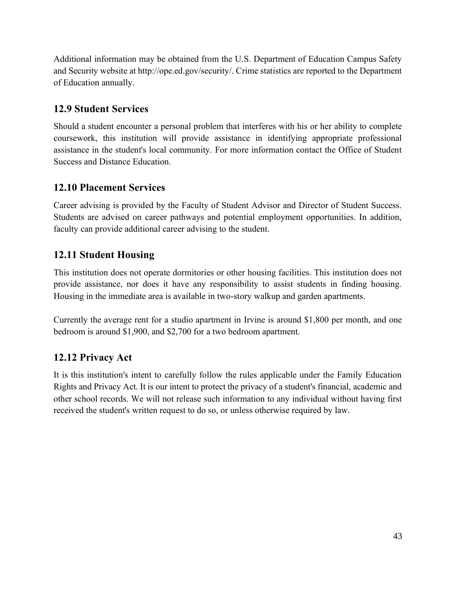Additional information may be obtained from the U.S. Department of Education Campus Safety and Security website at http://ope.ed.gov/security/. Crime statistics are reported to the Department of Education annually.

## **12.9 Student Services**

Should a student encounter a personal problem that interferes with his or her ability to complete coursework, this institution will provide assistance in identifying appropriate professional assistance in the student's local community. For more information contact the Office of Student Success and Distance Education.

## **12.10 Placement Services**

Career advising is provided by the Faculty of Student Advisor and Director of Student Success. Students are advised on career pathways and potential employment opportunities. In addition, faculty can provide additional career advising to the student.

## **12.11 Student Housing**

This institution does not operate dormitories or other housing facilities. This institution does not provide assistance, nor does it have any responsibility to assist students in finding housing. Housing in the immediate area is available in two-story walkup and garden apartments.

Currently the average rent for a studio apartment in Irvine is around \$1,800 per month, and one bedroom is around \$1,900, and \$2,700 for a two bedroom apartment.

## **12.12 Privacy Act**

It is this institution's intent to carefully follow the rules applicable under the Family Education Rights and Privacy Act. It is our intent to protect the privacy of a student's financial, academic and other school records. We will not release such information to any individual without having first received the student's written request to do so, or unless otherwise required by law.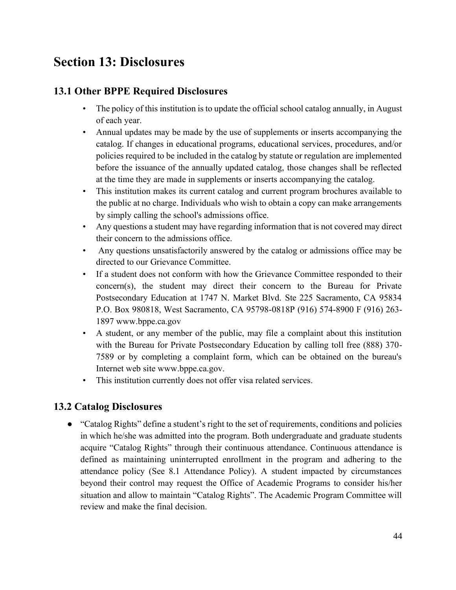## **Section 13: Disclosures**

## **13.1 Other BPPE Required Disclosures**

- The policy of this institution is to update the official school catalog annually, in August of each year.
- Annual updates may be made by the use of supplements or inserts accompanying the catalog. If changes in educational programs, educational services, procedures, and/or policies required to be included in the catalog by statute or regulation are implemented before the issuance of the annually updated catalog, those changes shall be reflected at the time they are made in supplements or inserts accompanying the catalog.
- This institution makes its current catalog and current program brochures available to the public at no charge. Individuals who wish to obtain a copy can make arrangements by simply calling the school's admissions office.
- Any questions a student may have regarding information that is not covered may direct their concern to the admissions office.
- Any questions unsatisfactorily answered by the catalog or admissions office may be directed to our Grievance Committee.
- If a student does not conform with how the Grievance Committee responded to their concern(s), the student may direct their concern to the Bureau for Private Postsecondary Education at 1747 N. Market Blvd. Ste 225 Sacramento, CA 95834 P.O. Box 980818, West Sacramento, CA 95798-0818P (916) 574-8900 F (916) 263- 1897 www.bppe.ca.gov
- A student, or any member of the public, may file a complaint about this institution with the Bureau for Private Postsecondary Education by calling toll free (888) 370- 7589 or by completing a complaint form, which can be obtained on the bureau's Internet web site www.bppe.ca.gov.
- This institution currently does not offer visa related services.

## **13.2 Catalog Disclosures**

● "Catalog Rights" define a student's right to the set of requirements, conditions and policies in which he/she was admitted into the program. Both undergraduate and graduate students acquire "Catalog Rights" through their continuous attendance. Continuous attendance is defined as maintaining uninterrupted enrollment in the program and adhering to the attendance policy (See 8.1 Attendance Policy). A student impacted by circumstances beyond their control may request the Office of Academic Programs to consider his/her situation and allow to maintain "Catalog Rights". The Academic Program Committee will review and make the final decision.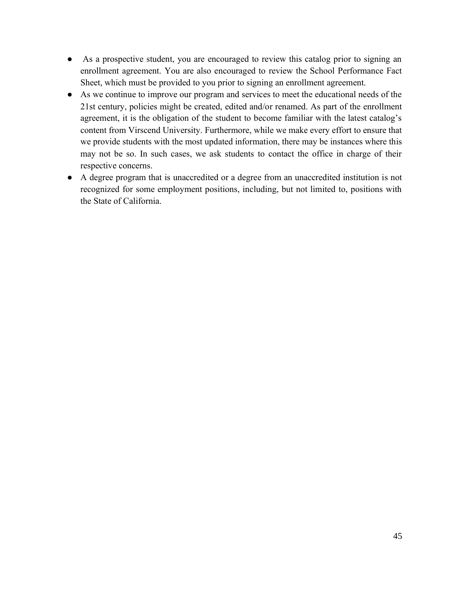- As a prospective student, you are encouraged to review this catalog prior to signing an enrollment agreement. You are also encouraged to review the School Performance Fact Sheet, which must be provided to you prior to signing an enrollment agreement.
- As we continue to improve our program and services to meet the educational needs of the 21st century, policies might be created, edited and/or renamed. As part of the enrollment agreement, it is the obligation of the student to become familiar with the latest catalog's content from Virscend University. Furthermore, while we make every effort to ensure that we provide students with the most updated information, there may be instances where this may not be so. In such cases, we ask students to contact the office in charge of their respective concerns.
- A degree program that is unaccredited or a degree from an unaccredited institution is not recognized for some employment positions, including, but not limited to, positions with the State of California.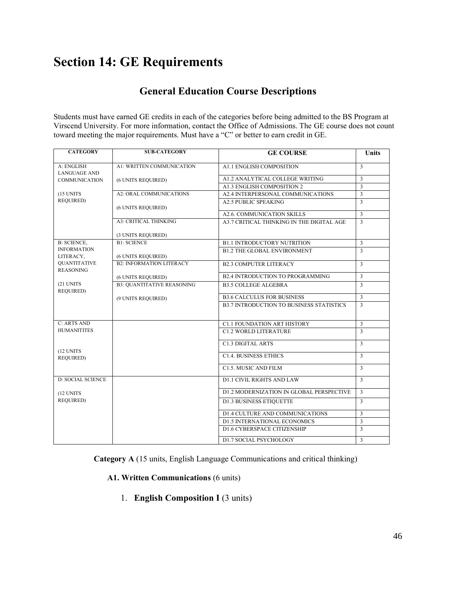## **Section 14: GE Requirements**

## **General Education Course Descriptions**

Students must have earned GE credits in each of the categories before being admitted to the BS Program at Virscend University. For more information, contact the Office of Admissions. The GE course does not count toward meeting the major requirements. Must have a "C" or better to earn credit in GE.

| <b>CATEGORY</b>                   | <b>SUB-CATEGORY</b>               | <b>GE COURSE</b>                                | <b>Units</b>   |
|-----------------------------------|-----------------------------------|-------------------------------------------------|----------------|
| A: ENGLISH<br><b>LANGUAGE AND</b> | A1: WRITTEN COMMUNICATION         | <b>A1.1 ENGLISH COMPOSITION</b>                 | $\overline{3}$ |
| <b>COMMUNICATION</b>              | (6 UNITS REQUIRED)                | A1.2 ANALYTICAL COLLEGE WRITING                 | 3              |
|                                   |                                   | A1.3 ENGLISH COMPOSITION 2                      | $\overline{3}$ |
| (15 UNITS                         | <b>A2: ORAL COMMUNICATIONS</b>    | A2.4 INTERPERSONAL COMMUNICATIONS               | $\overline{3}$ |
| REQUIRED)                         | (6 UNITS REQUIRED)                | <b>A2.5 PUBLIC SPEAKING</b>                     | 3              |
|                                   |                                   | A2.6. COMMUNICATION SKILLS                      | $\overline{3}$ |
|                                   | <b>A3: CRITICAL THINKING</b>      | A3.7 CRITICAL THINKING IN THE DIGITAL AGE       | $\overline{3}$ |
|                                   | (3 UNITS REQUIRED)                |                                                 |                |
| <b>B: SCIENCE,</b>                | <b>B1: SCIENCE</b>                | <b>B1.1 INTRODUCTORY NUTRITION</b>              | 3              |
| <b>INFORMATION</b><br>LITERACY,   | (6 UNITS REQUIRED)                | <b>B1.2 THE GLOBAL ENVIRONMENT</b>              | $\overline{3}$ |
| QUANTITATIVE<br><b>REASONING</b>  | <b>B2: INFORMATION LITERACY</b>   | <b>B2.3 COMPUTER LITERACY</b>                   | $\overline{3}$ |
|                                   | (6 UNITS REQUIRED)                | <b>B2.4 INTRODUCTION TO PROGRAMMING</b>         | $\overline{3}$ |
| (21 UNITS<br><b>REQUIRED)</b>     | <b>B3: OUANTITATIVE REASONING</b> | <b>B3.5 COLLEGE ALGEBRA</b>                     | $\overline{3}$ |
|                                   | (9 UNITS REQUIRED)                | <b>B3.6 CALCULUS FOR BUSINESS</b>               | $\overline{3}$ |
|                                   |                                   | <b>B3.7 INTRODUCTION TO BUSINESS STATISTICS</b> | $\overline{3}$ |
| <b>C: ARTS AND</b>                |                                   | <b>C1.1 FOUNDATION ART HISTORY</b>              | 3              |
| <b>HUMANITITES</b>                |                                   | <b>C1.2 WORLD LITERATURE</b>                    | $\overline{3}$ |
| (12 UNITS)                        |                                   | <b>C1.3 DIGITAL ARTS</b>                        | $\overline{3}$ |
| <b>REQUIRED)</b>                  |                                   | <b>C1.4. BUSINESS ETHICS</b>                    | 3              |
|                                   |                                   | C1.5. MUSIC AND FILM                            | 3              |
| <b>D: SOCIAL SCIENCE</b>          |                                   | <b>D1.1 CIVIL RIGHTS AND LAW</b>                | 3              |
| (12 UNITS                         |                                   | D1.2 MODERNIZATION IN GLOBAL PERSPECTIVE        | $\overline{3}$ |
| REQUIRED)                         |                                   | <b>D1.3 BUSINESS ETIQUETTE</b>                  | 3              |
|                                   |                                   | D1.4 CULTURE AND COMMUNICATIONS                 | $\overline{3}$ |
|                                   |                                   | <b>D1.5 INTERNATIONAL ECONOMICS</b>             | $\overline{3}$ |
|                                   |                                   | D1.6 CYBERSPACE CITIZENSHIP                     | $\overline{3}$ |
|                                   |                                   | <b>D1.7 SOCIAL PSYCHOLOGY</b>                   | 3              |

**Category A** (15 units, English Language Communications and critical thinking)

#### **A1. Written Communications** (6 units)

1. **English Composition I** (3 units)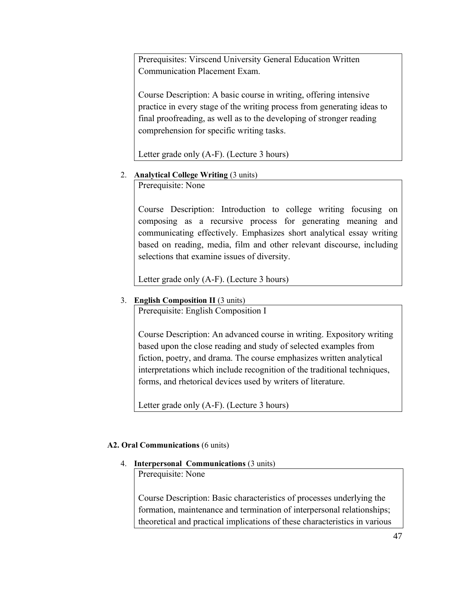Prerequisites: Virscend University General Education Written Communication Placement Exam.

Course Description: A basic course in writing, offering intensive practice in every stage of the writing process from generating ideas to final proofreading, as well as to the developing of stronger reading comprehension for specific writing tasks.

Letter grade only (A-F). (Lecture 3 hours)

#### 2. **Analytical College Writing** (3 units)

Prerequisite: None

Course Description: Introduction to college writing focusing on composing as a recursive process for generating meaning and communicating effectively. Emphasizes short analytical essay writing based on reading, media, film and other relevant discourse, including selections that examine issues of diversity.

Letter grade only (A-F). (Lecture 3 hours)

#### 3. **English Composition II** (3 units)

Prerequisite: English Composition I

Course Description: An advanced course in writing. Expository writing based upon the close reading and study of selected examples from fiction, poetry, and drama. The course emphasizes written analytical interpretations which include recognition of the traditional techniques, forms, and rhetorical devices used by writers of literature.

Letter grade only (A-F). (Lecture 3 hours)

#### **A2. Oral Communications** (6 units)

#### 4. **Interpersonal Communications** (3 units)

Prerequisite: None

Course Description: Basic characteristics of processes underlying the formation, maintenance and termination of interpersonal relationships; theoretical and practical implications of these characteristics in various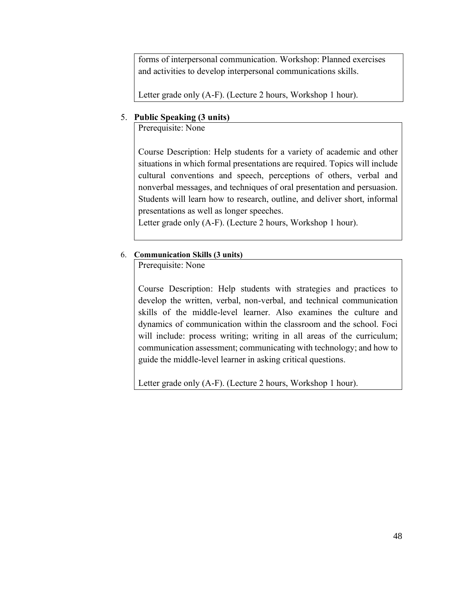forms of interpersonal communication. Workshop: Planned exercises and activities to develop interpersonal communications skills.

Letter grade only (A-F). (Lecture 2 hours, Workshop 1 hour).

#### 5. **Public Speaking (3 units)**

Prerequisite: None

Course Description: Help students for a variety of academic and other situations in which formal presentations are required. Topics will include cultural conventions and speech, perceptions of others, verbal and nonverbal messages, and techniques of oral presentation and persuasion. Students will learn how to research, outline, and deliver short, informal presentations as well as longer speeches.

Letter grade only (A-F). (Lecture 2 hours, Workshop 1 hour).

#### 6. **Communication Skills (3 units)**

Prerequisite: None

Course Description: Help students with strategies and practices to develop the written, verbal, non-verbal, and technical communication skills of the middle-level learner. Also examines the culture and dynamics of communication within the classroom and the school. Foci will include: process writing; writing in all areas of the curriculum; communication assessment; communicating with technology; and how to guide the middle-level learner in asking critical questions.

Letter grade only (A-F). (Lecture 2 hours, Workshop 1 hour).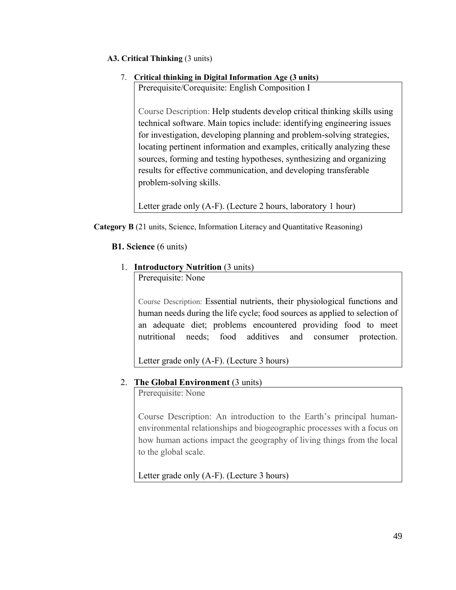#### **A3. Critical Thinking** (3 units)

#### 7. **Critical thinking in Digital Information Age (3 units)**

Prerequisite/Corequisite: English Composition I

Course Description: Help students develop critical thinking skills using technical software. Main topics include: identifying engineering issues for investigation, developing planning and problem-solving strategies, locating pertinent information and examples, critically analyzing these sources, forming and testing hypotheses, synthesizing and organizing results for effective communication, and developing transferable problem-solving skills.

Letter grade only (A-F). (Lecture 2 hours, laboratory 1 hour)

**Category B** (21 units, Science, Information Literacy and Quantitative Reasoning)

**B1. Science** (6 units)

#### 1. **Introductory Nutrition** (3 units)

Prerequisite: None

Course Description: Essential nutrients, their physiological functions and human needs during the life cycle; food sources as applied to selection of an adequate diet; problems encountered providing food to meet nutritional needs; food additives and consumer protection.

Letter grade only (A-F). (Lecture 3 hours)

#### 2. **The Global Environment** (3 units)

Prerequisite: None

Course Description: An introduction to the Earth's principal humanenvironmental relationships and biogeographic processes with a focus on how human actions impact the geography of living things from the local to the global scale.

Letter grade only (A-F). (Lecture 3 hours)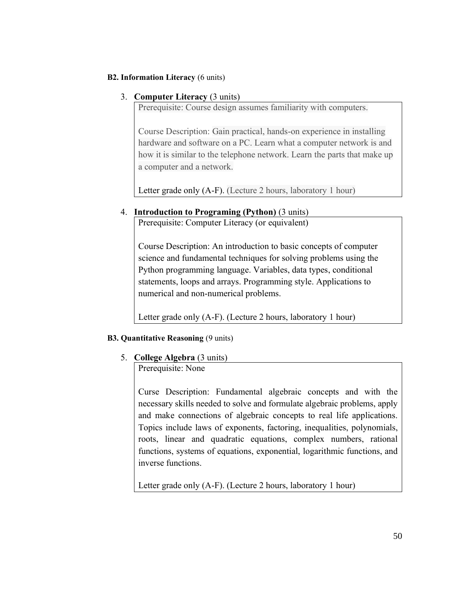#### **B2. Information Literacy** (6 units)

#### 3. **Computer Literacy** (3 units)

Prerequisite: Course design assumes familiarity with computers.

Course Description: Gain practical, hands-on experience in installing hardware and software on a PC. Learn what a computer network is and how it is similar to the telephone network. Learn the parts that make up a computer and a network.

Letter grade only (A-F). (Lecture 2 hours, laboratory 1 hour)

#### 4. **Introduction to Programing (Python)** (3 units)

Prerequisite: Computer Literacy (or equivalent)

Course Description: An introduction to basic concepts of computer science and fundamental techniques for solving problems using the Python programming language. Variables, data types, conditional statements, loops and arrays. Programming style. Applications to numerical and non-numerical problems.

Letter grade only (A-F). (Lecture 2 hours, laboratory 1 hour)

#### **B3. Quantitative Reasoning** (9 units)

#### 5. **College Algebra** (3 units)

Prerequisite: None

Curse Description: Fundamental algebraic concepts and with the necessary skills needed to solve and formulate algebraic problems, apply and make connections of algebraic concepts to real life applications. Topics include laws of exponents, factoring, inequalities, polynomials, roots, linear and quadratic equations, complex numbers, rational functions, systems of equations, exponential, logarithmic functions, and inverse functions.

Letter grade only (A-F). (Lecture 2 hours, laboratory 1 hour)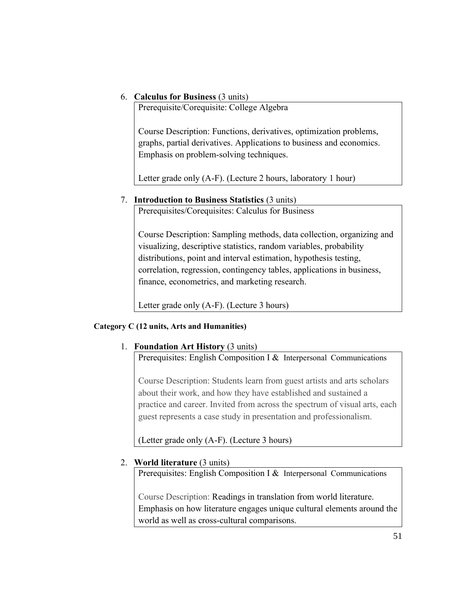#### 6. **Calculus for Business** (3 units)

Prerequisite/Corequisite: College Algebra

Course Description: Functions, derivatives, optimization problems, graphs, partial derivatives. Applications to business and economics. Emphasis on problem-solving techniques.

Letter grade only (A-F). (Lecture 2 hours, laboratory 1 hour)

#### 7. **Introduction to Business Statistics** (3 units)

Prerequisites/Corequisites: Calculus for Business

Course Description: Sampling methods, data collection, organizing and visualizing, descriptive statistics, random variables, probability distributions, point and interval estimation, hypothesis testing, correlation, regression, contingency tables, applications in business, finance, econometrics, and marketing research.

Letter grade only (A-F). (Lecture 3 hours)

#### **Category C (12 units, Arts and Humanities)**

#### 1. **Foundation Art History** (3 units)

Prerequisites: English Composition I & Interpersonal Communications

Course Description: Students learn from guest artists and arts scholars about their work, and how they have established and sustained a practice and career. Invited from across the spectrum of visual arts, each guest represents a case study in presentation and professionalism.

(Letter grade only (A-F). (Lecture 3 hours)

#### 2. **World literature** (3 units)

Prerequisites: English Composition I & Interpersonal Communications

Course Description: Readings in translation from world literature. Emphasis on how literature engages unique cultural elements around the world as well as cross-cultural comparisons.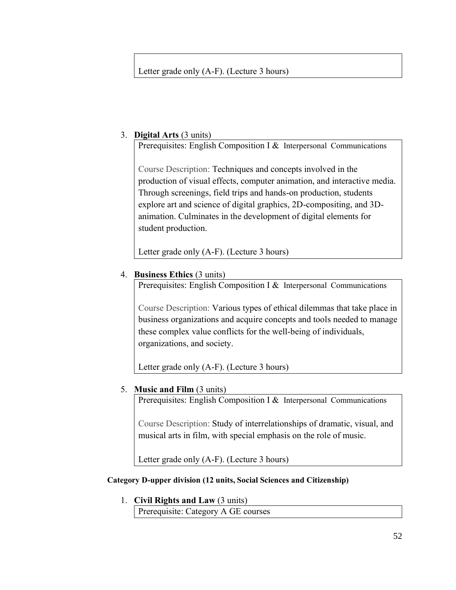#### Letter grade only (A-F). (Lecture 3 hours)

#### 3. **Digital Arts** (3 units)

Prerequisites: English Composition I & Interpersonal Communications

Course Description: Techniques and concepts involved in the production of visual effects, computer animation, and interactive media. Through screenings, field trips and hands-on production, students explore art and science of digital graphics, 2D-compositing, and 3Danimation. Culminates in the development of digital elements for student production.

Letter grade only (A-F). (Lecture 3 hours)

#### 4. **Business Ethics** (3 units)

Prerequisites: English Composition I & Interpersonal Communications

Course Description: Various types of ethical dilemmas that take place in business organizations and acquire concepts and tools needed to manage these complex value conflicts for the well-being of individuals, organizations, and society.

Letter grade only (A-F). (Lecture 3 hours)

#### 5. **Music and Film** (3 units)

Prerequisites: English Composition I & Interpersonal Communications

Course Description: Study of interrelationships of dramatic, visual, and musical arts in film, with special emphasis on the role of music.

Letter grade only (A-F). (Lecture 3 hours)

#### **Category D-upper division (12 units, Social Sciences and Citizenship)**

#### 1. **Civil Rights and Law** (3 units)

Prerequisite: Category A GE courses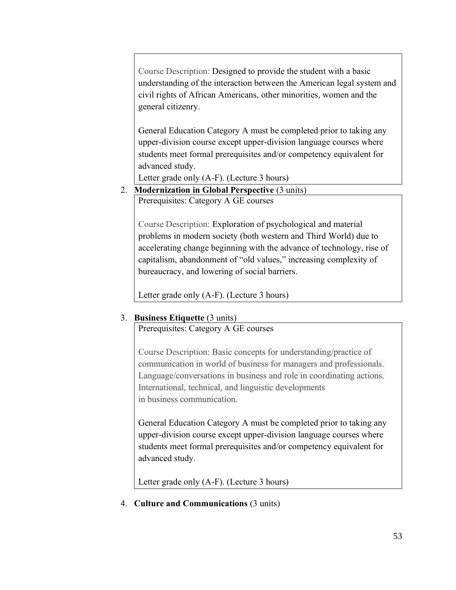Course Description: Designed to provide the student with a basic understanding of the interaction between the American legal system and civil rights of African Americans, other minorities, women and the general citizenry.

General Education Category A must be completed prior to taking any upper-division course except upper-division language courses where students meet formal prerequisites and/or competency equivalent for advanced study.

Letter grade only (A-F). (Lecture 3 hours)

2. **Modernization in Global Perspective** (3 units)

Prerequisites: Category A GE courses

Course Description: Exploration of psychological and material problems in modern society (both western and Third World) due to accelerating change beginning with the advance of technology, rise of capitalism, abandonment of "old values," increasing complexity of bureaucracy, and lowering of social barriers.

Letter grade only (A-F). (Lecture 3 hours)

#### 3. **Business Etiquette** (3 units)

Prerequisites: Category A GE courses

Course Description: Basic concepts for understanding/practice of communication in world of business for managers and professionals. Language/conversations in business and role in coordinating actions. International, technical, and linguistic developments in business communication.

General Education Category A must be completed prior to taking any upper-division course except upper-division language courses where students meet formal prerequisites and/or competency equivalent for advanced study.

Letter grade only (A-F). (Lecture 3 hours)

4. **Culture and Communications** (3 units)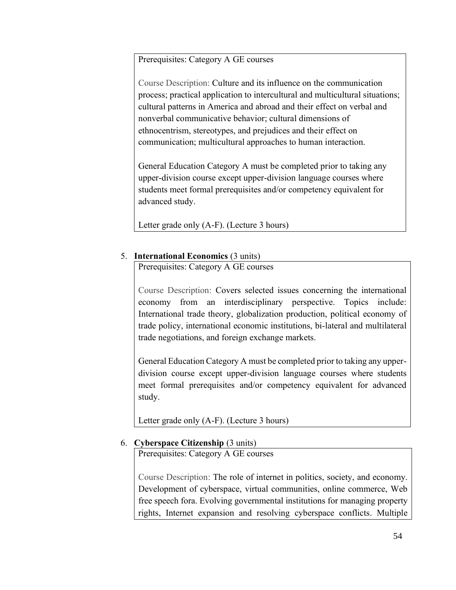Prerequisites: Category A GE courses

Course Description: Culture and its influence on the communication process; practical application to intercultural and multicultural situations; cultural patterns in America and abroad and their effect on verbal and nonverbal communicative behavior; cultural dimensions of ethnocentrism, stereotypes, and prejudices and their effect on communication; multicultural approaches to human interaction.

General Education Category A must be completed prior to taking any upper-division course except upper-division language courses where students meet formal prerequisites and/or competency equivalent for advanced study.

Letter grade only (A-F). (Lecture 3 hours)

#### 5. **International Economics** (3 units)

Prerequisites: Category A GE courses

Course Description: Covers selected issues concerning the international economy from an interdisciplinary perspective. Topics include: International trade theory, globalization production, political economy of trade policy, international economic institutions, bi-lateral and multilateral trade negotiations, and foreign exchange markets.

General Education Category A must be completed prior to taking any upperdivision course except upper-division language courses where students meet formal prerequisites and/or competency equivalent for advanced study.

Letter grade only (A-F). (Lecture 3 hours)

#### 6. **Cyberspace Citizenship** (3 units)

Prerequisites: Category A GE courses

Course Description: The role of internet in politics, society, and economy. Development of cyberspace, virtual communities, online commerce, Web free speech fora. Evolving governmental institutions for managing property rights, Internet expansion and resolving cyberspace conflicts. Multiple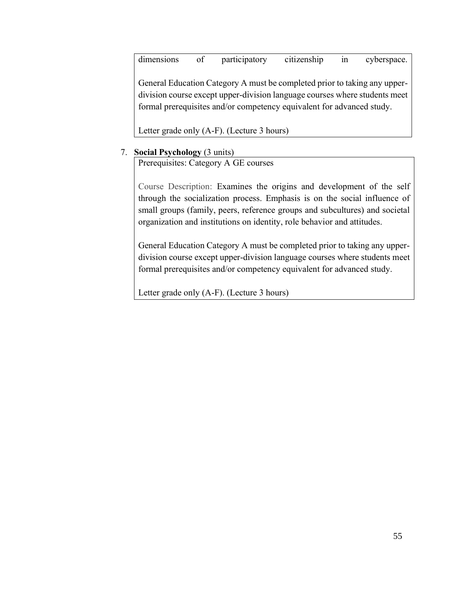dimensions of participatory citizenship in cyberspace.

General Education Category A must be completed prior to taking any upperdivision course except upper-division language courses where students meet formal prerequisites and/or competency equivalent for advanced study.

Letter grade only (A-F). (Lecture 3 hours)

#### 7. **Social Psychology** (3 units)

Prerequisites: Category A GE courses

Course Description: Examines the origins and development of the self through the socialization process. Emphasis is on the social influence of small groups (family, peers, reference groups and subcultures) and societal organization and institutions on identity, role behavior and attitudes.

General Education Category A must be completed prior to taking any upperdivision course except upper-division language courses where students meet formal prerequisites and/or competency equivalent for advanced study.

Letter grade only (A-F). (Lecture 3 hours)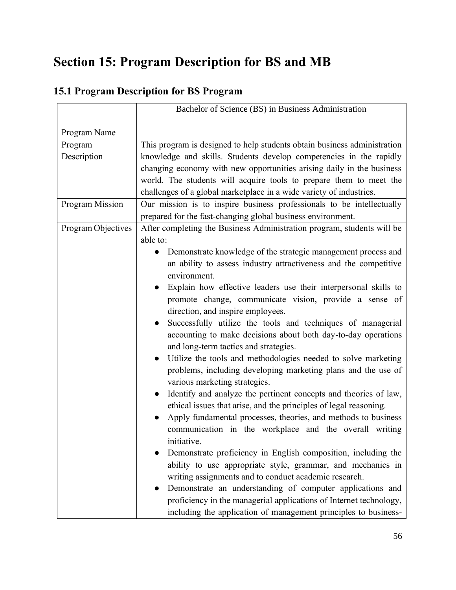# **Section 15: Program Description for BS and MB**

## **15.1 Program Description for BS Program**

|                        | Bachelor of Science (BS) in Business Administration                        |
|------------------------|----------------------------------------------------------------------------|
|                        |                                                                            |
| Program Name           |                                                                            |
| Program                | This program is designed to help students obtain business administration   |
| Description            | knowledge and skills. Students develop competencies in the rapidly         |
|                        | changing economy with new opportunities arising daily in the business      |
|                        | world. The students will acquire tools to prepare them to meet the         |
|                        | challenges of a global marketplace in a wide variety of industries.        |
| <b>Program Mission</b> | Our mission is to inspire business professionals to be intellectually      |
|                        | prepared for the fast-changing global business environment.                |
| Program Objectives     | After completing the Business Administration program, students will be     |
|                        | able to:                                                                   |
|                        | Demonstrate knowledge of the strategic management process and<br>$\bullet$ |
|                        | an ability to assess industry attractiveness and the competitive           |
|                        | environment.                                                               |
|                        | Explain how effective leaders use their interpersonal skills to            |
|                        | promote change, communicate vision, provide a sense of                     |
|                        | direction, and inspire employees.                                          |
|                        | Successfully utilize the tools and techniques of managerial                |
|                        | accounting to make decisions about both day-to-day operations              |
|                        | and long-term tactics and strategies.                                      |
|                        | Utilize the tools and methodologies needed to solve marketing              |
|                        | problems, including developing marketing plans and the use of              |
|                        | various marketing strategies.                                              |
|                        | Identify and analyze the pertinent concepts and theories of law,           |
|                        | ethical issues that arise, and the principles of legal reasoning.          |
|                        | Apply fundamental processes, theories, and methods to business             |
|                        | communication in the workplace and the overall writing                     |
|                        | initiative.                                                                |
|                        | Demonstrate proficiency in English composition, including the              |
|                        | ability to use appropriate style, grammar, and mechanics in                |
|                        | writing assignments and to conduct academic research.                      |
|                        | Demonstrate an understanding of computer applications and                  |
|                        | proficiency in the managerial applications of Internet technology,         |
|                        | including the application of management principles to business-            |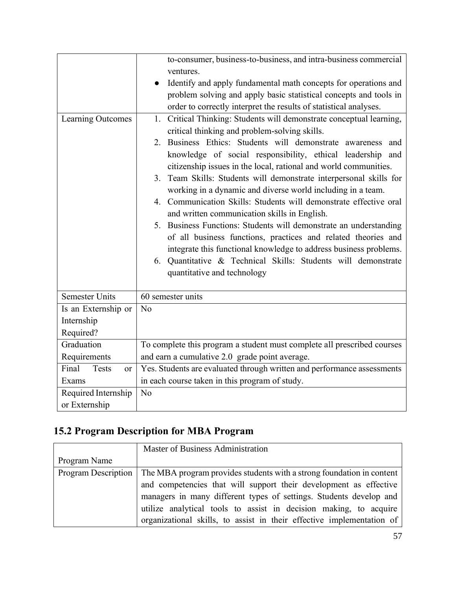|                                        | to-consumer, business-to-business, and intra-business commercial        |
|----------------------------------------|-------------------------------------------------------------------------|
|                                        | ventures.                                                               |
|                                        | Identify and apply fundamental math concepts for operations and         |
|                                        | problem solving and apply basic statistical concepts and tools in       |
|                                        | order to correctly interpret the results of statistical analyses.       |
| Learning Outcomes                      | 1. Critical Thinking: Students will demonstrate conceptual learning,    |
|                                        | critical thinking and problem-solving skills.                           |
|                                        | 2. Business Ethics: Students will demonstrate awareness and             |
|                                        | knowledge of social responsibility, ethical leadership and              |
|                                        | citizenship issues in the local, rational and world communities.        |
|                                        | 3. Team Skills: Students will demonstrate interpersonal skills for      |
|                                        | working in a dynamic and diverse world including in a team.             |
|                                        | 4. Communication Skills: Students will demonstrate effective oral       |
|                                        | and written communication skills in English.                            |
|                                        | 5. Business Functions: Students will demonstrate an understanding       |
|                                        | of all business functions, practices and related theories and           |
|                                        | integrate this functional knowledge to address business problems.       |
|                                        | 6. Quantitative & Technical Skills: Students will demonstrate           |
|                                        | quantitative and technology                                             |
| <b>Semester Units</b>                  | 60 semester units                                                       |
| Is an Externship or                    | N <sub>o</sub>                                                          |
| Internship                             |                                                                         |
| Required?                              |                                                                         |
| Graduation                             | To complete this program a student must complete all prescribed courses |
| Requirements                           | and earn a cumulative 2.0 grade point average.                          |
| Final<br><b>Tests</b><br><sub>or</sub> | Yes. Students are evaluated through written and performance assessments |
| Exams                                  | in each course taken in this program of study.                          |
| Required Internship                    | No                                                                      |
| or Externship                          |                                                                         |

## **15.2 Program Description for MBA Program**

|                            | Master of Business Administration                                     |
|----------------------------|-----------------------------------------------------------------------|
| Program Name               |                                                                       |
| <b>Program Description</b> | The MBA program provides students with a strong foundation in content |
|                            | and competencies that will support their development as effective     |
|                            | managers in many different types of settings. Students develop and    |
|                            | utilize analytical tools to assist in decision making, to acquire     |
|                            | organizational skills, to assist in their effective implementation of |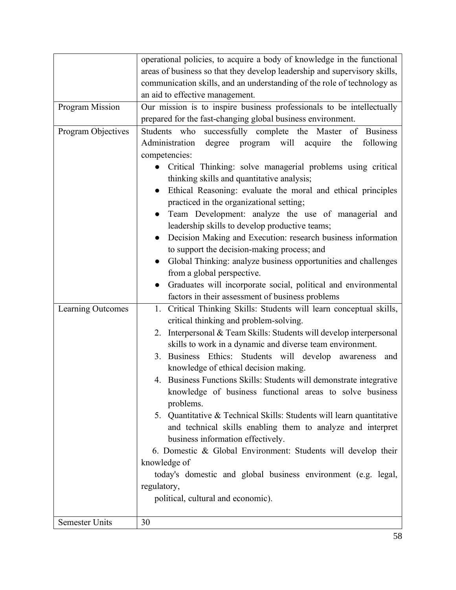|                       | operational policies, to acquire a body of knowledge in the functional      |
|-----------------------|-----------------------------------------------------------------------------|
|                       | areas of business so that they develop leadership and supervisory skills,   |
|                       | communication skills, and an understanding of the role of technology as     |
|                       | an aid to effective management.                                             |
| Program Mission       | Our mission is to inspire business professionals to be intellectually       |
|                       | prepared for the fast-changing global business environment.                 |
| Program Objectives    | Students who successfully complete the Master of Business                   |
|                       | degree program will<br>Administration<br>acquire<br>following<br>the        |
|                       | competencies:                                                               |
|                       | • Critical Thinking: solve managerial problems using critical               |
|                       | thinking skills and quantitative analysis;                                  |
|                       | Ethical Reasoning: evaluate the moral and ethical principles<br>$\bullet$   |
|                       | practiced in the organizational setting;                                    |
|                       | Team Development: analyze the use of managerial and                         |
|                       | leadership skills to develop productive teams;                              |
|                       | Decision Making and Execution: research business information<br>$\bullet$   |
|                       | to support the decision-making process; and                                 |
|                       | Global Thinking: analyze business opportunities and challenges<br>$\bullet$ |
|                       | from a global perspective.                                                  |
|                       | Graduates will incorporate social, political and environmental              |
|                       | factors in their assessment of business problems                            |
| Learning Outcomes     | 1. Critical Thinking Skills: Students will learn conceptual skills,         |
|                       | critical thinking and problem-solving.                                      |
|                       | Interpersonal & Team Skills: Students will develop interpersonal<br>2.      |
|                       | skills to work in a dynamic and diverse team environment.                   |
|                       | 3. Business Ethics: Students will develop awareness<br>and                  |
|                       | knowledge of ethical decision making.                                       |
|                       | 4. Business Functions Skills: Students will demonstrate integrative         |
|                       | knowledge of business functional areas to solve business                    |
|                       | problems.                                                                   |
|                       | 5. Quantitative & Technical Skills: Students will learn quantitative        |
|                       | and technical skills enabling them to analyze and interpret                 |
|                       | business information effectively.                                           |
|                       | 6. Domestic & Global Environment: Students will develop their               |
|                       | knowledge of                                                                |
|                       | today's domestic and global business environment (e.g. legal,               |
|                       | regulatory,                                                                 |
|                       | political, cultural and economic).                                          |
| <b>Semester Units</b> | 30                                                                          |
|                       |                                                                             |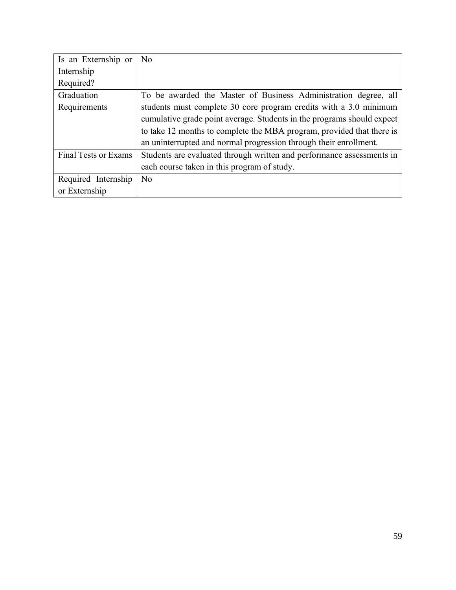| Is an Externship or         | N <sub>o</sub>                                                         |
|-----------------------------|------------------------------------------------------------------------|
| Internship                  |                                                                        |
| Required?                   |                                                                        |
| Graduation                  | To be awarded the Master of Business Administration degree, all        |
| Requirements                | students must complete 30 core program credits with a 3.0 minimum      |
|                             | cumulative grade point average. Students in the programs should expect |
|                             | to take 12 months to complete the MBA program, provided that there is  |
|                             | an uninterrupted and normal progression through their enrollment.      |
| <b>Final Tests or Exams</b> | Students are evaluated through written and performance assessments in  |
|                             | each course taken in this program of study.                            |
| Required Internship         | N <sub>o</sub>                                                         |
| or Externship               |                                                                        |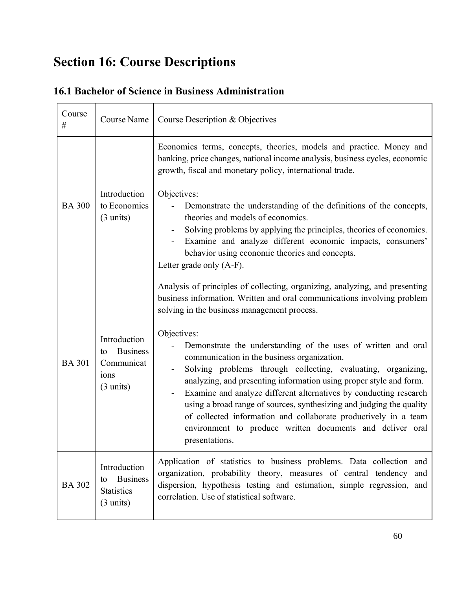# **Section 16: Course Descriptions**

| Course<br>#   | Course Name                                                                        | Course Description & Objectives                                                                                                                                                                                                                                                                                                                                                                                                                                                                                                                                                                                                                                                                                                                                           |
|---------------|------------------------------------------------------------------------------------|---------------------------------------------------------------------------------------------------------------------------------------------------------------------------------------------------------------------------------------------------------------------------------------------------------------------------------------------------------------------------------------------------------------------------------------------------------------------------------------------------------------------------------------------------------------------------------------------------------------------------------------------------------------------------------------------------------------------------------------------------------------------------|
| <b>BA 300</b> | Introduction<br>to Economics<br>$(3 \text{ units})$                                | Economics terms, concepts, theories, models and practice. Money and<br>banking, price changes, national income analysis, business cycles, economic<br>growth, fiscal and monetary policy, international trade.<br>Objectives:<br>Demonstrate the understanding of the definitions of the concepts,<br>theories and models of economics.<br>Solving problems by applying the principles, theories of economics.<br>Examine and analyze different economic impacts, consumers'<br>-<br>behavior using economic theories and concepts.<br>Letter grade only (A-F).                                                                                                                                                                                                           |
| <b>BA 301</b> | Introduction<br><b>Business</b><br>to<br>Communicat<br>ions<br>$(3 \text{ units})$ | Analysis of principles of collecting, organizing, analyzing, and presenting<br>business information. Written and oral communications involving problem<br>solving in the business management process.<br>Objectives:<br>Demonstrate the understanding of the uses of written and oral<br>communication in the business organization.<br>Solving problems through collecting, evaluating, organizing,<br>analyzing, and presenting information using proper style and form.<br>Examine and analyze different alternatives by conducting research<br>using a broad range of sources, synthesizing and judging the quality<br>of collected information and collaborate productively in a team<br>environment to produce written documents and deliver oral<br>presentations. |
| <b>BA 302</b> | Introduction<br><b>Business</b><br>to<br><b>Statistics</b><br>$(3 \text{ units})$  | Application of statistics to business problems. Data collection and<br>organization, probability theory, measures of central tendency and<br>dispersion, hypothesis testing and estimation, simple regression, and<br>correlation. Use of statistical software.                                                                                                                                                                                                                                                                                                                                                                                                                                                                                                           |

## **16.1 Bachelor of Science in Business Administration**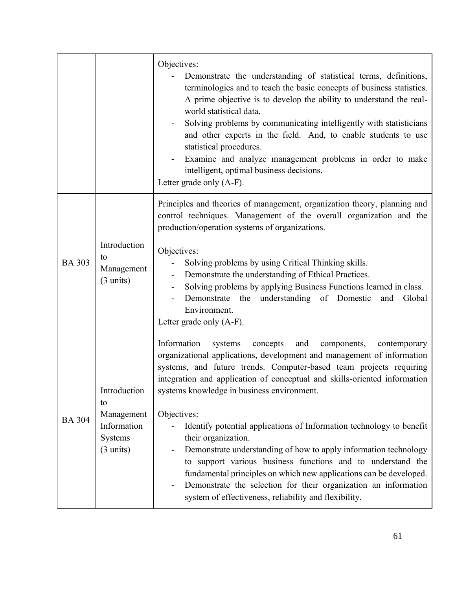|               |                                                                                   | Objectives:<br>Demonstrate the understanding of statistical terms, definitions,<br>terminologies and to teach the basic concepts of business statistics.<br>A prime objective is to develop the ability to understand the real-<br>world statistical data.<br>Solving problems by communicating intelligently with statisticians<br>and other experts in the field. And, to enable students to use<br>statistical procedures.<br>Examine and analyze management problems in order to make<br>intelligent, optimal business decisions.<br>Letter grade only (A-F).                                                                                                                                                                                                                                           |
|---------------|-----------------------------------------------------------------------------------|-------------------------------------------------------------------------------------------------------------------------------------------------------------------------------------------------------------------------------------------------------------------------------------------------------------------------------------------------------------------------------------------------------------------------------------------------------------------------------------------------------------------------------------------------------------------------------------------------------------------------------------------------------------------------------------------------------------------------------------------------------------------------------------------------------------|
| <b>BA 303</b> | Introduction<br>to<br>Management<br>$(3 \text{ units})$                           | Principles and theories of management, organization theory, planning and<br>control techniques. Management of the overall organization and the<br>production/operation systems of organizations.<br>Objectives:<br>Solving problems by using Critical Thinking skills.<br>Demonstrate the understanding of Ethical Practices.<br>Solving problems by applying Business Functions learned in class.<br>Demonstrate the understanding of Domestic<br>Global<br>and<br>Environment.<br>Letter grade only (A-F).                                                                                                                                                                                                                                                                                                |
| <b>BA 304</b> | Introduction<br>to<br>Management<br>Information<br>Systems<br>$(3 \text{ units})$ | Information<br>systems<br>concepts<br>and<br>contemporary<br>components,<br>organizational applications, development and management of information<br>systems, and future trends. Computer-based team projects requiring<br>integration and application of conceptual and skills-oriented information<br>systems knowledge in business environment.<br>Objectives:<br>Identify potential applications of Information technology to benefit<br>their organization.<br>Demonstrate understanding of how to apply information technology<br>to support various business functions and to understand the<br>fundamental principles on which new applications can be developed.<br>Demonstrate the selection for their organization an information<br>-<br>system of effectiveness, reliability and flexibility. |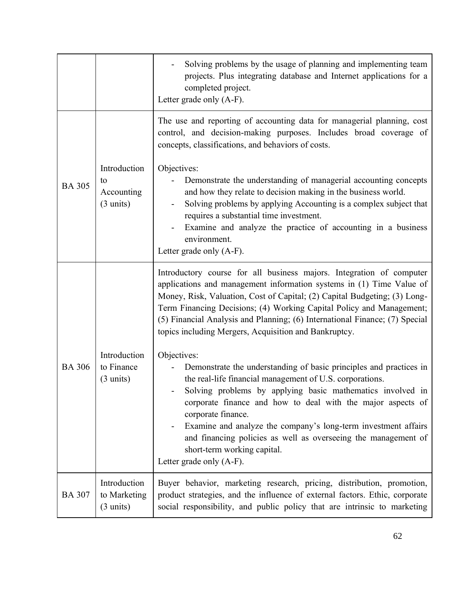|               |                                                         | Solving problems by the usage of planning and implementing team<br>projects. Plus integrating database and Internet applications for a<br>completed project.<br>Letter grade only (A-F).                                                                                                                                                                                                                                                                                                        |
|---------------|---------------------------------------------------------|-------------------------------------------------------------------------------------------------------------------------------------------------------------------------------------------------------------------------------------------------------------------------------------------------------------------------------------------------------------------------------------------------------------------------------------------------------------------------------------------------|
|               |                                                         | The use and reporting of accounting data for managerial planning, cost<br>control, and decision-making purposes. Includes broad coverage of<br>concepts, classifications, and behaviors of costs.                                                                                                                                                                                                                                                                                               |
| <b>BA 305</b> | Introduction<br>to<br>Accounting<br>$(3 \text{ units})$ | Objectives:<br>Demonstrate the understanding of managerial accounting concepts<br>and how they relate to decision making in the business world.<br>Solving problems by applying Accounting is a complex subject that<br>requires a substantial time investment.<br>Examine and analyze the practice of accounting in a business<br>environment.<br>Letter grade only (A-F).                                                                                                                     |
|               |                                                         | Introductory course for all business majors. Integration of computer<br>applications and management information systems in (1) Time Value of<br>Money, Risk, Valuation, Cost of Capital; (2) Capital Budgeting; (3) Long-<br>Term Financing Decisions; (4) Working Capital Policy and Management;<br>(5) Financial Analysis and Planning; (6) International Finance; (7) Special<br>topics including Mergers, Acquisition and Bankruptcy.                                                       |
| <b>BA 306</b> | Introduction<br>to Finance<br>$(3 \text{ units})$       | Objectives:<br>Demonstrate the understanding of basic principles and practices in<br>the real-life financial management of U.S. corporations.<br>Solving problems by applying basic mathematics involved in<br>corporate finance and how to deal with the major aspects of<br>corporate finance.<br>Examine and analyze the company's long-term investment affairs<br>and financing policies as well as overseeing the management of<br>short-term working capital.<br>Letter grade only (A-F). |
| <b>BA 307</b> | Introduction<br>to Marketing<br>$(3 \text{ units})$     | Buyer behavior, marketing research, pricing, distribution, promotion,<br>product strategies, and the influence of external factors. Ethic, corporate<br>social responsibility, and public policy that are intrinsic to marketing                                                                                                                                                                                                                                                                |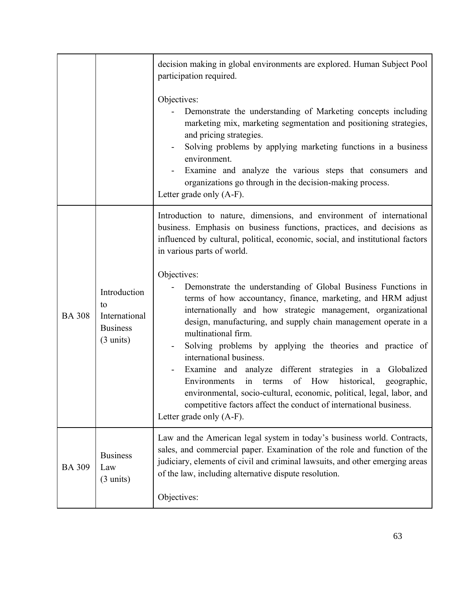|               |                                                                               | decision making in global environments are explored. Human Subject Pool<br>participation required.                                                                                                                                                                                                                                                                                                                                                                                                                                                                                                                                                                                                    |
|---------------|-------------------------------------------------------------------------------|-------------------------------------------------------------------------------------------------------------------------------------------------------------------------------------------------------------------------------------------------------------------------------------------------------------------------------------------------------------------------------------------------------------------------------------------------------------------------------------------------------------------------------------------------------------------------------------------------------------------------------------------------------------------------------------------------------|
|               |                                                                               | Objectives:<br>Demonstrate the understanding of Marketing concepts including<br>marketing mix, marketing segmentation and positioning strategies,<br>and pricing strategies.<br>Solving problems by applying marketing functions in a business<br>environment.<br>Examine and analyze the various steps that consumers and<br>organizations go through in the decision-making process.<br>Letter grade only (A-F).                                                                                                                                                                                                                                                                                    |
|               |                                                                               | Introduction to nature, dimensions, and environment of international<br>business. Emphasis on business functions, practices, and decisions as<br>influenced by cultural, political, economic, social, and institutional factors<br>in various parts of world.                                                                                                                                                                                                                                                                                                                                                                                                                                         |
| <b>BA 308</b> | Introduction<br>to<br>International<br><b>Business</b><br>$(3 \text{ units})$ | Objectives:<br>Demonstrate the understanding of Global Business Functions in<br>terms of how accountancy, finance, marketing, and HRM adjust<br>internationally and how strategic management, organizational<br>design, manufacturing, and supply chain management operate in a<br>multinational firm.<br>Solving problems by applying the theories and practice of<br>international business.<br>Examine and analyze different strategies in a Globalized<br>in terms<br>of How historical,<br>Environments<br>geographic,<br>environmental, socio-cultural, economic, political, legal, labor, and<br>competitive factors affect the conduct of international business.<br>Letter grade only (A-F). |
| <b>BA 309</b> | <b>Business</b><br>Law<br>$(3 \text{ units})$                                 | Law and the American legal system in today's business world. Contracts,<br>sales, and commercial paper. Examination of the role and function of the<br>judiciary, elements of civil and criminal lawsuits, and other emerging areas<br>of the law, including alternative dispute resolution.                                                                                                                                                                                                                                                                                                                                                                                                          |
|               |                                                                               | Objectives:                                                                                                                                                                                                                                                                                                                                                                                                                                                                                                                                                                                                                                                                                           |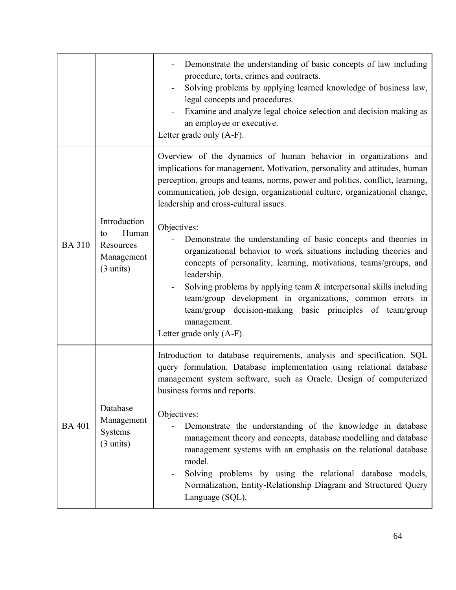|               |                                                                               | Demonstrate the understanding of basic concepts of law including<br>procedure, torts, crimes and contracts.<br>Solving problems by applying learned knowledge of business law,<br>legal concepts and procedures.<br>Examine and analyze legal choice selection and decision making as<br>an employee or executive.<br>Letter grade only (A-F).                                                                                                                                                                                                                                                                                                                                                                                                                                                                                              |
|---------------|-------------------------------------------------------------------------------|---------------------------------------------------------------------------------------------------------------------------------------------------------------------------------------------------------------------------------------------------------------------------------------------------------------------------------------------------------------------------------------------------------------------------------------------------------------------------------------------------------------------------------------------------------------------------------------------------------------------------------------------------------------------------------------------------------------------------------------------------------------------------------------------------------------------------------------------|
| <b>BA 310</b> | Introduction<br>Human<br>to<br>Resources<br>Management<br>$(3 \text{ units})$ | Overview of the dynamics of human behavior in organizations and<br>implications for management. Motivation, personality and attitudes, human<br>perception, groups and teams, norms, power and politics, conflict, learning,<br>communication, job design, organizational culture, organizational change,<br>leadership and cross-cultural issues.<br>Objectives:<br>Demonstrate the understanding of basic concepts and theories in<br>organizational behavior to work situations including theories and<br>concepts of personality, learning, motivations, teams/groups, and<br>leadership.<br>Solving problems by applying team $\&$ interpersonal skills including<br>team/group development in organizations, common errors in<br>team/group decision-making basic principles of team/group<br>management.<br>Letter grade only (A-F). |
| <b>BA 401</b> | Database<br>Management<br>Systems<br>$(3 \text{ units})$                      | Introduction to database requirements, analysis and specification. SQL<br>query formulation. Database implementation using relational database<br>management system software, such as Oracle. Design of computerized<br>business forms and reports.<br>Objectives:<br>Demonstrate the understanding of the knowledge in database<br>management theory and concepts, database modelling and database<br>management systems with an emphasis on the relational database<br>model.<br>Solving problems by using the relational database models,<br>Normalization, Entity-Relationship Diagram and Structured Query<br>Language (SQL).                                                                                                                                                                                                          |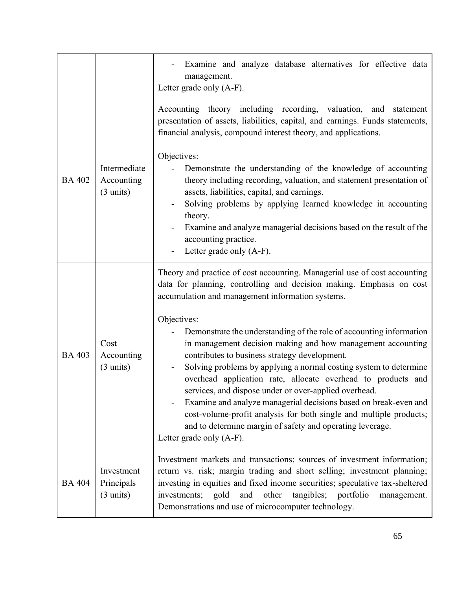|               |                                                   | Examine and analyze database alternatives for effective data<br>management.<br>Letter grade only (A-F).                                                                                                                                                                                                                                                                                                                                                                                                                                                                                                                             |
|---------------|---------------------------------------------------|-------------------------------------------------------------------------------------------------------------------------------------------------------------------------------------------------------------------------------------------------------------------------------------------------------------------------------------------------------------------------------------------------------------------------------------------------------------------------------------------------------------------------------------------------------------------------------------------------------------------------------------|
|               |                                                   | Accounting theory including recording, valuation, and statement<br>presentation of assets, liabilities, capital, and earnings. Funds statements,<br>financial analysis, compound interest theory, and applications.<br>Objectives:                                                                                                                                                                                                                                                                                                                                                                                                  |
| <b>BA 402</b> | Intermediate<br>Accounting<br>$(3 \text{ units})$ | Demonstrate the understanding of the knowledge of accounting<br>theory including recording, valuation, and statement presentation of<br>assets, liabilities, capital, and earnings.<br>Solving problems by applying learned knowledge in accounting                                                                                                                                                                                                                                                                                                                                                                                 |
|               |                                                   | theory.<br>Examine and analyze managerial decisions based on the result of the<br>accounting practice.<br>Letter grade only (A-F).                                                                                                                                                                                                                                                                                                                                                                                                                                                                                                  |
|               |                                                   | Theory and practice of cost accounting. Managerial use of cost accounting<br>data for planning, controlling and decision making. Emphasis on cost<br>accumulation and management information systems.                                                                                                                                                                                                                                                                                                                                                                                                                               |
| <b>BA 403</b> | Cost<br>Accounting<br>$(3 \text{ units})$         | Objectives:<br>Demonstrate the understanding of the role of accounting information<br>in management decision making and how management accounting<br>contributes to business strategy development.<br>Solving problems by applying a normal costing system to determine<br>overhead application rate, allocate overhead to products and<br>services, and dispose under or over-applied overhead.<br>Examine and analyze managerial decisions based on break-even and<br>cost-volume-profit analysis for both single and multiple products;<br>and to determine margin of safety and operating leverage.<br>Letter grade only (A-F). |
| <b>BA 404</b> | Investment<br>Principals<br>$(3 \text{ units})$   | Investment markets and transactions; sources of investment information;<br>return vs. risk; margin trading and short selling; investment planning;<br>investing in equities and fixed income securities; speculative tax-sheltered<br>and other<br>tangibles; portfolio<br>investments; gold<br>management.<br>Demonstrations and use of microcomputer technology.                                                                                                                                                                                                                                                                  |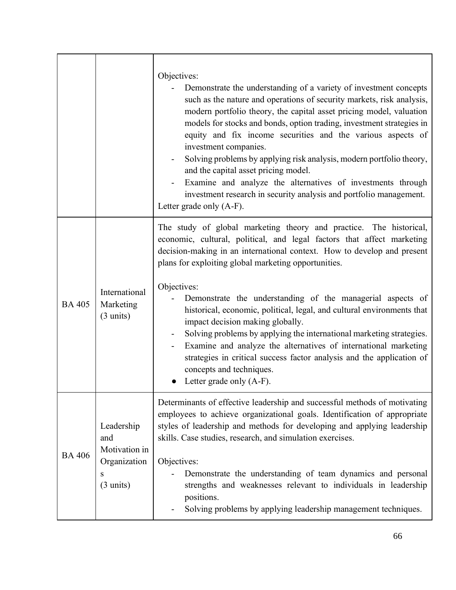|               |                                                                                | Objectives:<br>Demonstrate the understanding of a variety of investment concepts<br>such as the nature and operations of security markets, risk analysis,<br>modern portfolio theory, the capital asset pricing model, valuation<br>models for stocks and bonds, option trading, investment strategies in<br>equity and fix income securities and the various aspects of<br>investment companies.<br>Solving problems by applying risk analysis, modern portfolio theory,<br>and the capital asset pricing model.<br>Examine and analyze the alternatives of investments through<br>investment research in security analysis and portfolio management.<br>Letter grade only (A-F).                                                                     |
|---------------|--------------------------------------------------------------------------------|--------------------------------------------------------------------------------------------------------------------------------------------------------------------------------------------------------------------------------------------------------------------------------------------------------------------------------------------------------------------------------------------------------------------------------------------------------------------------------------------------------------------------------------------------------------------------------------------------------------------------------------------------------------------------------------------------------------------------------------------------------|
| <b>BA 405</b> | International<br>Marketing<br>$(3 \text{ units})$                              | The study of global marketing theory and practice. The historical,<br>economic, cultural, political, and legal factors that affect marketing<br>decision-making in an international context. How to develop and present<br>plans for exploiting global marketing opportunities.<br>Objectives:<br>Demonstrate the understanding of the managerial aspects of<br>historical, economic, political, legal, and cultural environments that<br>impact decision making globally.<br>Solving problems by applying the international marketing strategies.<br>Examine and analyze the alternatives of international marketing<br>strategies in critical success factor analysis and the application of<br>concepts and techniques.<br>Letter grade only (A-F). |
| <b>BA 406</b> | Leadership<br>and<br>Motivation in<br>Organization<br>S<br>$(3 \text{ units})$ | Determinants of effective leadership and successful methods of motivating<br>employees to achieve organizational goals. Identification of appropriate<br>styles of leadership and methods for developing and applying leadership<br>skills. Case studies, research, and simulation exercises.<br>Objectives:<br>Demonstrate the understanding of team dynamics and personal<br>strengths and weaknesses relevant to individuals in leadership<br>positions.<br>Solving problems by applying leadership management techniques.                                                                                                                                                                                                                          |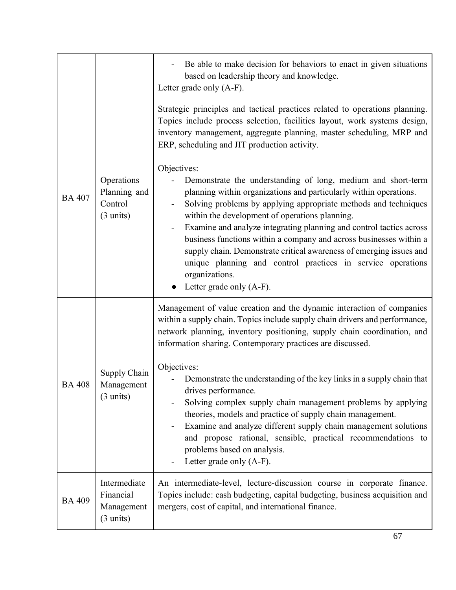|               |                                                                | Be able to make decision for behaviors to enact in given situations<br>based on leadership theory and knowledge.<br>Letter grade only (A-F).                                                                                                                                                                                                                                                                                                                                                                                                                                                              |
|---------------|----------------------------------------------------------------|-----------------------------------------------------------------------------------------------------------------------------------------------------------------------------------------------------------------------------------------------------------------------------------------------------------------------------------------------------------------------------------------------------------------------------------------------------------------------------------------------------------------------------------------------------------------------------------------------------------|
| <b>BA 407</b> | Operations<br>Planning and<br>Control<br>$(3 \text{ units})$   | Strategic principles and tactical practices related to operations planning.<br>Topics include process selection, facilities layout, work systems design,<br>inventory management, aggregate planning, master scheduling, MRP and<br>ERP, scheduling and JIT production activity.                                                                                                                                                                                                                                                                                                                          |
|               |                                                                | Objectives:<br>Demonstrate the understanding of long, medium and short-term<br>planning within organizations and particularly within operations.<br>Solving problems by applying appropriate methods and techniques<br>within the development of operations planning.<br>Examine and analyze integrating planning and control tactics across<br>business functions within a company and across businesses within a<br>supply chain. Demonstrate critical awareness of emerging issues and<br>unique planning and control practices in service operations<br>organizations.<br>Letter grade only $(A-F)$ . |
| <b>BA 408</b> | Supply Chain<br>Management<br>$(3 \text{ units})$              | Management of value creation and the dynamic interaction of companies<br>within a supply chain. Topics include supply chain drivers and performance,<br>network planning, inventory positioning, supply chain coordination, and<br>information sharing. Contemporary practices are discussed.                                                                                                                                                                                                                                                                                                             |
|               |                                                                | Objectives:<br>Demonstrate the understanding of the key links in a supply chain that<br>drives performance.<br>Solving complex supply chain management problems by applying<br>theories, models and practice of supply chain management.<br>Examine and analyze different supply chain management solutions<br>and propose rational, sensible, practical recommendations to<br>problems based on analysis.<br>Letter grade only (A-F).                                                                                                                                                                    |
| <b>BA 409</b> | Intermediate<br>Financial<br>Management<br>$(3 \text{ units})$ | An intermediate-level, lecture-discussion course in corporate finance.<br>Topics include: cash budgeting, capital budgeting, business acquisition and<br>mergers, cost of capital, and international finance.                                                                                                                                                                                                                                                                                                                                                                                             |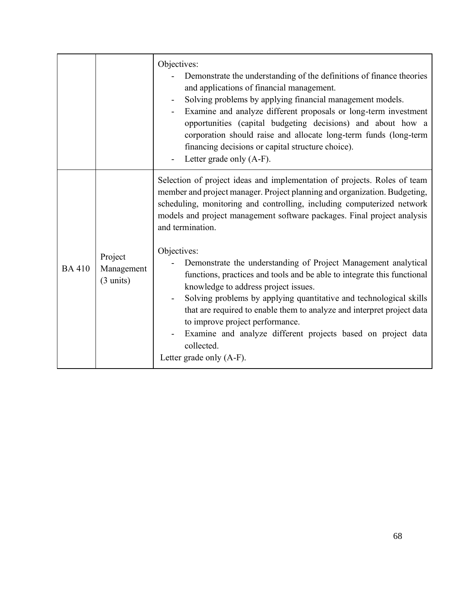|              |                                              | Objectives:<br>Demonstrate the understanding of the definitions of finance theories<br>and applications of financial management.<br>Solving problems by applying financial management models.<br>Examine and analyze different proposals or long-term investment<br>opportunities (capital budgeting decisions) and about how a<br>corporation should raise and allocate long-term funds (long-term<br>financing decisions or capital structure choice).<br>Letter grade only (A-F).                                                                                                                                                                                                                                                                                                  |
|--------------|----------------------------------------------|---------------------------------------------------------------------------------------------------------------------------------------------------------------------------------------------------------------------------------------------------------------------------------------------------------------------------------------------------------------------------------------------------------------------------------------------------------------------------------------------------------------------------------------------------------------------------------------------------------------------------------------------------------------------------------------------------------------------------------------------------------------------------------------|
| <b>BA410</b> | Project<br>Management<br>$(3 \text{ units})$ | Selection of project ideas and implementation of projects. Roles of team<br>member and project manager. Project planning and organization. Budgeting,<br>scheduling, monitoring and controlling, including computerized network<br>models and project management software packages. Final project analysis<br>and termination.<br>Objectives:<br>Demonstrate the understanding of Project Management analytical<br>functions, practices and tools and be able to integrate this functional<br>knowledge to address project issues.<br>Solving problems by applying quantitative and technological skills<br>that are required to enable them to analyze and interpret project data<br>to improve project performance.<br>Examine and analyze different projects based on project data |
|              |                                              | collected.<br>Letter grade only (A-F).                                                                                                                                                                                                                                                                                                                                                                                                                                                                                                                                                                                                                                                                                                                                                |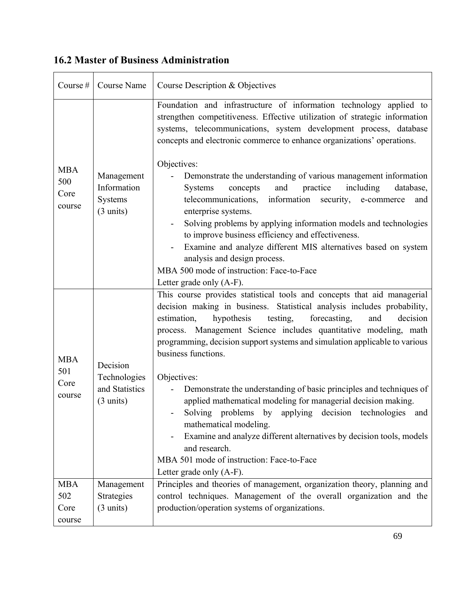#### Course  $\#$  Course Name | Course Description & Objectives MBA 500 Core course Management Information Systems (3 units) Foundation and infrastructure of information technology applied to strengthen competitiveness. Effective utilization of strategic information systems, telecommunications, system development process, database concepts and electronic commerce to enhance organizations' operations. Objectives: - Demonstrate the understanding of various management information Systems concepts and practice including database, telecommunications, information security, e-commerce and enterprise systems. Solving problems by applying information models and technologies to improve business efficiency and effectiveness. - Examine and analyze different MIS alternatives based on system analysis and design process. MBA 500 mode of instruction: Face-to-Face Letter grade only (A-F). MBA 501 Core course Decision Technologies and Statistics (3 units) This course provides statistical tools and concepts that aid managerial decision making in business. Statistical analysis includes probability, estimation, hypothesis testing, forecasting, and decision process. Management Science includes quantitative modeling, math programming, decision support systems and simulation applicable to various business functions. Objectives: - Demonstrate the understanding of basic principles and techniques of applied mathematical modeling for managerial decision making. - Solving problems by applying decision technologies and mathematical modeling. - Examine and analyze different alternatives by decision tools, models and research. MBA 501 mode of instruction: Face-to-Face Letter grade only (A-F). MBA 502 Core course Management Strategies (3 units) Principles and theories of management, organization theory, planning and control techniques. Management of the overall organization and the production/operation systems of organizations.

## **16.2 Master of Business Administration**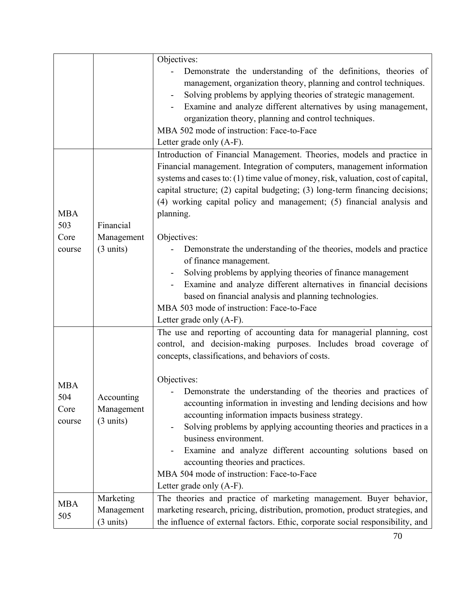|                   |                     | Objectives:                                                                                                                       |
|-------------------|---------------------|-----------------------------------------------------------------------------------------------------------------------------------|
|                   |                     | Demonstrate the understanding of the definitions, theories of                                                                     |
|                   |                     | management, organization theory, planning and control techniques.                                                                 |
|                   |                     | Solving problems by applying theories of strategic management.<br>Examine and analyze different alternatives by using management, |
|                   |                     | organization theory, planning and control techniques.                                                                             |
|                   |                     | MBA 502 mode of instruction: Face-to-Face                                                                                         |
|                   |                     | Letter grade only (A-F).                                                                                                          |
|                   |                     | Introduction of Financial Management. Theories, models and practice in                                                            |
|                   |                     | Financial management. Integration of computers, management information                                                            |
|                   |                     | systems and cases to: (1) time value of money, risk, valuation, cost of capital,                                                  |
|                   |                     | capital structure; (2) capital budgeting; (3) long-term financing decisions;                                                      |
|                   |                     | (4) working capital policy and management; (5) financial analysis and                                                             |
| <b>MBA</b>        |                     | planning.                                                                                                                         |
| 503               | Financial           |                                                                                                                                   |
| Core              | Management          | Objectives:                                                                                                                       |
| course            | $(3 \text{ units})$ | Demonstrate the understanding of the theories, models and practice                                                                |
|                   |                     | of finance management.                                                                                                            |
|                   |                     | Solving problems by applying theories of finance management                                                                       |
|                   |                     | Examine and analyze different alternatives in financial decisions                                                                 |
|                   |                     | based on financial analysis and planning technologies.                                                                            |
|                   |                     | MBA 503 mode of instruction: Face-to-Face                                                                                         |
|                   |                     | Letter grade only (A-F).                                                                                                          |
|                   |                     | The use and reporting of accounting data for managerial planning, cost                                                            |
|                   |                     | control, and decision-making purposes. Includes broad coverage of                                                                 |
|                   |                     | concepts, classifications, and behaviors of costs.                                                                                |
|                   |                     |                                                                                                                                   |
| <b>MBA</b>        |                     | Objectives:<br>Demonstrate the understanding of the theories and practices of                                                     |
| 504               | Accounting          | accounting information in investing and lending decisions and how                                                                 |
| Core              | Management          | accounting information impacts business strategy.                                                                                 |
| course            | $(3 \text{ units})$ | Solving problems by applying accounting theories and practices in a                                                               |
|                   |                     | business environment.                                                                                                             |
|                   |                     | Examine and analyze different accounting solutions based on                                                                       |
|                   |                     | accounting theories and practices.                                                                                                |
|                   |                     | MBA 504 mode of instruction: Face-to-Face                                                                                         |
|                   |                     | Letter grade only (A-F).                                                                                                          |
| <b>MBA</b><br>505 | Marketing           | The theories and practice of marketing management. Buyer behavior,                                                                |
|                   | Management          | marketing research, pricing, distribution, promotion, product strategies, and                                                     |
|                   | $(3 \text{ units})$ | the influence of external factors. Ethic, corporate social responsibility, and                                                    |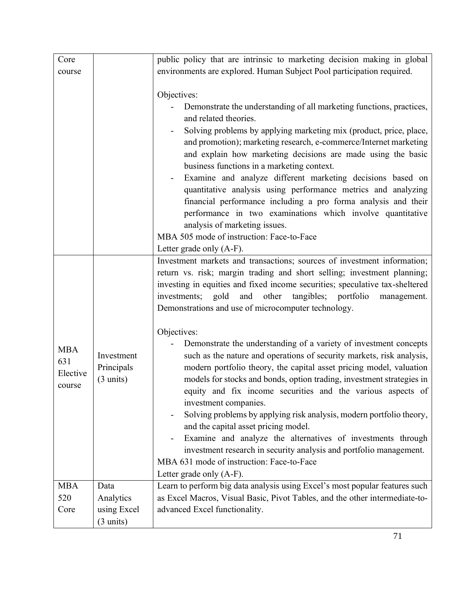| Core       |                     | public policy that are intrinsic to marketing decision making in global      |
|------------|---------------------|------------------------------------------------------------------------------|
| course     |                     | environments are explored. Human Subject Pool participation required.        |
|            |                     |                                                                              |
|            |                     | Objectives:                                                                  |
|            |                     | Demonstrate the understanding of all marketing functions, practices,         |
|            |                     | and related theories.                                                        |
|            |                     | Solving problems by applying marketing mix (product, price, place,           |
|            |                     | and promotion); marketing research, e-commerce/Internet marketing            |
|            |                     | and explain how marketing decisions are made using the basic                 |
|            |                     | business functions in a marketing context.                                   |
|            |                     | Examine and analyze different marketing decisions based on                   |
|            |                     | quantitative analysis using performance metrics and analyzing                |
|            |                     | financial performance including a pro forma analysis and their               |
|            |                     | performance in two examinations which involve quantitative                   |
|            |                     | analysis of marketing issues.                                                |
|            |                     | MBA 505 mode of instruction: Face-to-Face                                    |
|            |                     | Letter grade only (A-F).                                                     |
|            |                     | Investment markets and transactions; sources of investment information;      |
|            |                     | return vs. risk; margin trading and short selling; investment planning;      |
|            |                     | investing in equities and fixed income securities; speculative tax-sheltered |
|            |                     | and other tangibles; portfolio<br>investments; gold<br>management.           |
|            |                     | Demonstrations and use of microcomputer technology.                          |
|            |                     |                                                                              |
|            |                     | Objectives:                                                                  |
| <b>MBA</b> |                     | Demonstrate the understanding of a variety of investment concepts            |
| 631        | Investment          | such as the nature and operations of security markets, risk analysis,        |
| Elective   | Principals          | modern portfolio theory, the capital asset pricing model, valuation          |
| course     | $(3 \text{ units})$ | models for stocks and bonds, option trading, investment strategies in        |
|            |                     | equity and fix income securities and the various aspects of                  |
|            |                     | investment companies.                                                        |
|            |                     | Solving problems by applying risk analysis, modern portfolio theory,         |
|            |                     | and the capital asset pricing model.                                         |
|            |                     | Examine and analyze the alternatives of investments through                  |
|            |                     | investment research in security analysis and portfolio management.           |
|            |                     | MBA 631 mode of instruction: Face-to-Face                                    |
|            |                     | Letter grade only (A-F).                                                     |
| <b>MBA</b> | Data                | Learn to perform big data analysis using Excel's most popular features such  |
| 520        | Analytics           | as Excel Macros, Visual Basic, Pivot Tables, and the other intermediate-to-  |
| Core       | using Excel         | advanced Excel functionality.                                                |
|            | $(3 \text{ units})$ |                                                                              |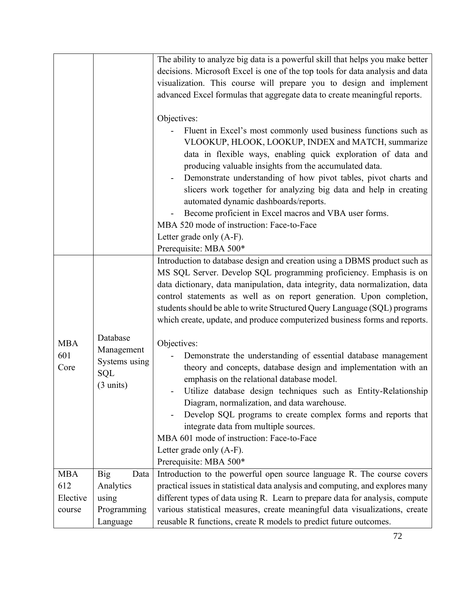|            |                             | The ability to analyze big data is a powerful skill that helps you make better                                      |
|------------|-----------------------------|---------------------------------------------------------------------------------------------------------------------|
|            |                             | decisions. Microsoft Excel is one of the top tools for data analysis and data                                       |
|            |                             | visualization. This course will prepare you to design and implement                                                 |
|            |                             | advanced Excel formulas that aggregate data to create meaningful reports.                                           |
|            |                             |                                                                                                                     |
|            |                             | Objectives:                                                                                                         |
|            |                             | Fluent in Excel's most commonly used business functions such as                                                     |
|            |                             | VLOOKUP, HLOOK, LOOKUP, INDEX and MATCH, summarize<br>data in flexible ways, enabling quick exploration of data and |
|            |                             | producing valuable insights from the accumulated data.                                                              |
|            |                             | Demonstrate understanding of how pivot tables, pivot charts and                                                     |
|            |                             | slicers work together for analyzing big data and help in creating                                                   |
|            |                             | automated dynamic dashboards/reports.                                                                               |
|            |                             | Become proficient in Excel macros and VBA user forms.                                                               |
|            |                             | MBA 520 mode of instruction: Face-to-Face                                                                           |
|            |                             | Letter grade only (A-F).                                                                                            |
|            |                             | Prerequisite: MBA 500*                                                                                              |
|            |                             | Introduction to database design and creation using a DBMS product such as                                           |
|            |                             | MS SQL Server. Develop SQL programming proficiency. Emphasis is on                                                  |
|            |                             | data dictionary, data manipulation, data integrity, data normalization, data                                        |
|            |                             | control statements as well as on report generation. Upon completion,                                                |
|            |                             | students should be able to write Structured Query Language (SQL) programs                                           |
|            |                             | which create, update, and produce computerized business forms and reports.                                          |
|            |                             |                                                                                                                     |
| <b>MBA</b> | Database                    | Objectives:                                                                                                         |
| 601        | Management<br>Systems using | Demonstrate the understanding of essential database management                                                      |
| Core       |                             | theory and concepts, database design and implementation with an                                                     |
|            | SQL                         | emphasis on the relational database model.                                                                          |
|            | $(3 \text{ units})$         | Utilize database design techniques such as Entity-Relationship                                                      |
|            |                             | Diagram, normalization, and data warehouse.                                                                         |
|            |                             | Develop SQL programs to create complex forms and reports that                                                       |
|            |                             | integrate data from multiple sources.                                                                               |
|            |                             | MBA 601 mode of instruction: Face-to-Face                                                                           |
|            |                             | Letter grade only (A-F).                                                                                            |
|            |                             | Prerequisite: MBA 500*                                                                                              |
| <b>MBA</b> | Data<br><b>Big</b>          | Introduction to the powerful open source language R. The course covers                                              |
| 612        | Analytics                   | practical issues in statistical data analysis and computing, and explores many                                      |
| Elective   | using                       | different types of data using R. Learn to prepare data for analysis, compute                                        |
| course     | Programming                 | various statistical measures, create meaningful data visualizations, create                                         |
|            | Language                    | reusable R functions, create R models to predict future outcomes.                                                   |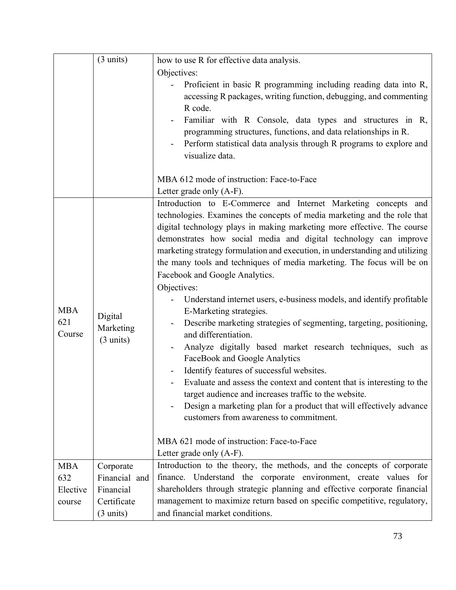|                             | $(3 \text{ units})$                         | how to use R for effective data analysis.                                                                                                                                                                                                                                                                                                                                                                                                                                                                                                                                                                                                                                                                                                                                                                                                                                                                                                                                                                                                                                                                                                                                           |
|-----------------------------|---------------------------------------------|-------------------------------------------------------------------------------------------------------------------------------------------------------------------------------------------------------------------------------------------------------------------------------------------------------------------------------------------------------------------------------------------------------------------------------------------------------------------------------------------------------------------------------------------------------------------------------------------------------------------------------------------------------------------------------------------------------------------------------------------------------------------------------------------------------------------------------------------------------------------------------------------------------------------------------------------------------------------------------------------------------------------------------------------------------------------------------------------------------------------------------------------------------------------------------------|
|                             |                                             | Objectives:                                                                                                                                                                                                                                                                                                                                                                                                                                                                                                                                                                                                                                                                                                                                                                                                                                                                                                                                                                                                                                                                                                                                                                         |
|                             |                                             | Proficient in basic R programming including reading data into R,<br>accessing R packages, writing function, debugging, and commenting                                                                                                                                                                                                                                                                                                                                                                                                                                                                                                                                                                                                                                                                                                                                                                                                                                                                                                                                                                                                                                               |
|                             |                                             | R code.<br>Familiar with R Console, data types and structures in R,<br>programming structures, functions, and data relationships in R.<br>Perform statistical data analysis through R programs to explore and<br>$\qquad \qquad \blacksquare$<br>visualize data.                                                                                                                                                                                                                                                                                                                                                                                                                                                                                                                                                                                                                                                                                                                                                                                                                                                                                                                    |
|                             |                                             | MBA 612 mode of instruction: Face-to-Face<br>Letter grade only (A-F).                                                                                                                                                                                                                                                                                                                                                                                                                                                                                                                                                                                                                                                                                                                                                                                                                                                                                                                                                                                                                                                                                                               |
| <b>MBA</b><br>621<br>Course | Digital<br>Marketing<br>$(3 \text{ units})$ | Introduction to E-Commerce and Internet Marketing concepts and<br>technologies. Examines the concepts of media marketing and the role that<br>digital technology plays in making marketing more effective. The course<br>demonstrates how social media and digital technology can improve<br>marketing strategy formulation and execution, in understanding and utilizing<br>the many tools and techniques of media marketing. The focus will be on<br>Facebook and Google Analytics.<br>Objectives:<br>Understand internet users, e-business models, and identify profitable<br>E-Marketing strategies.<br>Describe marketing strategies of segmenting, targeting, positioning,<br>and differentiation.<br>Analyze digitally based market research techniques, such as<br>FaceBook and Google Analytics<br>Identify features of successful websites.<br>Evaluate and assess the context and content that is interesting to the<br>target audience and increases traffic to the website.<br>Design a marketing plan for a product that will effectively advance<br>customers from awareness to commitment.<br>MBA 621 mode of instruction: Face-to-Face<br>Letter grade only (A-F). |
| <b>MBA</b>                  | Corporate                                   | Introduction to the theory, the methods, and the concepts of corporate                                                                                                                                                                                                                                                                                                                                                                                                                                                                                                                                                                                                                                                                                                                                                                                                                                                                                                                                                                                                                                                                                                              |
| 632                         | Financial and                               | finance. Understand the corporate environment, create values for                                                                                                                                                                                                                                                                                                                                                                                                                                                                                                                                                                                                                                                                                                                                                                                                                                                                                                                                                                                                                                                                                                                    |
| Elective                    | Financial                                   | shareholders through strategic planning and effective corporate financial                                                                                                                                                                                                                                                                                                                                                                                                                                                                                                                                                                                                                                                                                                                                                                                                                                                                                                                                                                                                                                                                                                           |
| course                      | Certificate                                 | management to maximize return based on specific competitive, regulatory,                                                                                                                                                                                                                                                                                                                                                                                                                                                                                                                                                                                                                                                                                                                                                                                                                                                                                                                                                                                                                                                                                                            |
|                             | $(3 \text{ units})$                         | and financial market conditions.                                                                                                                                                                                                                                                                                                                                                                                                                                                                                                                                                                                                                                                                                                                                                                                                                                                                                                                                                                                                                                                                                                                                                    |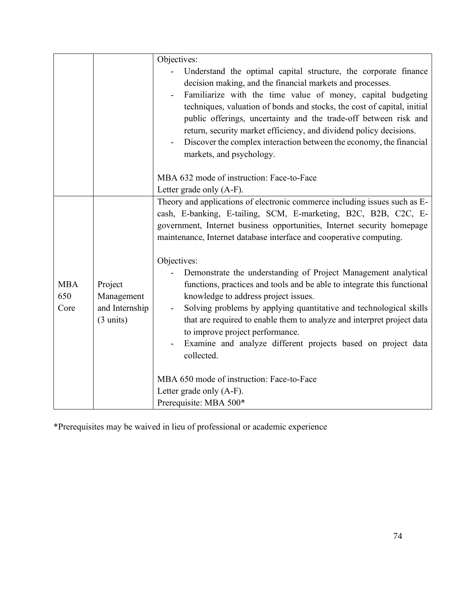|            |                     | Objectives:                                                                                  |
|------------|---------------------|----------------------------------------------------------------------------------------------|
|            |                     | Understand the optimal capital structure, the corporate finance                              |
|            |                     | decision making, and the financial markets and processes.                                    |
|            |                     | Familiarize with the time value of money, capital budgeting<br>$\qquad \qquad \blacksquare$  |
|            |                     | techniques, valuation of bonds and stocks, the cost of capital, initial                      |
|            |                     | public offerings, uncertainty and the trade-off between risk and                             |
|            |                     | return, security market efficiency, and dividend policy decisions.                           |
|            |                     | Discover the complex interaction between the economy, the financial                          |
|            |                     | markets, and psychology.                                                                     |
|            |                     |                                                                                              |
|            |                     | MBA 632 mode of instruction: Face-to-Face                                                    |
|            |                     | Letter grade only (A-F).                                                                     |
|            |                     | Theory and applications of electronic commerce including issues such as E-                   |
|            |                     | cash, E-banking, E-tailing, SCM, E-marketing, B2C, B2B, C2C, E-                              |
|            |                     | government, Internet business opportunities, Internet security homepage                      |
|            |                     | maintenance, Internet database interface and cooperative computing.                          |
|            |                     | Objectives:                                                                                  |
|            |                     | Demonstrate the understanding of Project Management analytical                               |
| <b>MBA</b> | Project             | functions, practices and tools and be able to integrate this functional                      |
| 650        | Management          | knowledge to address project issues.                                                         |
| Core       | and Internship      | Solving problems by applying quantitative and technological skills                           |
|            | $(3 \text{ units})$ | that are required to enable them to analyze and interpret project data                       |
|            |                     | to improve project performance.                                                              |
|            |                     | Examine and analyze different projects based on project data<br>$\qquad \qquad \blacksquare$ |
|            |                     | collected.                                                                                   |
|            |                     |                                                                                              |
|            |                     | MBA 650 mode of instruction: Face-to-Face                                                    |
|            |                     | Letter grade only (A-F).                                                                     |
|            |                     | Prerequisite: MBA 500*                                                                       |

\*Prerequisites may be waived in lieu of professional or academic experience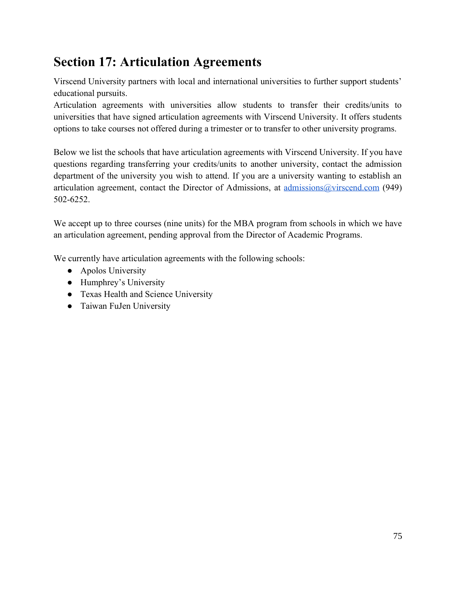## **Section 17: Articulation Agreements**

Virscend University partners with local and international universities to further support students' educational pursuits.

Articulation agreements with universities allow students to transfer their credits/units to universities that have signed articulation agreements with Virscend University. It offers students options to take courses not offered during a trimester or to transfer to other university programs.

Below we list the schools that have articulation agreements with Virscend University. If you have questions regarding transferring your credits/units to another university, contact the admission department of the university you wish to attend. If you are a university wanting to establish an articulation agreement, contact the Director of Admissions, at [admissions@virscend.com](mailto:admissions@virscend.com) (949) [502-6252.](https://virscend.com/wp-content/uploads/2017/03/Undergraduate-Application-Form.pdf) 

We accept up to three courses (nine units) for the MBA program from schools in which we have an articulation agreement, pending approval from the Director of Academic Programs.

We currently have articulation agreements with the following schools:

- Apolos University
- Humphrey's University
- Texas Health and Science University
- Taiwan FuJen University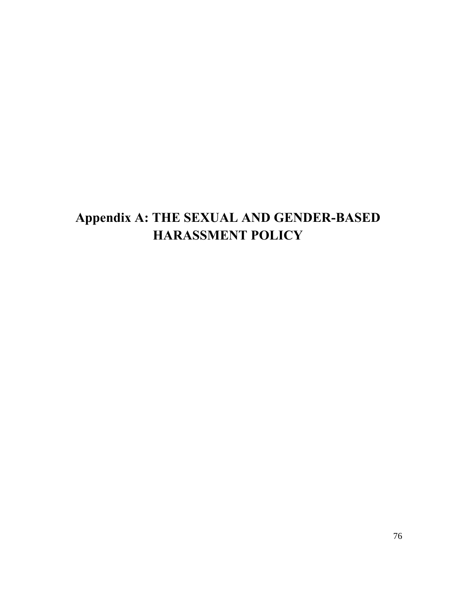# **Appendix A: THE SEXUAL AND GENDER-BASED HARASSMENT POLICY**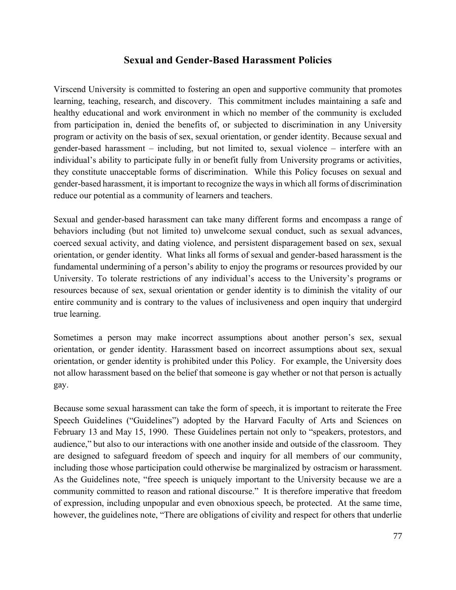#### **Sexual and Gender-Based Harassment Policies**

Virscend University is committed to fostering an open and supportive community that promotes learning, teaching, research, and discovery. This commitment includes maintaining a safe and healthy educational and work environment in which no member of the community is excluded from participation in, denied the benefits of, or subjected to discrimination in any University program or activity on the basis of sex, sexual orientation, or gender identity. Because sexual and gender-based harassment – including, but not limited to, sexual violence – interfere with an individual's ability to participate fully in or benefit fully from University programs or activities, they constitute unacceptable forms of discrimination. While this Policy focuses on sexual and gender-based harassment, it is important to recognize the ways in which all forms of discrimination reduce our potential as a community of learners and teachers.

Sexual and gender-based harassment can take many different forms and encompass a range of behaviors including (but not limited to) unwelcome sexual conduct, such as sexual advances, coerced sexual activity, and dating violence, and persistent disparagement based on sex, sexual orientation, or gender identity. What links all forms of sexual and gender-based harassment is the fundamental undermining of a person's ability to enjoy the programs or resources provided by our University. To tolerate restrictions of any individual's access to the University's programs or resources because of sex, sexual orientation or gender identity is to diminish the vitality of our entire community and is contrary to the values of inclusiveness and open inquiry that undergird true learning.

Sometimes a person may make incorrect assumptions about another person's sex, sexual orientation, or gender identity. Harassment based on incorrect assumptions about sex, sexual orientation, or gender identity is prohibited under this Policy. For example, the University does not allow harassment based on the belief that someone is gay whether or not that person is actually gay.

Because some sexual harassment can take the form of speech, it is important to reiterate the Free Speech Guidelines ("Guidelines") adopted by the Harvard Faculty of Arts and Sciences on February 13 and May 15, 1990. These Guidelines pertain not only to "speakers, protestors, and audience," but also to our interactions with one another inside and outside of the classroom. They are designed to safeguard freedom of speech and inquiry for all members of our community, including those whose participation could otherwise be marginalized by ostracism or harassment. As the Guidelines note, "free speech is uniquely important to the University because we are a community committed to reason and rational discourse." It is therefore imperative that freedom of expression, including unpopular and even obnoxious speech, be protected. At the same time, however, the guidelines note, "There are obligations of civility and respect for others that underlie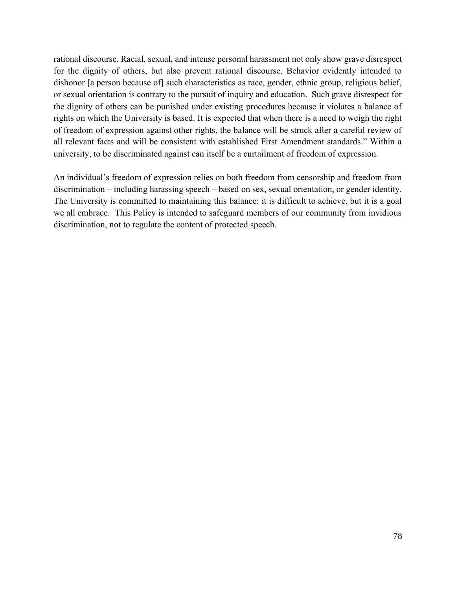rational discourse. Racial, sexual, and intense personal harassment not only show grave disrespect for the dignity of others, but also prevent rational discourse. Behavior evidently intended to dishonor [a person because of] such characteristics as race, gender, ethnic group, religious belief, or sexual orientation is contrary to the pursuit of inquiry and education. Such grave disrespect for the dignity of others can be punished under existing procedures because it violates a balance of rights on which the University is based. It is expected that when there is a need to weigh the right of freedom of expression against other rights, the balance will be struck after a careful review of all relevant facts and will be consistent with established First Amendment standards." Within a university, to be discriminated against can itself be a curtailment of freedom of expression.

An individual's freedom of expression relies on both freedom from censorship and freedom from discrimination – including harassing speech – based on sex, sexual orientation, or gender identity. The University is committed to maintaining this balance: it is difficult to achieve, but it is a goal we all embrace. This Policy is intended to safeguard members of our community from invidious discrimination, not to regulate the content of protected speech.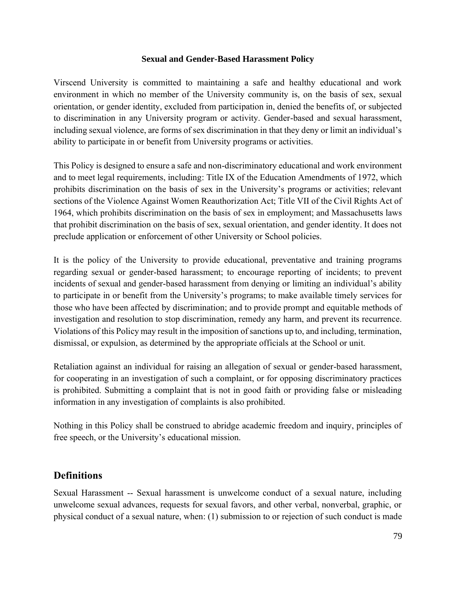#### **Sexual and Gender-Based Harassment Policy**

Virscend University is committed to maintaining a safe and healthy educational and work environment in which no member of the University community is, on the basis of sex, sexual orientation, or gender identity, excluded from participation in, denied the benefits of, or subjected to discrimination in any University program or activity. Gender-based and sexual harassment, including sexual violence, are forms of sex discrimination in that they deny or limit an individual's ability to participate in or benefit from University programs or activities.

This Policy is designed to ensure a safe and non-discriminatory educational and work environment and to meet legal requirements, including: Title IX of the Education Amendments of 1972, which prohibits discrimination on the basis of sex in the University's programs or activities; relevant sections of the Violence Against Women Reauthorization Act; Title VII of the Civil Rights Act of 1964, which prohibits discrimination on the basis of sex in employment; and Massachusetts laws that prohibit discrimination on the basis of sex, sexual orientation, and gender identity. It does not preclude application or enforcement of other University or School policies.

It is the policy of the University to provide educational, preventative and training programs regarding sexual or gender-based harassment; to encourage reporting of incidents; to prevent incidents of sexual and gender-based harassment from denying or limiting an individual's ability to participate in or benefit from the University's programs; to make available timely services for those who have been affected by discrimination; and to provide prompt and equitable methods of investigation and resolution to stop discrimination, remedy any harm, and prevent its recurrence. Violations of this Policy may result in the imposition of sanctions up to, and including, termination, dismissal, or expulsion, as determined by the appropriate officials at the School or unit.

Retaliation against an individual for raising an allegation of sexual or gender-based harassment, for cooperating in an investigation of such a complaint, or for opposing discriminatory practices is prohibited. Submitting a complaint that is not in good faith or providing false or misleading information in any investigation of complaints is also prohibited.

Nothing in this Policy shall be construed to abridge academic freedom and inquiry, principles of free speech, or the University's educational mission.

#### **Definitions**

Sexual Harassment -- Sexual harassment is unwelcome conduct of a sexual nature, including unwelcome sexual advances, requests for sexual favors, and other verbal, nonverbal, graphic, or physical conduct of a sexual nature, when: (1) submission to or rejection of such conduct is made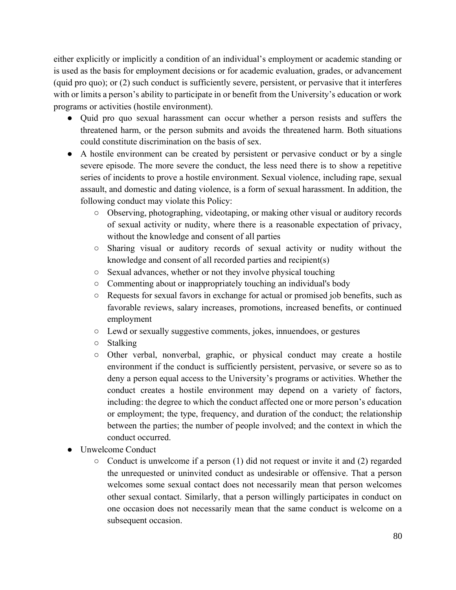either explicitly or implicitly a condition of an individual's employment or academic standing or is used as the basis for employment decisions or for academic evaluation, grades, or advancement (quid pro quo); or (2) such conduct is sufficiently severe, persistent, or pervasive that it interferes with or limits a person's ability to participate in or benefit from the University's education or work programs or activities (hostile environment).

- Quid pro quo sexual harassment can occur whether a person resists and suffers the threatened harm, or the person submits and avoids the threatened harm. Both situations could constitute discrimination on the basis of sex.
- A hostile environment can be created by persistent or pervasive conduct or by a single severe episode. The more severe the conduct, the less need there is to show a repetitive series of incidents to prove a hostile environment. Sexual violence, including rape, sexual assault, and domestic and dating violence, is a form of sexual harassment. In addition, the following conduct may violate this Policy:
	- Observing, photographing, videotaping, or making other visual or auditory records of sexual activity or nudity, where there is a reasonable expectation of privacy, without the knowledge and consent of all parties
	- Sharing visual or auditory records of sexual activity or nudity without the knowledge and consent of all recorded parties and recipient(s)
	- Sexual advances, whether or not they involve physical touching
	- Commenting about or inappropriately touching an individual's body
	- Requests for sexual favors in exchange for actual or promised job benefits, such as favorable reviews, salary increases, promotions, increased benefits, or continued employment
	- Lewd or sexually suggestive comments, jokes, innuendoes, or gestures
	- Stalking
	- Other verbal, nonverbal, graphic, or physical conduct may create a hostile environment if the conduct is sufficiently persistent, pervasive, or severe so as to deny a person equal access to the University's programs or activities. Whether the conduct creates a hostile environment may depend on a variety of factors, including: the degree to which the conduct affected one or more person's education or employment; the type, frequency, and duration of the conduct; the relationship between the parties; the number of people involved; and the context in which the conduct occurred.
- Unwelcome Conduct
	- Conduct is unwelcome if a person (1) did not request or invite it and (2) regarded the unrequested or uninvited conduct as undesirable or offensive. That a person welcomes some sexual contact does not necessarily mean that person welcomes other sexual contact. Similarly, that a person willingly participates in conduct on one occasion does not necessarily mean that the same conduct is welcome on a subsequent occasion.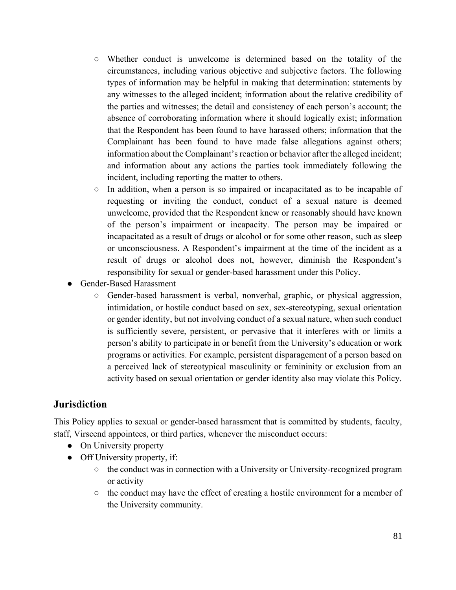- Whether conduct is unwelcome is determined based on the totality of the circumstances, including various objective and subjective factors. The following types of information may be helpful in making that determination: statements by any witnesses to the alleged incident; information about the relative credibility of the parties and witnesses; the detail and consistency of each person's account; the absence of corroborating information where it should logically exist; information that the Respondent has been found to have harassed others; information that the Complainant has been found to have made false allegations against others; information about the Complainant's reaction or behavior after the alleged incident; and information about any actions the parties took immediately following the incident, including reporting the matter to others.
- In addition, when a person is so impaired or incapacitated as to be incapable of requesting or inviting the conduct, conduct of a sexual nature is deemed unwelcome, provided that the Respondent knew or reasonably should have known of the person's impairment or incapacity. The person may be impaired or incapacitated as a result of drugs or alcohol or for some other reason, such as sleep or unconsciousness. A Respondent's impairment at the time of the incident as a result of drugs or alcohol does not, however, diminish the Respondent's responsibility for sexual or gender-based harassment under this Policy.
- Gender-Based Harassment
	- Gender-based harassment is verbal, nonverbal, graphic, or physical aggression, intimidation, or hostile conduct based on sex, sex-stereotyping, sexual orientation or gender identity, but not involving conduct of a sexual nature, when such conduct is sufficiently severe, persistent, or pervasive that it interferes with or limits a person's ability to participate in or benefit from the University's education or work programs or activities. For example, persistent disparagement of a person based on a perceived lack of stereotypical masculinity or femininity or exclusion from an activity based on sexual orientation or gender identity also may violate this Policy.

#### **Jurisdiction**

This Policy applies to sexual or gender-based harassment that is committed by students, faculty, staff, Virscend appointees, or third parties, whenever the misconduct occurs:

- On University property
- Off University property, if:
	- the conduct was in connection with a University or University-recognized program or activity
	- the conduct may have the effect of creating a hostile environment for a member of the University community.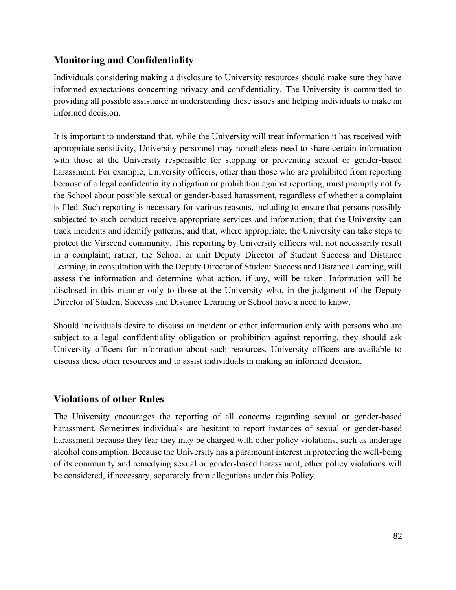#### **Monitoring and Confidentiality**

Individuals considering making a disclosure to University resources should make sure they have informed expectations concerning privacy and confidentiality. The University is committed to providing all possible assistance in understanding these issues and helping individuals to make an informed decision.

It is important to understand that, while the University will treat information it has received with appropriate sensitivity, University personnel may nonetheless need to share certain information with those at the University responsible for stopping or preventing sexual or gender-based harassment. For example, University officers, other than those who are prohibited from reporting because of a legal confidentiality obligation or prohibition against reporting, must promptly notify the School about possible sexual or gender-based harassment, regardless of whether a complaint is filed. Such reporting is necessary for various reasons, including to ensure that persons possibly subjected to such conduct receive appropriate services and information; that the University can track incidents and identify patterns; and that, where appropriate, the University can take steps to protect the Virscend community. This reporting by University officers will not necessarily result in a complaint; rather, the School or unit Deputy Director of Student Success and Distance Learning, in consultation with the Deputy Director of Student Success and Distance Learning, will assess the information and determine what action, if any, will be taken. Information will be disclosed in this manner only to those at the University who, in the judgment of the Deputy Director of Student Success and Distance Learning or School have a need to know.

Should individuals desire to discuss an incident or other information only with persons who are subject to a legal confidentiality obligation or prohibition against reporting, they should ask University officers for information about such resources. University officers are available to discuss these other resources and to assist individuals in making an informed decision.

#### **Violations of other Rules**

The University encourages the reporting of all concerns regarding sexual or gender-based harassment. Sometimes individuals are hesitant to report instances of sexual or gender-based harassment because they fear they may be charged with other policy violations, such as underage alcohol consumption. Because the University has a paramount interest in protecting the well-being of its community and remedying sexual or gender-based harassment, other policy violations will be considered, if necessary, separately from allegations under this Policy.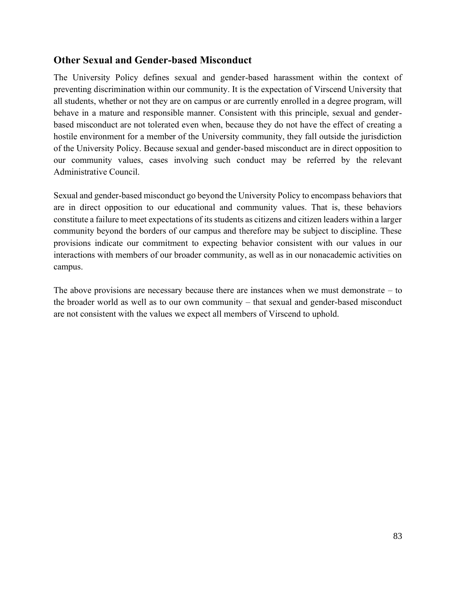#### **Other Sexual and Gender-based Misconduct**

The University Policy defines sexual and gender-based harassment within the context of preventing discrimination within our community. It is the expectation of Virscend University that all students, whether or not they are on campus or are currently enrolled in a degree program, will behave in a mature and responsible manner. Consistent with this principle, sexual and genderbased misconduct are not tolerated even when, because they do not have the effect of creating a hostile environment for a member of the University community, they fall outside the jurisdiction of the University Policy. Because sexual and gender-based misconduct are in direct opposition to our community values, cases involving such conduct may be referred by the relevant Administrative Council.

Sexual and gender-based misconduct go beyond the University Policy to encompass behaviors that are in direct opposition to our educational and community values. That is, these behaviors constitute a failure to meet expectations of its students as citizens and citizen leaders within a larger community beyond the borders of our campus and therefore may be subject to discipline. These provisions indicate our commitment to expecting behavior consistent with our values in our interactions with members of our broader community, as well as in our nonacademic activities on campus.

The above provisions are necessary because there are instances when we must demonstrate – to the broader world as well as to our own community – that sexual and gender-based misconduct are not consistent with the values we expect all members of Virscend to uphold.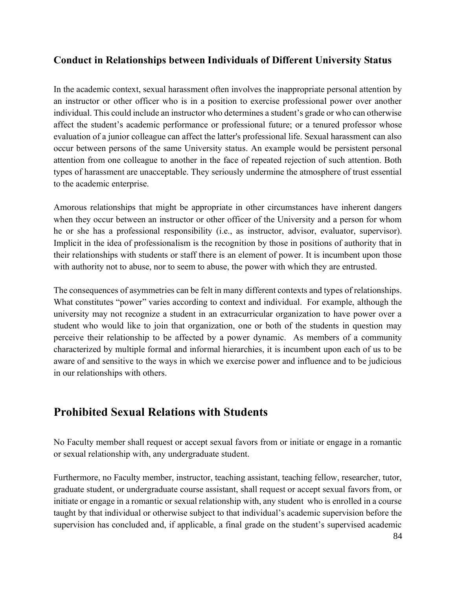#### **Conduct in Relationships between Individuals of Different University Status**

In the academic context, sexual harassment often involves the inappropriate personal attention by an instructor or other officer who is in a position to exercise professional power over another individual. This could include an instructor who determines a student's grade or who can otherwise affect the student's academic performance or professional future; or a tenured professor whose evaluation of a junior colleague can affect the latter's professional life. Sexual harassment can also occur between persons of the same University status. An example would be persistent personal attention from one colleague to another in the face of repeated rejection of such attention. Both types of harassment are unacceptable. They seriously undermine the atmosphere of trust essential to the academic enterprise.

Amorous relationships that might be appropriate in other circumstances have inherent dangers when they occur between an instructor or other officer of the University and a person for whom he or she has a professional responsibility (i.e., as instructor, advisor, evaluator, supervisor). Implicit in the idea of professionalism is the recognition by those in positions of authority that in their relationships with students or staff there is an element of power. It is incumbent upon those with authority not to abuse, nor to seem to abuse, the power with which they are entrusted.

The consequences of asymmetries can be felt in many different contexts and types of relationships. What constitutes "power" varies according to context and individual. For example, although the university may not recognize a student in an extracurricular organization to have power over a student who would like to join that organization, one or both of the students in question may perceive their relationship to be affected by a power dynamic. As members of a community characterized by multiple formal and informal hierarchies, it is incumbent upon each of us to be aware of and sensitive to the ways in which we exercise power and influence and to be judicious in our relationships with others.

### **Prohibited Sexual Relations with Students**

No Faculty member shall request or accept sexual favors from or initiate or engage in a romantic or sexual relationship with, any undergraduate student.

Furthermore, no Faculty member, instructor, teaching assistant, teaching fellow, researcher, tutor, graduate student, or undergraduate course assistant, shall request or accept sexual favors from, or initiate or engage in a romantic or sexual relationship with, any student who is enrolled in a course taught by that individual or otherwise subject to that individual's academic supervision before the supervision has concluded and, if applicable, a final grade on the student's supervised academic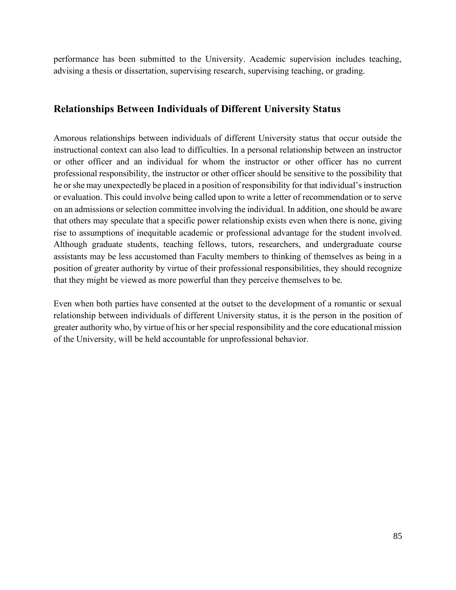performance has been submitted to the University. Academic supervision includes teaching, advising a thesis or dissertation, supervising research, supervising teaching, or grading.

#### **Relationships Between Individuals of Different University Status**

Amorous relationships between individuals of different University status that occur outside the instructional context can also lead to difficulties. In a personal relationship between an instructor or other officer and an individual for whom the instructor or other officer has no current professional responsibility, the instructor or other officer should be sensitive to the possibility that he or she may unexpectedly be placed in a position of responsibility for that individual's instruction or evaluation. This could involve being called upon to write a letter of recommendation or to serve on an admissions or selection committee involving the individual. In addition, one should be aware that others may speculate that a specific power relationship exists even when there is none, giving rise to assumptions of inequitable academic or professional advantage for the student involved. Although graduate students, teaching fellows, tutors, researchers, and undergraduate course assistants may be less accustomed than Faculty members to thinking of themselves as being in a position of greater authority by virtue of their professional responsibilities, they should recognize that they might be viewed as more powerful than they perceive themselves to be.

Even when both parties have consented at the outset to the development of a romantic or sexual relationship between individuals of different University status, it is the person in the position of greater authority who, by virtue of his or her special responsibility and the core educational mission of the University, will be held accountable for unprofessional behavior.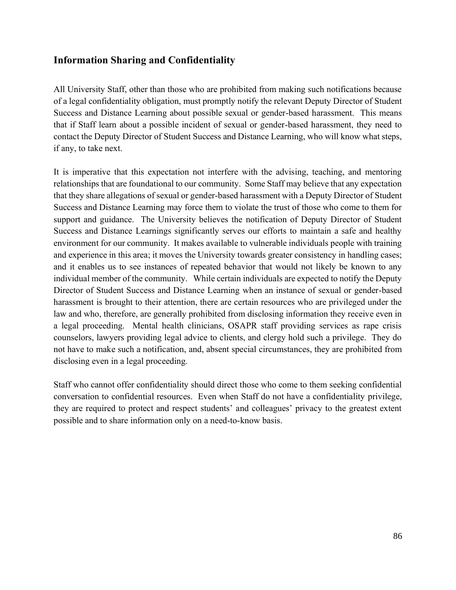#### **Information Sharing and Confidentiality**

All University Staff, other than those who are prohibited from making such notifications because of a legal confidentiality obligation, must promptly notify the relevant Deputy Director of Student Success and Distance Learning about possible sexual or gender-based harassment. This means that if Staff learn about a possible incident of sexual or gender-based harassment, they need to contact the Deputy Director of Student Success and Distance Learning, who will know what steps, if any, to take next.

It is imperative that this expectation not interfere with the advising, teaching, and mentoring relationships that are foundational to our community. Some Staff may believe that any expectation that they share allegations of sexual or gender-based harassment with a Deputy Director of Student Success and Distance Learning may force them to violate the trust of those who come to them for support and guidance. The University believes the notification of Deputy Director of Student Success and Distance Learnings significantly serves our efforts to maintain a safe and healthy environment for our community. It makes available to vulnerable individuals people with training and experience in this area; it moves the University towards greater consistency in handling cases; and it enables us to see instances of repeated behavior that would not likely be known to any individual member of the community. While certain individuals are expected to notify the Deputy Director of Student Success and Distance Learning when an instance of sexual or gender-based harassment is brought to their attention, there are certain resources who are privileged under the law and who, therefore, are generally prohibited from disclosing information they receive even in a legal proceeding. Mental health clinicians, OSAPR staff providing services as rape crisis counselors, lawyers providing legal advice to clients, and clergy hold such a privilege. They do not have to make such a notification, and, absent special circumstances, they are prohibited from disclosing even in a legal proceeding.

Staff who cannot offer confidentiality should direct those who come to them seeking confidential conversation to confidential resources. Even when Staff do not have a confidentiality privilege, they are required to protect and respect students' and colleagues' privacy to the greatest extent possible and to share information only on a need-to-know basis.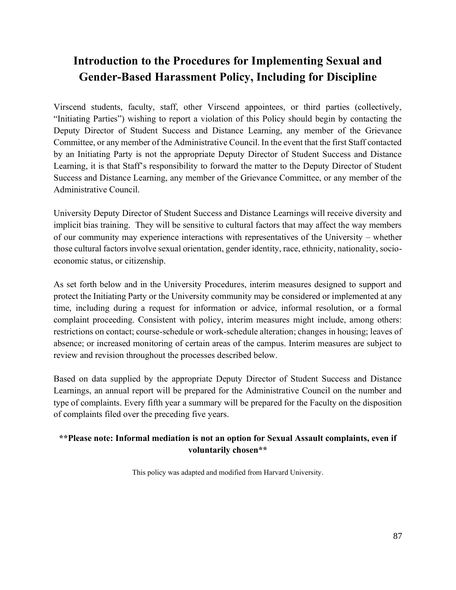## **Introduction to the Procedures for Implementing Sexual and Gender-Based Harassment Policy, Including for Discipline**

Virscend students, faculty, staff, other Virscend appointees, or third parties (collectively, "Initiating Parties") wishing to report a violation of this Policy should begin by contacting the Deputy Director of Student Success and Distance Learning, any member of the Grievance Committee, or any member of the Administrative Council. In the event that the first Staff contacted by an Initiating Party is not the appropriate Deputy Director of Student Success and Distance Learning, it is that Staff's responsibility to forward the matter to the Deputy Director of Student Success and Distance Learning, any member of the Grievance Committee, or any member of the Administrative Council.

University Deputy Director of Student Success and Distance Learnings will receive diversity and implicit bias training. They will be sensitive to cultural factors that may affect the way members of our community may experience interactions with representatives of the University – whether those cultural factors involve sexual orientation, gender identity, race, ethnicity, nationality, socioeconomic status, or citizenship.

As set forth below and in the University Procedures, interim measures designed to support and protect the Initiating Party or the University community may be considered or implemented at any time, including during a request for information or advice, informal resolution, or a formal complaint proceeding. Consistent with policy, interim measures might include, among others: restrictions on contact; course-schedule or work-schedule alteration; changes in housing; leaves of absence; or increased monitoring of certain areas of the campus. Interim measures are subject to review and revision throughout the processes described below.

Based on data supplied by the appropriate Deputy Director of Student Success and Distance Learnings, an annual report will be prepared for the Administrative Council on the number and type of complaints. Every fifth year a summary will be prepared for the Faculty on the disposition of complaints filed over the preceding five years.

#### **\*\*Please note: Informal mediation is not an option for Sexual Assault complaints, even if voluntarily chosen\*\***

This policy was adapted and modified from Harvard University.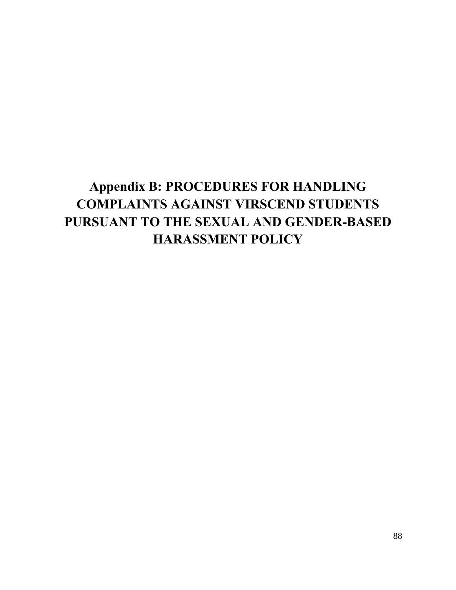# **Appendix B: PROCEDURES FOR HANDLING COMPLAINTS AGAINST VIRSCEND STUDENTS PURSUANT TO THE SEXUAL AND GENDER-BASED HARASSMENT POLICY**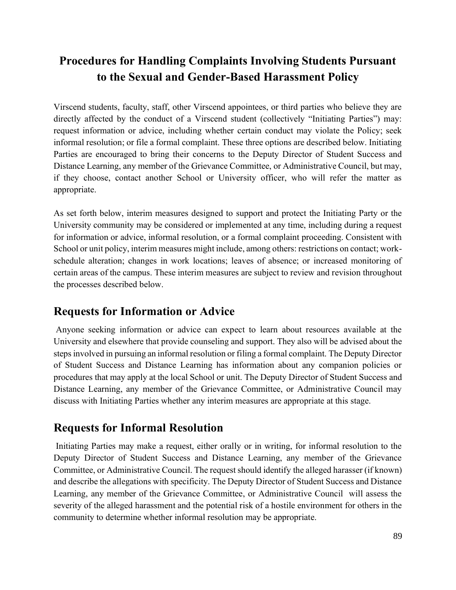## **Procedures for Handling Complaints Involving Students Pursuant to the Sexual and Gender-Based Harassment Policy**

Virscend students, faculty, staff, other Virscend appointees, or third parties who believe they are directly affected by the conduct of a Virscend student (collectively "Initiating Parties") may: request information or advice, including whether certain conduct may violate the Policy; seek informal resolution; or file a formal complaint. These three options are described below. Initiating Parties are encouraged to bring their concerns to the Deputy Director of Student Success and Distance Learning, any member of the Grievance Committee, or Administrative Council, but may, if they choose, contact another School or University officer, who will refer the matter as appropriate.

As set forth below, interim measures designed to support and protect the Initiating Party or the University community may be considered or implemented at any time, including during a request for information or advice, informal resolution, or a formal complaint proceeding. Consistent with School or unit policy, interim measures might include, among others: restrictions on contact; workschedule alteration; changes in work locations; leaves of absence; or increased monitoring of certain areas of the campus. These interim measures are subject to review and revision throughout the processes described below.

### **Requests for Information or Advice**

Anyone seeking information or advice can expect to learn about resources available at the University and elsewhere that provide counseling and support. They also will be advised about the steps involved in pursuing an informal resolution or filing a formal complaint. The Deputy Director of Student Success and Distance Learning has information about any companion policies or procedures that may apply at the local School or unit. The Deputy Director of Student Success and Distance Learning, any member of the Grievance Committee, or Administrative Council may discuss with Initiating Parties whether any interim measures are appropriate at this stage.

### **Requests for Informal Resolution**

Initiating Parties may make a request, either orally or in writing, for informal resolution to the Deputy Director of Student Success and Distance Learning, any member of the Grievance Committee, or Administrative Council. The request should identify the alleged harasser (if known) and describe the allegations with specificity. The Deputy Director of Student Success and Distance Learning, any member of the Grievance Committee, or Administrative Council will assess the severity of the alleged harassment and the potential risk of a hostile environment for others in the community to determine whether informal resolution may be appropriate.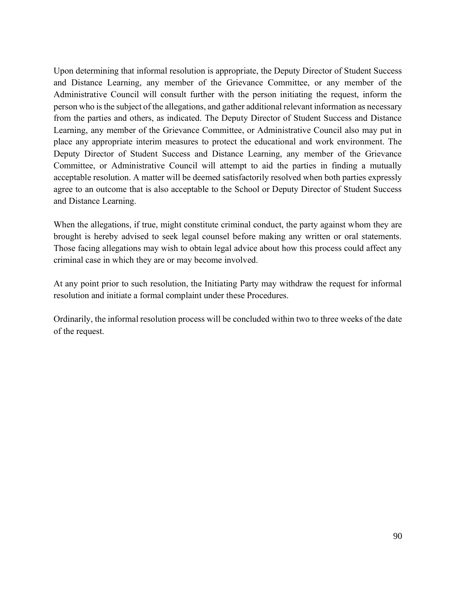Upon determining that informal resolution is appropriate, the Deputy Director of Student Success and Distance Learning, any member of the Grievance Committee, or any member of the Administrative Council will consult further with the person initiating the request, inform the person who is the subject of the allegations, and gather additional relevant information as necessary from the parties and others, as indicated. The Deputy Director of Student Success and Distance Learning, any member of the Grievance Committee, or Administrative Council also may put in place any appropriate interim measures to protect the educational and work environment. The Deputy Director of Student Success and Distance Learning, any member of the Grievance Committee, or Administrative Council will attempt to aid the parties in finding a mutually acceptable resolution. A matter will be deemed satisfactorily resolved when both parties expressly agree to an outcome that is also acceptable to the School or Deputy Director of Student Success and Distance Learning.

When the allegations, if true, might constitute criminal conduct, the party against whom they are brought is hereby advised to seek legal counsel before making any written or oral statements. Those facing allegations may wish to obtain legal advice about how this process could affect any criminal case in which they are or may become involved.

At any point prior to such resolution, the Initiating Party may withdraw the request for informal resolution and initiate a formal complaint under these Procedures.

Ordinarily, the informal resolution process will be concluded within two to three weeks of the date of the request.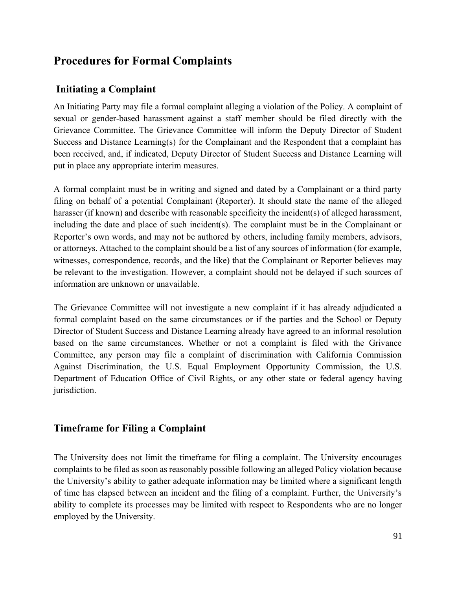### **Procedures for Formal Complaints**

### **Initiating a Complaint**

An Initiating Party may file a formal complaint alleging a violation of the Policy. A complaint of sexual or gender-based harassment against a staff member should be filed directly with the Grievance Committee. The Grievance Committee will inform the Deputy Director of Student Success and Distance Learning(s) for the Complainant and the Respondent that a complaint has been received, and, if indicated, Deputy Director of Student Success and Distance Learning will put in place any appropriate interim measures.

A formal complaint must be in writing and signed and dated by a Complainant or a third party filing on behalf of a potential Complainant (Reporter). It should state the name of the alleged harasser (if known) and describe with reasonable specificity the incident(s) of alleged harassment, including the date and place of such incident(s). The complaint must be in the Complainant or Reporter's own words, and may not be authored by others, including family members, advisors, or attorneys. Attached to the complaint should be a list of any sources of information (for example, witnesses, correspondence, records, and the like) that the Complainant or Reporter believes may be relevant to the investigation. However, a complaint should not be delayed if such sources of information are unknown or unavailable.

The Grievance Committee will not investigate a new complaint if it has already adjudicated a formal complaint based on the same circumstances or if the parties and the School or Deputy Director of Student Success and Distance Learning already have agreed to an informal resolution based on the same circumstances. Whether or not a complaint is filed with the Grivance Committee, any person may file a complaint of discrimination with California Commission Against Discrimination, the U.S. Equal Employment Opportunity Commission, the U.S. Department of Education Office of Civil Rights, or any other state or federal agency having jurisdiction.

#### **Timeframe for Filing a Complaint**

The University does not limit the timeframe for filing a complaint. The University encourages complaints to be filed as soon as reasonably possible following an alleged Policy violation because the University's ability to gather adequate information may be limited where a significant length of time has elapsed between an incident and the filing of a complaint. Further, the University's ability to complete its processes may be limited with respect to Respondents who are no longer employed by the University.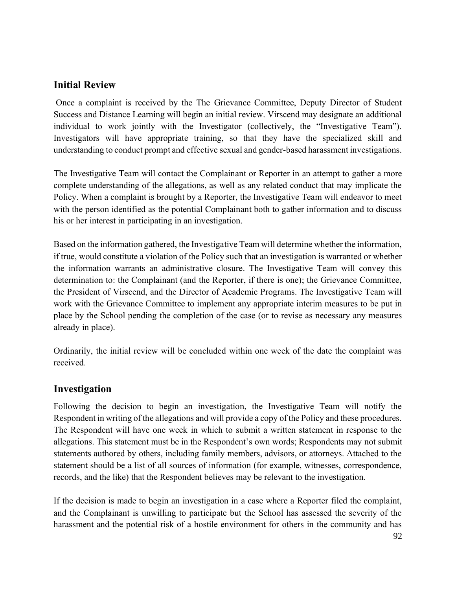#### **Initial Review**

Once a complaint is received by the The Grievance Committee, Deputy Director of Student Success and Distance Learning will begin an initial review. Virscend may designate an additional individual to work jointly with the Investigator (collectively, the "Investigative Team"). Investigators will have appropriate training, so that they have the specialized skill and understanding to conduct prompt and effective sexual and gender-based harassment investigations.

The Investigative Team will contact the Complainant or Reporter in an attempt to gather a more complete understanding of the allegations, as well as any related conduct that may implicate the Policy. When a complaint is brought by a Reporter, the Investigative Team will endeavor to meet with the person identified as the potential Complainant both to gather information and to discuss his or her interest in participating in an investigation.

Based on the information gathered, the Investigative Team will determine whether the information, if true, would constitute a violation of the Policy such that an investigation is warranted or whether the information warrants an administrative closure. The Investigative Team will convey this determination to: the Complainant (and the Reporter, if there is one); the Grievance Committee, the President of Virscend, and the Director of Academic Programs. The Investigative Team will work with the Grievance Committee to implement any appropriate interim measures to be put in place by the School pending the completion of the case (or to revise as necessary any measures already in place).

Ordinarily, the initial review will be concluded within one week of the date the complaint was received.

#### **Investigation**

Following the decision to begin an investigation, the Investigative Team will notify the Respondent in writing of the allegations and will provide a copy of the Policy and these procedures. The Respondent will have one week in which to submit a written statement in response to the allegations. This statement must be in the Respondent's own words; Respondents may not submit statements authored by others, including family members, advisors, or attorneys. Attached to the statement should be a list of all sources of information (for example, witnesses, correspondence, records, and the like) that the Respondent believes may be relevant to the investigation.

If the decision is made to begin an investigation in a case where a Reporter filed the complaint, and the Complainant is unwilling to participate but the School has assessed the severity of the harassment and the potential risk of a hostile environment for others in the community and has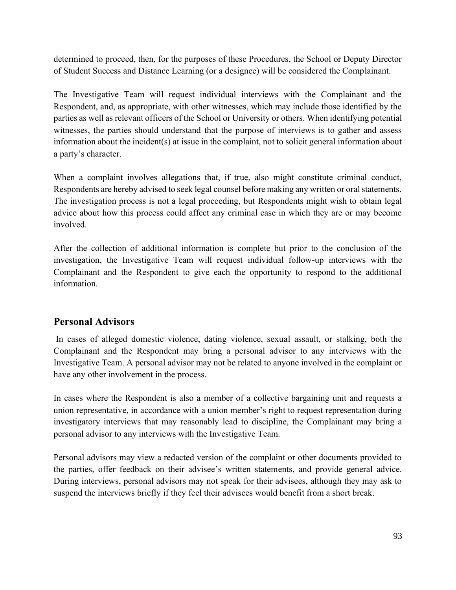determined to proceed, then, for the purposes of these Procedures, the School or Deputy Director of Student Success and Distance Learning (or a designee) will be considered the Complainant.

The Investigative Team will request individual interviews with the Complainant and the Respondent, and, as appropriate, with other witnesses, which may include those identified by the parties as well as relevant officers of the School or University or others. When identifying potential witnesses, the parties should understand that the purpose of interviews is to gather and assess information about the incident(s) at issue in the complaint, not to solicit general information about a party's character.

When a complaint involves allegations that, if true, also might constitute criminal conduct, Respondents are hereby advised to seek legal counsel before making any written or oral statements. The investigation process is not a legal proceeding, but Respondents might wish to obtain legal advice about how this process could affect any criminal case in which they are or may become involved.

After the collection of additional information is complete but prior to the conclusion of the investigation, the Investigative Team will request individual follow-up interviews with the Complainant and the Respondent to give each the opportunity to respond to the additional information.

#### **Personal Advisors**

In cases of alleged domestic violence, dating violence, sexual assault, or stalking, both the Complainant and the Respondent may bring a personal advisor to any interviews with the Investigative Team. A personal advisor may not be related to anyone involved in the complaint or have any other involvement in the process.

In cases where the Respondent is also a member of a collective bargaining unit and requests a union representative, in accordance with a union member's right to request representation during investigatory interviews that may reasonably lead to discipline, the Complainant may bring a personal advisor to any interviews with the Investigative Team.

Personal advisors may view a redacted version of the complaint or other documents provided to the parties, offer feedback on their advisee's written statements, and provide general advice. During interviews, personal advisors may not speak for their advisees, although they may ask to suspend the interviews briefly if they feel their advisees would benefit from a short break.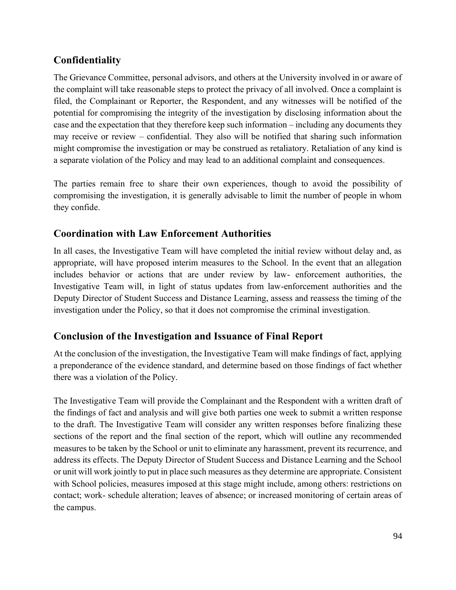### **Confidentiality**

The Grievance Committee, personal advisors, and others at the University involved in or aware of the complaint will take reasonable steps to protect the privacy of all involved. Once a complaint is filed, the Complainant or Reporter, the Respondent, and any witnesses will be notified of the potential for compromising the integrity of the investigation by disclosing information about the case and the expectation that they therefore keep such information – including any documents they may receive or review – confidential. They also will be notified that sharing such information might compromise the investigation or may be construed as retaliatory. Retaliation of any kind is a separate violation of the Policy and may lead to an additional complaint and consequences.

The parties remain free to share their own experiences, though to avoid the possibility of compromising the investigation, it is generally advisable to limit the number of people in whom they confide.

#### **Coordination with Law Enforcement Authorities**

In all cases, the Investigative Team will have completed the initial review without delay and, as appropriate, will have proposed interim measures to the School. In the event that an allegation includes behavior or actions that are under review by law- enforcement authorities, the Investigative Team will, in light of status updates from law-enforcement authorities and the Deputy Director of Student Success and Distance Learning, assess and reassess the timing of the investigation under the Policy, so that it does not compromise the criminal investigation.

### **Conclusion of the Investigation and Issuance of Final Report**

At the conclusion of the investigation, the Investigative Team will make findings of fact, applying a preponderance of the evidence standard, and determine based on those findings of fact whether there was a violation of the Policy.

The Investigative Team will provide the Complainant and the Respondent with a written draft of the findings of fact and analysis and will give both parties one week to submit a written response to the draft. The Investigative Team will consider any written responses before finalizing these sections of the report and the final section of the report, which will outline any recommended measures to be taken by the School or unit to eliminate any harassment, prevent its recurrence, and address its effects. The Deputy Director of Student Success and Distance Learning and the School or unit will work jointly to put in place such measures as they determine are appropriate. Consistent with School policies, measures imposed at this stage might include, among others: restrictions on contact; work- schedule alteration; leaves of absence; or increased monitoring of certain areas of the campus.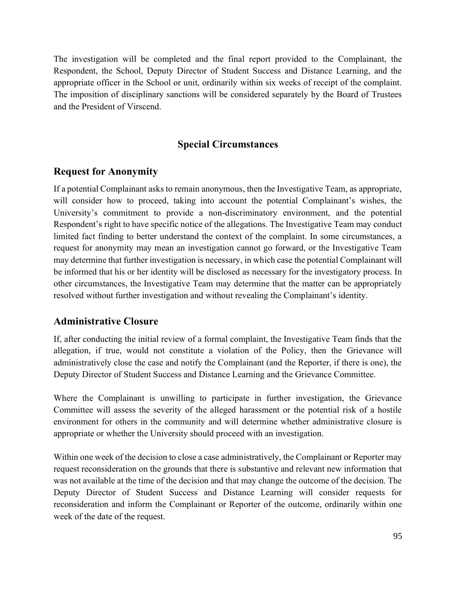The investigation will be completed and the final report provided to the Complainant, the Respondent, the School, Deputy Director of Student Success and Distance Learning, and the appropriate officer in the School or unit, ordinarily within six weeks of receipt of the complaint. The imposition of disciplinary sanctions will be considered separately by the Board of Trustees and the President of Virscend.

#### **Special Circumstances**

#### **Request for Anonymity**

If a potential Complainant asks to remain anonymous, then the Investigative Team, as appropriate, will consider how to proceed, taking into account the potential Complainant's wishes, the University's commitment to provide a non-discriminatory environment, and the potential Respondent's right to have specific notice of the allegations. The Investigative Team may conduct limited fact finding to better understand the context of the complaint. In some circumstances, a request for anonymity may mean an investigation cannot go forward, or the Investigative Team may determine that further investigation is necessary, in which case the potential Complainant will be informed that his or her identity will be disclosed as necessary for the investigatory process. In other circumstances, the Investigative Team may determine that the matter can be appropriately resolved without further investigation and without revealing the Complainant's identity.

#### **Administrative Closure**

If, after conducting the initial review of a formal complaint, the Investigative Team finds that the allegation, if true, would not constitute a violation of the Policy, then the Grievance will administratively close the case and notify the Complainant (and the Reporter, if there is one), the Deputy Director of Student Success and Distance Learning and the Grievance Committee.

Where the Complainant is unwilling to participate in further investigation, the Grievance Committee will assess the severity of the alleged harassment or the potential risk of a hostile environment for others in the community and will determine whether administrative closure is appropriate or whether the University should proceed with an investigation.

Within one week of the decision to close a case administratively, the Complainant or Reporter may request reconsideration on the grounds that there is substantive and relevant new information that was not available at the time of the decision and that may change the outcome of the decision. The Deputy Director of Student Success and Distance Learning will consider requests for reconsideration and inform the Complainant or Reporter of the outcome, ordinarily within one week of the date of the request.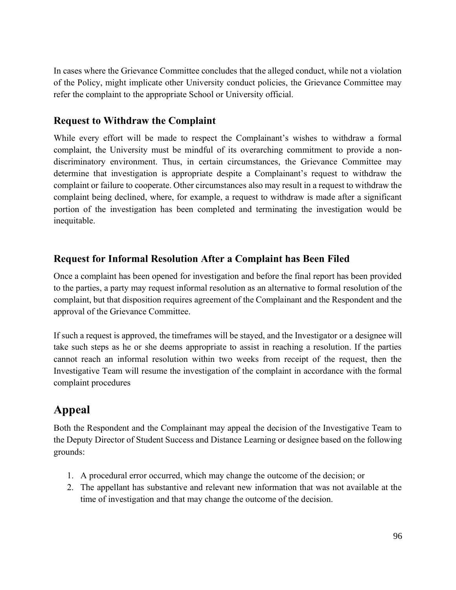In cases where the Grievance Committee concludes that the alleged conduct, while not a violation of the Policy, might implicate other University conduct policies, the Grievance Committee may refer the complaint to the appropriate School or University official.

#### **Request to Withdraw the Complaint**

While every effort will be made to respect the Complainant's wishes to withdraw a formal complaint, the University must be mindful of its overarching commitment to provide a nondiscriminatory environment. Thus, in certain circumstances, the Grievance Committee may determine that investigation is appropriate despite a Complainant's request to withdraw the complaint or failure to cooperate. Other circumstances also may result in a request to withdraw the complaint being declined, where, for example, a request to withdraw is made after a significant portion of the investigation has been completed and terminating the investigation would be inequitable.

#### **Request for Informal Resolution After a Complaint has Been Filed**

Once a complaint has been opened for investigation and before the final report has been provided to the parties, a party may request informal resolution as an alternative to formal resolution of the complaint, but that disposition requires agreement of the Complainant and the Respondent and the approval of the Grievance Committee.

If such a request is approved, the timeframes will be stayed, and the Investigator or a designee will take such steps as he or she deems appropriate to assist in reaching a resolution. If the parties cannot reach an informal resolution within two weeks from receipt of the request, then the Investigative Team will resume the investigation of the complaint in accordance with the formal complaint procedures

## **Appeal**

Both the Respondent and the Complainant may appeal the decision of the Investigative Team to the Deputy Director of Student Success and Distance Learning or designee based on the following grounds:

- 1. A procedural error occurred, which may change the outcome of the decision; or
- 2. The appellant has substantive and relevant new information that was not available at the time of investigation and that may change the outcome of the decision.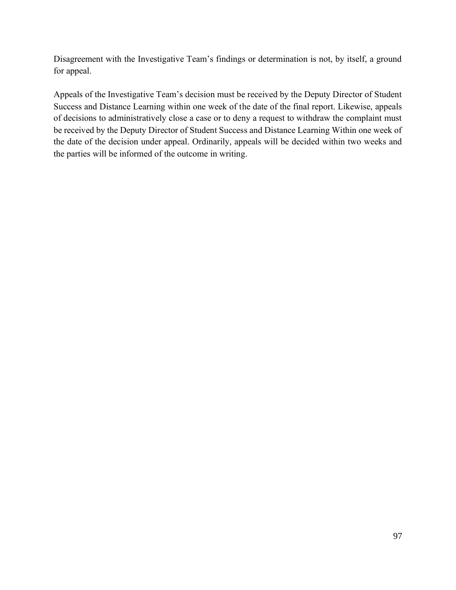Disagreement with the Investigative Team's findings or determination is not, by itself, a ground for appeal.

Appeals of the Investigative Team's decision must be received by the Deputy Director of Student Success and Distance Learning within one week of the date of the final report. Likewise, appeals of decisions to administratively close a case or to deny a request to withdraw the complaint must be received by the Deputy Director of Student Success and Distance Learning Within one week of the date of the decision under appeal. Ordinarily, appeals will be decided within two weeks and the parties will be informed of the outcome in writing.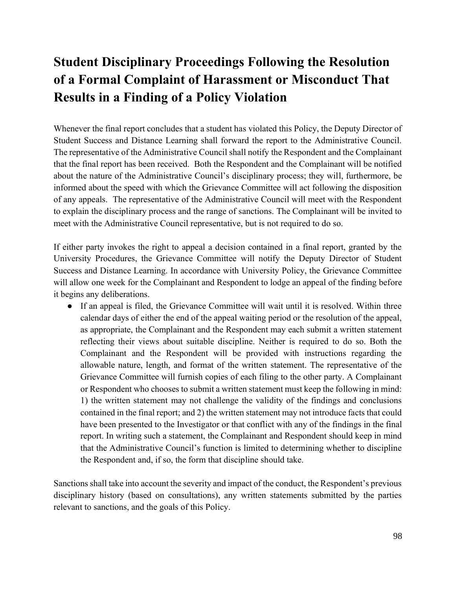# **Student Disciplinary Proceedings Following the Resolution of a Formal Complaint of Harassment or Misconduct That Results in a Finding of a Policy Violation**

Whenever the final report concludes that a student has violated this Policy, the Deputy Director of Student Success and Distance Learning shall forward the report to the Administrative Council. The representative of the Administrative Council shall notify the Respondent and the Complainant that the final report has been received. Both the Respondent and the Complainant will be notified about the nature of the Administrative Council's disciplinary process; they will, furthermore, be informed about the speed with which the Grievance Committee will act following the disposition of any appeals. The representative of the Administrative Council will meet with the Respondent to explain the disciplinary process and the range of sanctions. The Complainant will be invited to meet with the Administrative Council representative, but is not required to do so.

If either party invokes the right to appeal a decision contained in a final report, granted by the University Procedures, the Grievance Committee will notify the Deputy Director of Student Success and Distance Learning. In accordance with University Policy, the Grievance Committee will allow one week for the Complainant and Respondent to lodge an appeal of the finding before it begins any deliberations.

● If an appeal is filed, the Grievance Committee will wait until it is resolved. Within three calendar days of either the end of the appeal waiting period or the resolution of the appeal, as appropriate, the Complainant and the Respondent may each submit a written statement reflecting their views about suitable discipline. Neither is required to do so. Both the Complainant and the Respondent will be provided with instructions regarding the allowable nature, length, and format of the written statement. The representative of the Grievance Committee will furnish copies of each filing to the other party. A Complainant or Respondent who chooses to submit a written statement must keep the following in mind: 1) the written statement may not challenge the validity of the findings and conclusions contained in the final report; and 2) the written statement may not introduce facts that could have been presented to the Investigator or that conflict with any of the findings in the final report. In writing such a statement, the Complainant and Respondent should keep in mind that the Administrative Council's function is limited to determining whether to discipline the Respondent and, if so, the form that discipline should take.

Sanctions shall take into account the severity and impact of the conduct, the Respondent's previous disciplinary history (based on consultations), any written statements submitted by the parties relevant to sanctions, and the goals of this Policy.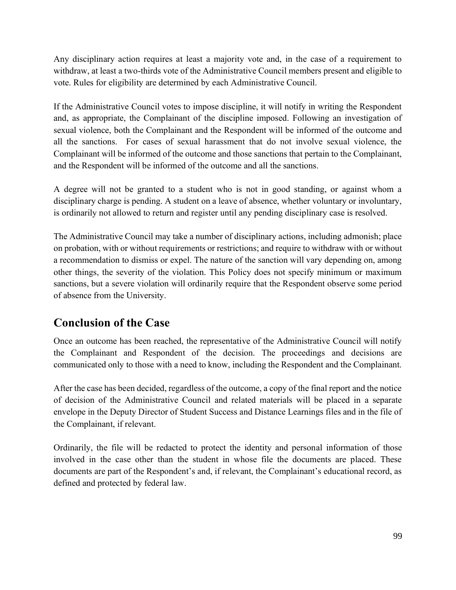Any disciplinary action requires at least a majority vote and, in the case of a requirement to withdraw, at least a two-thirds vote of the Administrative Council members present and eligible to vote. Rules for eligibility are determined by each Administrative Council.

If the Administrative Council votes to impose discipline, it will notify in writing the Respondent and, as appropriate, the Complainant of the discipline imposed. Following an investigation of sexual violence, both the Complainant and the Respondent will be informed of the outcome and all the sanctions. For cases of sexual harassment that do not involve sexual violence, the Complainant will be informed of the outcome and those sanctions that pertain to the Complainant, and the Respondent will be informed of the outcome and all the sanctions.

A degree will not be granted to a student who is not in good standing, or against whom a disciplinary charge is pending. A student on a leave of absence, whether voluntary or involuntary, is ordinarily not allowed to return and register until any pending disciplinary case is resolved.

The Administrative Council may take a number of disciplinary actions, including admonish; place on probation, with or without requirements or restrictions; and require to withdraw with or without a recommendation to dismiss or expel. The nature of the sanction will vary depending on, among other things, the severity of the violation. This Policy does not specify minimum or maximum sanctions, but a severe violation will ordinarily require that the Respondent observe some period of absence from the University.

### **Conclusion of the Case**

Once an outcome has been reached, the representative of the Administrative Council will notify the Complainant and Respondent of the decision. The proceedings and decisions are communicated only to those with a need to know, including the Respondent and the Complainant.

After the case has been decided, regardless of the outcome, a copy of the final report and the notice of decision of the Administrative Council and related materials will be placed in a separate envelope in the Deputy Director of Student Success and Distance Learnings files and in the file of the Complainant, if relevant.

Ordinarily, the file will be redacted to protect the identity and personal information of those involved in the case other than the student in whose file the documents are placed. These documents are part of the Respondent's and, if relevant, the Complainant's educational record, as defined and protected by federal law.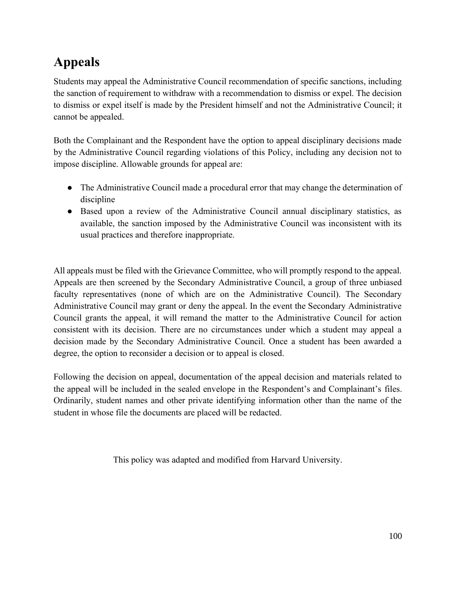# **Appeals**

Students may appeal the Administrative Council recommendation of specific sanctions, including the sanction of requirement to withdraw with a recommendation to dismiss or expel. The decision to dismiss or expel itself is made by the President himself and not the Administrative Council; it cannot be appealed.

Both the Complainant and the Respondent have the option to appeal disciplinary decisions made by the Administrative Council regarding violations of this Policy, including any decision not to impose discipline. Allowable grounds for appeal are:

- The Administrative Council made a procedural error that may change the determination of discipline
- Based upon a review of the Administrative Council annual disciplinary statistics, as available, the sanction imposed by the Administrative Council was inconsistent with its usual practices and therefore inappropriate.

All appeals must be filed with the Grievance Committee, who will promptly respond to the appeal. Appeals are then screened by the Secondary Administrative Council, a group of three unbiased faculty representatives (none of which are on the Administrative Council). The Secondary Administrative Council may grant or deny the appeal. In the event the Secondary Administrative Council grants the appeal, it will remand the matter to the Administrative Council for action consistent with its decision. There are no circumstances under which a student may appeal a decision made by the Secondary Administrative Council. Once a student has been awarded a degree, the option to reconsider a decision or to appeal is closed.

Following the decision on appeal, documentation of the appeal decision and materials related to the appeal will be included in the sealed envelope in the Respondent's and Complainant's files. Ordinarily, student names and other private identifying information other than the name of the student in whose file the documents are placed will be redacted.

This policy was adapted and modified from Harvard University.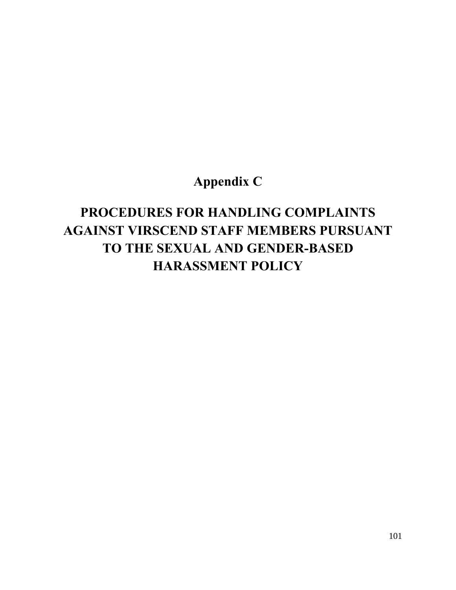## **Appendix C**

# **PROCEDURES FOR HANDLING COMPLAINTS AGAINST VIRSCEND STAFF MEMBERS PURSUANT TO THE SEXUAL AND GENDER-BASED HARASSMENT POLICY**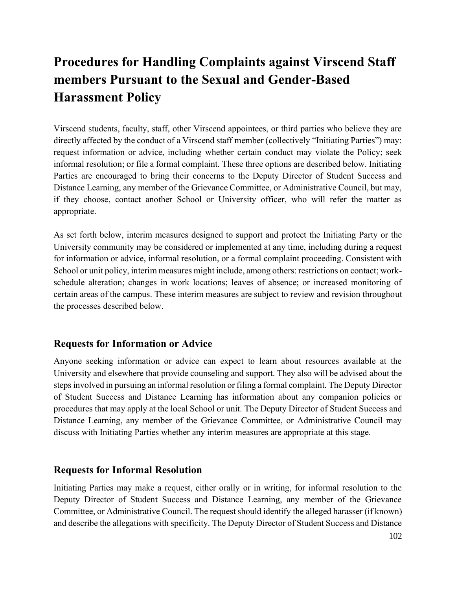# **Procedures for Handling Complaints against Virscend Staff members Pursuant to the Sexual and Gender-Based Harassment Policy**

Virscend students, faculty, staff, other Virscend appointees, or third parties who believe they are directly affected by the conduct of a Virscend staff member (collectively "Initiating Parties") may: request information or advice, including whether certain conduct may violate the Policy; seek informal resolution; or file a formal complaint. These three options are described below. Initiating Parties are encouraged to bring their concerns to the Deputy Director of Student Success and Distance Learning, any member of the Grievance Committee, or Administrative Council, but may, if they choose, contact another School or University officer, who will refer the matter as appropriate.

As set forth below, interim measures designed to support and protect the Initiating Party or the University community may be considered or implemented at any time, including during a request for information or advice, informal resolution, or a formal complaint proceeding. Consistent with School or unit policy, interim measures might include, among others: restrictions on contact; workschedule alteration; changes in work locations; leaves of absence; or increased monitoring of certain areas of the campus. These interim measures are subject to review and revision throughout the processes described below.

#### **Requests for Information or Advice**

Anyone seeking information or advice can expect to learn about resources available at the University and elsewhere that provide counseling and support. They also will be advised about the steps involved in pursuing an informal resolution or filing a formal complaint. The Deputy Director of Student Success and Distance Learning has information about any companion policies or procedures that may apply at the local School or unit. The Deputy Director of Student Success and Distance Learning, any member of the Grievance Committee, or Administrative Council may discuss with Initiating Parties whether any interim measures are appropriate at this stage.

#### **Requests for Informal Resolution**

Initiating Parties may make a request, either orally or in writing, for informal resolution to the Deputy Director of Student Success and Distance Learning, any member of the Grievance Committee, or Administrative Council. The request should identify the alleged harasser (if known) and describe the allegations with specificity. The Deputy Director of Student Success and Distance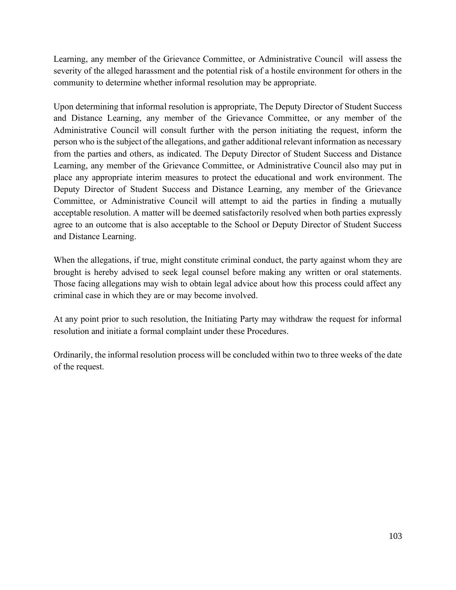Learning, any member of the Grievance Committee, or Administrative Council will assess the severity of the alleged harassment and the potential risk of a hostile environment for others in the community to determine whether informal resolution may be appropriate.

Upon determining that informal resolution is appropriate, The Deputy Director of Student Success and Distance Learning, any member of the Grievance Committee, or any member of the Administrative Council will consult further with the person initiating the request, inform the person who is the subject of the allegations, and gather additional relevant information as necessary from the parties and others, as indicated. The Deputy Director of Student Success and Distance Learning, any member of the Grievance Committee, or Administrative Council also may put in place any appropriate interim measures to protect the educational and work environment. The Deputy Director of Student Success and Distance Learning, any member of the Grievance Committee, or Administrative Council will attempt to aid the parties in finding a mutually acceptable resolution. A matter will be deemed satisfactorily resolved when both parties expressly agree to an outcome that is also acceptable to the School or Deputy Director of Student Success and Distance Learning.

When the allegations, if true, might constitute criminal conduct, the party against whom they are brought is hereby advised to seek legal counsel before making any written or oral statements. Those facing allegations may wish to obtain legal advice about how this process could affect any criminal case in which they are or may become involved.

At any point prior to such resolution, the Initiating Party may withdraw the request for informal resolution and initiate a formal complaint under these Procedures.

Ordinarily, the informal resolution process will be concluded within two to three weeks of the date of the request.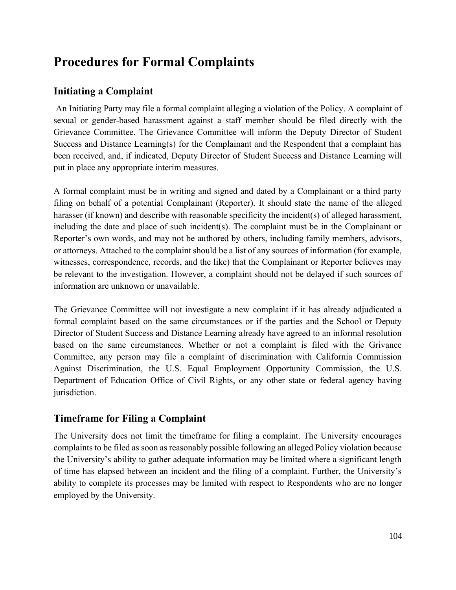## **Procedures for Formal Complaints**

### **Initiating a Complaint**

An Initiating Party may file a formal complaint alleging a violation of the Policy. A complaint of sexual or gender-based harassment against a staff member should be filed directly with the Grievance Committee. The Grievance Committee will inform the Deputy Director of Student Success and Distance Learning(s) for the Complainant and the Respondent that a complaint has been received, and, if indicated, Deputy Director of Student Success and Distance Learning will put in place any appropriate interim measures.

A formal complaint must be in writing and signed and dated by a Complainant or a third party filing on behalf of a potential Complainant (Reporter). It should state the name of the alleged harasser (if known) and describe with reasonable specificity the incident(s) of alleged harassment, including the date and place of such incident(s). The complaint must be in the Complainant or Reporter's own words, and may not be authored by others, including family members, advisors, or attorneys. Attached to the complaint should be a list of any sources of information (for example, witnesses, correspondence, records, and the like) that the Complainant or Reporter believes may be relevant to the investigation. However, a complaint should not be delayed if such sources of information are unknown or unavailable.

The Grievance Committee will not investigate a new complaint if it has already adjudicated a formal complaint based on the same circumstances or if the parties and the School or Deputy Director of Student Success and Distance Learning already have agreed to an informal resolution based on the same circumstances. Whether or not a complaint is filed with the Grivance Committee, any person may file a complaint of discrimination with California Commission Against Discrimination, the U.S. Equal Employment Opportunity Commission, the U.S. Department of Education Office of Civil Rights, or any other state or federal agency having jurisdiction.

#### **Timeframe for Filing a Complaint**

The University does not limit the timeframe for filing a complaint. The University encourages complaints to be filed as soon as reasonably possible following an alleged Policy violation because the University's ability to gather adequate information may be limited where a significant length of time has elapsed between an incident and the filing of a complaint. Further, the University's ability to complete its processes may be limited with respect to Respondents who are no longer employed by the University.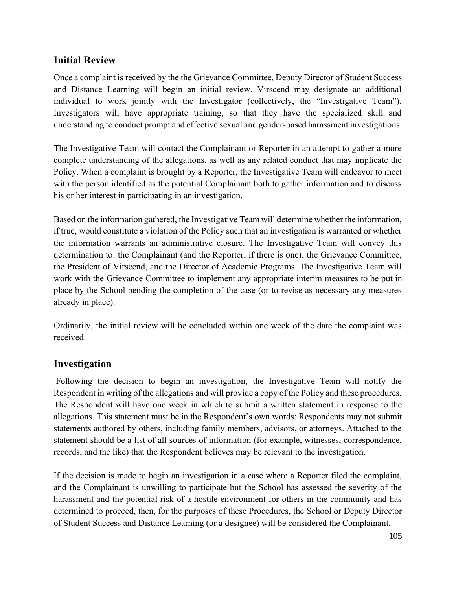#### **Initial Review**

Once a complaint is received by the the Grievance Committee, Deputy Director of Student Success and Distance Learning will begin an initial review. Virscend may designate an additional individual to work jointly with the Investigator (collectively, the "Investigative Team"). Investigators will have appropriate training, so that they have the specialized skill and understanding to conduct prompt and effective sexual and gender-based harassment investigations.

The Investigative Team will contact the Complainant or Reporter in an attempt to gather a more complete understanding of the allegations, as well as any related conduct that may implicate the Policy. When a complaint is brought by a Reporter, the Investigative Team will endeavor to meet with the person identified as the potential Complainant both to gather information and to discuss his or her interest in participating in an investigation.

Based on the information gathered, the Investigative Team will determine whether the information, if true, would constitute a violation of the Policy such that an investigation is warranted or whether the information warrants an administrative closure. The Investigative Team will convey this determination to: the Complainant (and the Reporter, if there is one); the Grievance Committee, the President of Virscend, and the Director of Academic Programs. The Investigative Team will work with the Grievance Committee to implement any appropriate interim measures to be put in place by the School pending the completion of the case (or to revise as necessary any measures already in place).

Ordinarily, the initial review will be concluded within one week of the date the complaint was received.

#### **Investigation**

Following the decision to begin an investigation, the Investigative Team will notify the Respondent in writing of the allegations and will provide a copy of the Policy and these procedures. The Respondent will have one week in which to submit a written statement in response to the allegations. This statement must be in the Respondent's own words; Respondents may not submit statements authored by others, including family members, advisors, or attorneys. Attached to the statement should be a list of all sources of information (for example, witnesses, correspondence, records, and the like) that the Respondent believes may be relevant to the investigation.

If the decision is made to begin an investigation in a case where a Reporter filed the complaint, and the Complainant is unwilling to participate but the School has assessed the severity of the harassment and the potential risk of a hostile environment for others in the community and has determined to proceed, then, for the purposes of these Procedures, the School or Deputy Director of Student Success and Distance Learning (or a designee) will be considered the Complainant.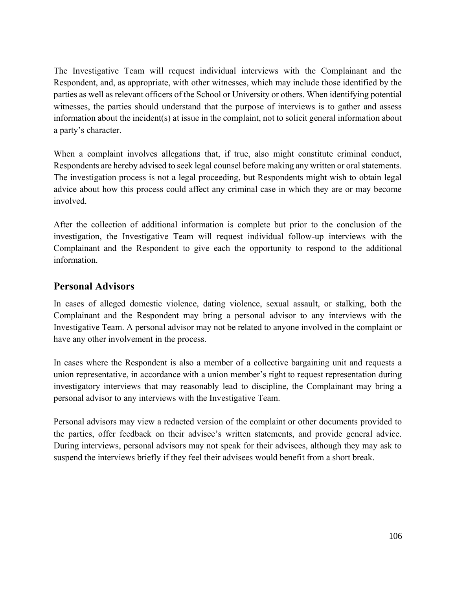The Investigative Team will request individual interviews with the Complainant and the Respondent, and, as appropriate, with other witnesses, which may include those identified by the parties as well as relevant officers of the School or University or others. When identifying potential witnesses, the parties should understand that the purpose of interviews is to gather and assess information about the incident(s) at issue in the complaint, not to solicit general information about a party's character.

When a complaint involves allegations that, if true, also might constitute criminal conduct, Respondents are hereby advised to seek legal counsel before making any written or oral statements. The investigation process is not a legal proceeding, but Respondents might wish to obtain legal advice about how this process could affect any criminal case in which they are or may become involved.

After the collection of additional information is complete but prior to the conclusion of the investigation, the Investigative Team will request individual follow-up interviews with the Complainant and the Respondent to give each the opportunity to respond to the additional information.

#### **Personal Advisors**

In cases of alleged domestic violence, dating violence, sexual assault, or stalking, both the Complainant and the Respondent may bring a personal advisor to any interviews with the Investigative Team. A personal advisor may not be related to anyone involved in the complaint or have any other involvement in the process.

In cases where the Respondent is also a member of a collective bargaining unit and requests a union representative, in accordance with a union member's right to request representation during investigatory interviews that may reasonably lead to discipline, the Complainant may bring a personal advisor to any interviews with the Investigative Team.

Personal advisors may view a redacted version of the complaint or other documents provided to the parties, offer feedback on their advisee's written statements, and provide general advice. During interviews, personal advisors may not speak for their advisees, although they may ask to suspend the interviews briefly if they feel their advisees would benefit from a short break.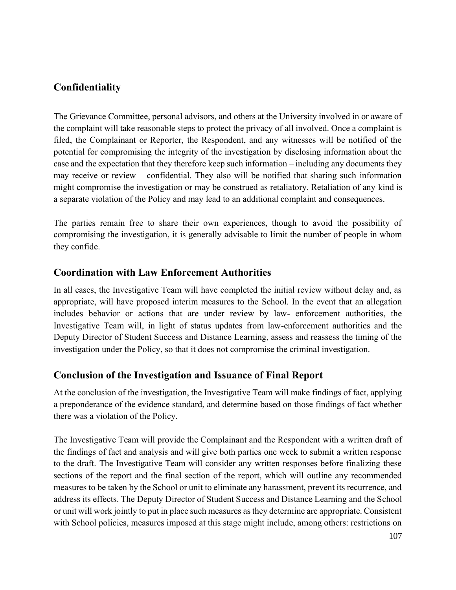### **Confidentiality**

The Grievance Committee, personal advisors, and others at the University involved in or aware of the complaint will take reasonable steps to protect the privacy of all involved. Once a complaint is filed, the Complainant or Reporter, the Respondent, and any witnesses will be notified of the potential for compromising the integrity of the investigation by disclosing information about the case and the expectation that they therefore keep such information – including any documents they may receive or review – confidential. They also will be notified that sharing such information might compromise the investigation or may be construed as retaliatory. Retaliation of any kind is a separate violation of the Policy and may lead to an additional complaint and consequences.

The parties remain free to share their own experiences, though to avoid the possibility of compromising the investigation, it is generally advisable to limit the number of people in whom they confide.

#### **Coordination with Law Enforcement Authorities**

In all cases, the Investigative Team will have completed the initial review without delay and, as appropriate, will have proposed interim measures to the School. In the event that an allegation includes behavior or actions that are under review by law- enforcement authorities, the Investigative Team will, in light of status updates from law-enforcement authorities and the Deputy Director of Student Success and Distance Learning, assess and reassess the timing of the investigation under the Policy, so that it does not compromise the criminal investigation.

#### **Conclusion of the Investigation and Issuance of Final Report**

At the conclusion of the investigation, the Investigative Team will make findings of fact, applying a preponderance of the evidence standard, and determine based on those findings of fact whether there was a violation of the Policy.

The Investigative Team will provide the Complainant and the Respondent with a written draft of the findings of fact and analysis and will give both parties one week to submit a written response to the draft. The Investigative Team will consider any written responses before finalizing these sections of the report and the final section of the report, which will outline any recommended measures to be taken by the School or unit to eliminate any harassment, prevent its recurrence, and address its effects. The Deputy Director of Student Success and Distance Learning and the School or unit will work jointly to put in place such measures as they determine are appropriate. Consistent with School policies, measures imposed at this stage might include, among others: restrictions on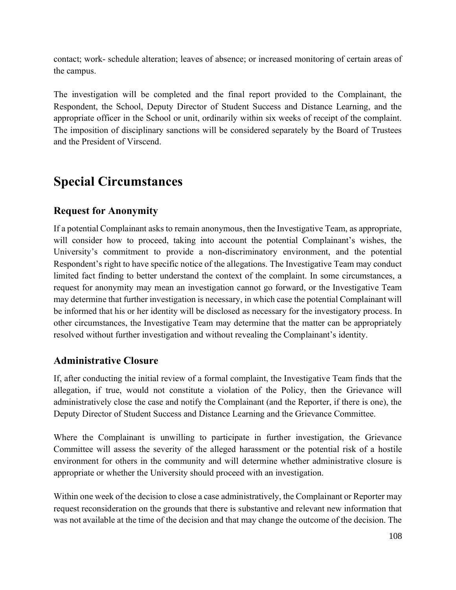contact; work- schedule alteration; leaves of absence; or increased monitoring of certain areas of the campus.

The investigation will be completed and the final report provided to the Complainant, the Respondent, the School, Deputy Director of Student Success and Distance Learning, and the appropriate officer in the School or unit, ordinarily within six weeks of receipt of the complaint. The imposition of disciplinary sanctions will be considered separately by the Board of Trustees and the President of Virscend.

### **Special Circumstances**

#### **Request for Anonymity**

If a potential Complainant asks to remain anonymous, then the Investigative Team, as appropriate, will consider how to proceed, taking into account the potential Complainant's wishes, the University's commitment to provide a non-discriminatory environment, and the potential Respondent's right to have specific notice of the allegations. The Investigative Team may conduct limited fact finding to better understand the context of the complaint. In some circumstances, a request for anonymity may mean an investigation cannot go forward, or the Investigative Team may determine that further investigation is necessary, in which case the potential Complainant will be informed that his or her identity will be disclosed as necessary for the investigatory process. In other circumstances, the Investigative Team may determine that the matter can be appropriately resolved without further investigation and without revealing the Complainant's identity.

#### **Administrative Closure**

If, after conducting the initial review of a formal complaint, the Investigative Team finds that the allegation, if true, would not constitute a violation of the Policy, then the Grievance will administratively close the case and notify the Complainant (and the Reporter, if there is one), the Deputy Director of Student Success and Distance Learning and the Grievance Committee.

Where the Complainant is unwilling to participate in further investigation, the Grievance Committee will assess the severity of the alleged harassment or the potential risk of a hostile environment for others in the community and will determine whether administrative closure is appropriate or whether the University should proceed with an investigation.

Within one week of the decision to close a case administratively, the Complainant or Reporter may request reconsideration on the grounds that there is substantive and relevant new information that was not available at the time of the decision and that may change the outcome of the decision. The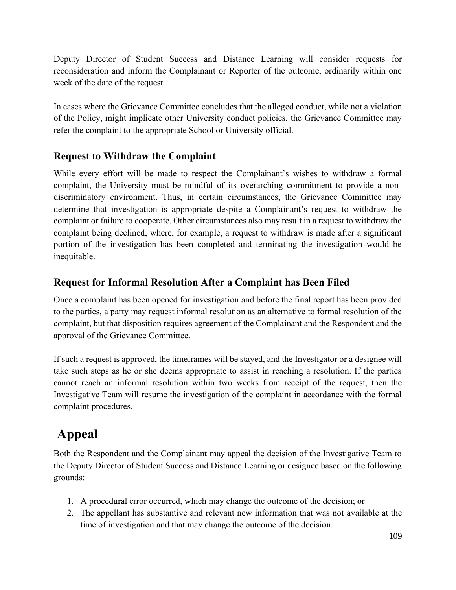Deputy Director of Student Success and Distance Learning will consider requests for reconsideration and inform the Complainant or Reporter of the outcome, ordinarily within one week of the date of the request.

In cases where the Grievance Committee concludes that the alleged conduct, while not a violation of the Policy, might implicate other University conduct policies, the Grievance Committee may refer the complaint to the appropriate School or University official.

#### **Request to Withdraw the Complaint**

While every effort will be made to respect the Complainant's wishes to withdraw a formal complaint, the University must be mindful of its overarching commitment to provide a nondiscriminatory environment. Thus, in certain circumstances, the Grievance Committee may determine that investigation is appropriate despite a Complainant's request to withdraw the complaint or failure to cooperate. Other circumstances also may result in a request to withdraw the complaint being declined, where, for example, a request to withdraw is made after a significant portion of the investigation has been completed and terminating the investigation would be inequitable.

#### **Request for Informal Resolution After a Complaint has Been Filed**

Once a complaint has been opened for investigation and before the final report has been provided to the parties, a party may request informal resolution as an alternative to formal resolution of the complaint, but that disposition requires agreement of the Complainant and the Respondent and the approval of the Grievance Committee.

If such a request is approved, the timeframes will be stayed, and the Investigator or a designee will take such steps as he or she deems appropriate to assist in reaching a resolution. If the parties cannot reach an informal resolution within two weeks from receipt of the request, then the Investigative Team will resume the investigation of the complaint in accordance with the formal complaint procedures.

## **Appeal**

Both the Respondent and the Complainant may appeal the decision of the Investigative Team to the Deputy Director of Student Success and Distance Learning or designee based on the following grounds:

- 1. A procedural error occurred, which may change the outcome of the decision; or
- 2. The appellant has substantive and relevant new information that was not available at the time of investigation and that may change the outcome of the decision.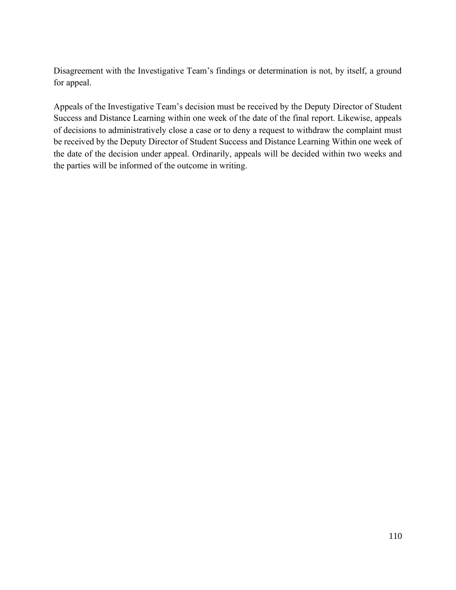Disagreement with the Investigative Team's findings or determination is not, by itself, a ground for appeal.

Appeals of the Investigative Team's decision must be received by the Deputy Director of Student Success and Distance Learning within one week of the date of the final report. Likewise, appeals of decisions to administratively close a case or to deny a request to withdraw the complaint must be received by the Deputy Director of Student Success and Distance Learning Within one week of the date of the decision under appeal. Ordinarily, appeals will be decided within two weeks and the parties will be informed of the outcome in writing.